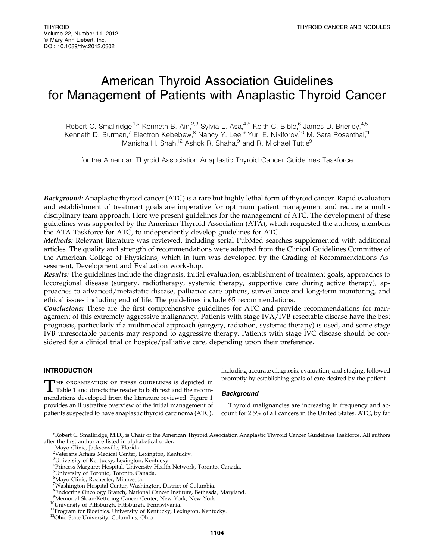# American Thyroid Association Guidelines for Management of Patients with Anaplastic Thyroid Cancer

Robert C. Smallridge,<sup>1,\*</sup> Kenneth B. Ain,<sup>2,3</sup> Sylvia L. Asa,<sup>4,5</sup> Keith C. Bible,<sup>6</sup> James D. Brierley,<sup>4,5</sup> Kenneth D. Burman,<sup>7</sup> Electron Kebebew,<sup>8</sup> Nancy Y. Lee,<sup>9</sup> Yuri E. Nikiforov,<sup>10</sup> M. Sara Rosenthal,<sup>11</sup> Manisha H. Shah,<sup>12</sup> Ashok R. Shaha,<sup>9</sup> and R. Michael Tuttle<sup>9</sup>

for the American Thyroid Association Anaplastic Thyroid Cancer Guidelines Taskforce

Background: Anaplastic thyroid cancer (ATC) is a rare but highly lethal form of thyroid cancer. Rapid evaluation and establishment of treatment goals are imperative for optimum patient management and require a multidisciplinary team approach. Here we present guidelines for the management of ATC. The development of these guidelines was supported by the American Thyroid Association (ATA), which requested the authors, members the ATA Taskforce for ATC, to independently develop guidelines for ATC.

Methods: Relevant literature was reviewed, including serial PubMed searches supplemented with additional articles. The quality and strength of recommendations were adapted from the Clinical Guidelines Committee of the American College of Physicians, which in turn was developed by the Grading of Recommendations Assessment, Development and Evaluation workshop.

Results: The guidelines include the diagnosis, initial evaluation, establishment of treatment goals, approaches to locoregional disease (surgery, radiotherapy, systemic therapy, supportive care during active therapy), approaches to advanced/metastatic disease, palliative care options, surveillance and long-term monitoring, and ethical issues including end of life. The guidelines include 65 recommendations.

**Conclusions:** These are the first comprehensive guidelines for ATC and provide recommendations for management of this extremely aggressive malignancy. Patients with stage IVA/IVB resectable disease have the best prognosis, particularly if a multimodal approach (surgery, radiation, systemic therapy) is used, and some stage IVB unresectable patients may respond to aggressive therapy. Patients with stage IVC disease should be considered for a clinical trial or hospice/palliative care, depending upon their preference.

# INTRODUCTION

THE ORGANIZATION OF THESE GUIDELINES is depicted in Table 1 and directs the reader to both text and the recommendations developed from the literature reviewed. Figure 1 provides an illustrative overview of the initial management of patients suspected to have anaplastic thyroid carcinoma (ATC),

including accurate diagnosis, evaluation, and staging, followed promptly by establishing goals of care desired by the patient.

## **Background**

Thyroid malignancies are increasing in frequency and account for 2.5% of all cancers in the United States. ATC, by far

<sup>\*</sup>Robert C. Smallridge, M.D., is Chair of the American Thyroid Association Anaplastic Thyroid Cancer Guidelines Taskforce. All authors after the first author are listed in alphabetical order.

<sup>&</sup>lt;sup>1</sup>Mayo Clinic, Jacksonville, Florida.

<sup>&</sup>lt;sup>2</sup>Veterans Affairs Medical Center, Lexington, Kentucky.

<sup>&</sup>lt;sup>3</sup>University of Kentucky, Lexington, Kentucky.

<sup>&</sup>lt;sup>4</sup>Princess Margaret Hospital, University Health Network, Toronto, Canada.

<sup>5</sup> University of Toronto, Toronto, Canada.

<sup>6</sup> Mayo Clinic, Rochester, Minnesota.

<sup>&</sup>lt;sup>7</sup>Washington Hospital Center, Washington, District of Columbia.

<sup>&</sup>lt;sup>8</sup>Endocrine Oncology Branch, National Cancer Institute, Bethesda, Maryland.

<sup>&</sup>lt;sup>9</sup>Memorial Sloan-Kettering Cancer Center, New York, New York.

<sup>&</sup>lt;sup>10</sup>University of Pittsburgh, Pittsburgh, Pennsylvania.<br><sup>11</sup>Program for Bioethics, University of Kentucky, Lexington, Kentucky. <sup>12</sup>Ohio State University, Columbus, Ohio.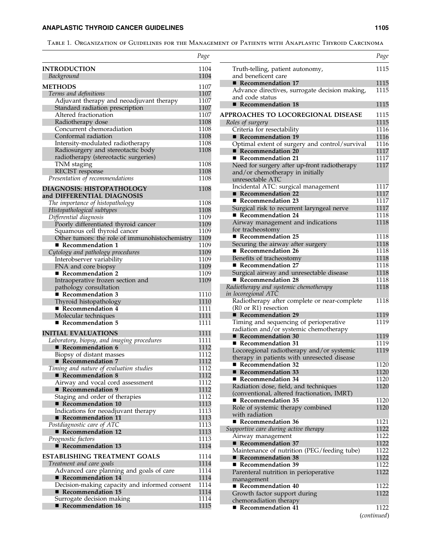Table 1. Organization of Guidelines for the Management of Patients with Anaplastic Thyroid Carcinoma

|                                                                               | Page              |
|-------------------------------------------------------------------------------|-------------------|
| <b>INTRODUCTION</b>                                                           | 1104              |
| Background                                                                    | 1104              |
| <b>METHODS</b>                                                                | 1107              |
| Terms and definitions                                                         | 1107              |
| Adjuvant therapy and neoadjuvant therapy                                      | 1107              |
| Standard radiation prescription                                               | 1107              |
| Altered fractionation                                                         | 1107              |
| Radiotherapy dose                                                             | 1108              |
| Concurrent chemoradiation                                                     | 1108              |
| Conformal radiation                                                           | 1108              |
| Intensity-modulated radiotherapy                                              | 1108              |
| Radiosurgery and stereotactic body                                            | 1108              |
| radiotherapy (stereotactic surgeries)                                         |                   |
| TNM staging                                                                   | 1108              |
| RECIST response                                                               | 1108              |
| Presentation of recommendations                                               | 1108              |
| <b>DIAGNOSIS: HISTOPATHOLOGY</b><br>and DIFFERENTIAL DIAGNOSIS                | 1108              |
| The importance of histopathology                                              | 1108              |
| Histopathological subtypes                                                    | 1108              |
| Differential diagnosis                                                        | 1109              |
| Poorly differentiated thyroid cancer                                          | 1109              |
| Squamous cell thyroid cancer                                                  | 1109              |
| Other tumors: the role of immunohistochemistry                                | 1109              |
| $\blacksquare$ Recommendation 1                                               | 1109              |
| Cytology and pathology procedures                                             | 1109              |
| Interobserver variability                                                     | 1109              |
| FNA and core biopsy                                                           | 1109              |
| Recommendation 2                                                              | 1109              |
| Intraoperative frozen section and                                             | 1109              |
| pathology consultation                                                        |                   |
| Recommendation 3                                                              | 1110              |
| Thyroid histopathology                                                        | 1110<br>1111      |
| ■ Recommendation 4                                                            | 1111              |
| Molecular techniques<br>Recommendation 5                                      | 1111              |
|                                                                               |                   |
| <b>INITIAL EVALUATIONS</b>                                                    | 1111              |
| Laboratory, biopsy, and imaging procedures<br>$\blacksquare$ Recommendation 6 | 1111<br>1112      |
| Biopsy of distant masses                                                      | 1112              |
| Recommendation 7                                                              | 1112              |
| Timing and nature of evaluation studies                                       | $\overline{11}12$ |
| Recommendation 8                                                              | 1112              |
| Airway and vocal cord assessment                                              | 1112              |
| ■ Recommendation 9                                                            | 1112              |
| Staging and order of therapies                                                | 1112              |
| Recommendation 10                                                             | 1113              |
| Indications for neoadjuvant therapy                                           | 1113              |
| Recommendation 11                                                             | 1113              |
| Postdiagnostic care of ATC                                                    | 1113              |
| Recommendation 12                                                             | 1113              |
| Prognostic factors                                                            | 1113              |
| $\blacksquare$ Recommendation 13                                              | 1114              |
| ESTABLISHING TREATMENT GOALS                                                  | 1114              |
| Treatment and care goals                                                      | 1114              |
| Advanced care planning and goals of care                                      | $11\overline{14}$ |
| Recommendation 14                                                             | 1114              |
| Decision-making capacity and informed consent                                 | 1114              |
| Recommendation 15                                                             | 1114<br>1114      |
| Surrogate decision making<br>Recommendation 16                                | 1115              |
|                                                                               |                   |

|                                                                                          | Page         |
|------------------------------------------------------------------------------------------|--------------|
| Truth-telling, patient autonomy,<br>and beneficent care                                  | 1115         |
| Recommendation $17$                                                                      | 1115         |
| Advance directives, surrogate decision making,<br>and code status                        | 1115         |
| ■ Recommendation 18                                                                      | 1115         |
| <b>APPROACHES TO LOCOREGIONAL DISEASE</b>                                                | 1115         |
| Roles of surgery                                                                         | 1115         |
| Criteria for resectability                                                               | 1116         |
| Recommendation 19                                                                        | 1116         |
| Optimal extent of surgery and control/survival                                           | 1116         |
| Recommendation 20                                                                        | 1117         |
| Recommendation 21                                                                        | 1117         |
| Need for surgery after up-front radiotherapy                                             | 1117         |
| and/or chemotherapy in initially<br>unresectable ATC                                     |              |
| Incidental ATC: surgical management                                                      | 1117         |
| Recommendation 22<br>■ Recommendation 23                                                 | 1117<br>1117 |
|                                                                                          | 1117         |
| Surgical risk to recurrent laryngeal nerve<br>Recommendation 24                          | 1118         |
| Airway management and indications<br>for tracheostomy                                    | 1118         |
| Recommendation 25                                                                        | 1118         |
| Securing the airway after surgery                                                        | 1118         |
| Recommendation 26                                                                        | 1118         |
| Benefits of tracheostomy                                                                 | 1118         |
| ■ Recommendation 27                                                                      | 1118         |
| Surgical airway and unresectable disease                                                 | 1118         |
| Recommendation 28                                                                        | 1118         |
| Radiotherapy and systemic chemotherapy<br>in locoregional ATC                            | 1118         |
| Radiotherapy after complete or near-complete<br>(R0 or R1) resection                     | 1118         |
| <b>Recommendation 29</b>                                                                 | 1119         |
| Timing and sequencing of perioperative                                                   | 1119         |
| radiation and/or systemic chemotherapy                                                   |              |
| Recommendation 30                                                                        | 1119         |
| Recommendation 31                                                                        | 1119         |
| Locoregional radiotherapy and/or systemic<br>therapy in patients with unresected disease | 1119         |
| <b>Recommendation 32</b>                                                                 | 1120         |
| Recommendation 33                                                                        | 1120         |
| <b>Recommendation 34</b><br>Radiation dose, field, and techniques                        | 1120<br>1120 |
| (conventional, altered fractionation, IMRT)                                              |              |
| Recommendation 35<br>Role of systemic therapy combined                                   | 1120<br>1120 |
| with radiation<br>■ Recommendation 36                                                    | 1121         |
| Supportive care during active therapy                                                    | 1122         |
| Airway management                                                                        | 1122         |
| ■ Recommendation 37                                                                      | 1122         |
| Maintenance of nutrition (PEG/feeding tube)                                              | 1122         |
| Recommendation 38                                                                        | 1122         |
| ■ Recommendation 39                                                                      | 1122         |
| Parenteral nutrition in perioperative                                                    | 1122         |
| management<br>Recommendation 40                                                          | 1122         |
| Growth factor support during                                                             | 1122         |
| chemoradiation therapy                                                                   |              |
| ■ Recommendation 41                                                                      | 1122         |
|                                                                                          | (continued)  |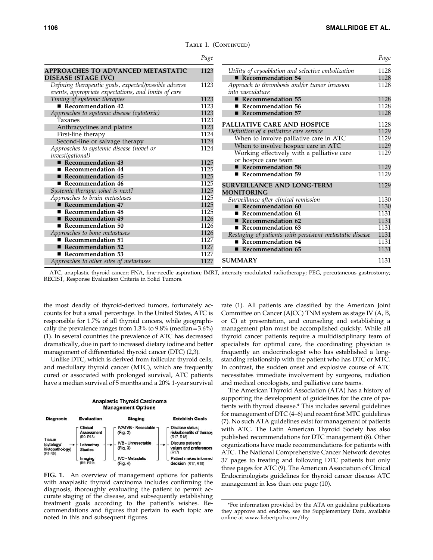|                                                                                                               | Page         |                                                                         | Page |
|---------------------------------------------------------------------------------------------------------------|--------------|-------------------------------------------------------------------------|------|
| APPROACHES TO ADVANCED METASTATIC                                                                             | 1123         | Utility of cryoablation and selective embolization                      | 1128 |
| DISEASE (STAGE IVC)                                                                                           |              | Recommendation 54                                                       | 1128 |
| Defining therapeutic goals, expected/possible adverse<br>events, appropriate expectations, and limits of care | 1123         | Approach to thrombosis and/or tumor invasion<br><i>into vasculature</i> | 1128 |
| Timing of systemic therapies                                                                                  | 1123         | Recommendation 55                                                       | 1128 |
| Recommendation 42                                                                                             | 1123         | ■ Recommendation 56                                                     | 1128 |
| Approaches to systemic disease (cytotoxic)                                                                    | 1123         | ■ Recommendation 57                                                     | 1128 |
| Taxanes                                                                                                       | 1123         | <b>PALLIATIVE CARE AND HOSPICE</b>                                      | 1128 |
| Anthracyclines and platins                                                                                    | 1123         | Definition of a palliative care service                                 | 1129 |
| First-line therapy                                                                                            | 1124<br>1124 | When to involve palliative care in ATC                                  | 1129 |
| Second-line or salvage therapy                                                                                |              | When to involve hospice care in ATC                                     | 1129 |
| Approaches to systemic disease (novel or<br>investigational)                                                  | 1124         | Working effectively with a palliative care                              | 1129 |
| Recommendation 43                                                                                             | 1125         | or hospice care team                                                    |      |
| <b>Recommendation 44</b><br>■                                                                                 | 1125         | Recommendation 58                                                       | 1129 |
| Recommendation $45$                                                                                           | 1125         | ■ Recommendation 59                                                     | 1129 |
| ■ Recommendation 46                                                                                           | 1125         | <b>SURVEILLANCE AND LONG-TERM</b>                                       | 1129 |
| Systemic therapy: what is next?                                                                               | 1125         | <b>MONITORING</b>                                                       |      |
| Approaches to brain metastases                                                                                | 1125         | Surveillance after clinical remission                                   | 1130 |
| Recommendation 47                                                                                             | 1125         | Recommendation 60                                                       | 1130 |
| Recommendation 48                                                                                             | 1125         | <b>Recommendation 61</b>                                                | 1131 |
| Recommendation 49                                                                                             | 1126         | ■ Recommendation 62                                                     | 1131 |
| Recommendation 50                                                                                             | 1126         | ■ Recommendation 63                                                     | 1131 |
| Approaches to bone metastases                                                                                 | 1126         | Restaging of patients with persistent metastatic disease                | 1131 |
| Recommendation 51                                                                                             | 1127         | Recommendation 64                                                       | 1131 |
| Recommendation 52                                                                                             | 1127         | ■ Recommendation 65                                                     | 1131 |
| ■ Recommendation 53                                                                                           | 1127         |                                                                         |      |
| Approaches to other sites of metastases                                                                       | 1127         | <b>SUMMARY</b>                                                          | 1131 |

ATC, anaplastic thyroid cancer; FNA, fine-needle aspiration; IMRT, intensity-modulated radiotherapy; PEG, percutaneous gastrostomy; RECIST, Response Evaluation Criteria in Solid Tumors.

the most deadly of thyroid-derived tumors, fortunately accounts for but a small percentage. In the United States, ATC is responsible for 1.7% of all thyroid cancers, while geographically the prevalence ranges from 1.3% to 9.8% (median = 3.6%) (1). In several countries the prevalence of ATC has decreased dramatically, due in part to increased dietary iodine and better management of differentiated thyroid cancer (DTC) (2,3).

Unlike DTC, which is derived from follicular thyroid cells, and medullary thyroid cancer (MTC), which are frequently cured or associated with prolonged survival, ATC patients have a median survival of 5 months and a 20% 1-year survival

#### Anaplastic Thyroid Carcinoma **Management Options**



FIG. 1. An overview of management options for patients with anaplastic thyroid carcinoma includes confirming the diagnosis, thoroughly evaluating the patient to permit accurate staging of the disease, and subsequently establishing treatment goals according to the patient's wishes. Recommendations and figures that pertain to each topic are noted in this and subsequent figures.

rate (1). All patients are classified by the American Joint Committee on Cancer (AJCC) TNM system as stage IV (A, B, or C) at presentation, and counseling and establishing a management plan must be accomplished quickly. While all thyroid cancer patients require a multidisciplinary team of specialists for optimal care, the coordinating physician is frequently an endocrinologist who has established a longstanding relationship with the patient who has DTC or MTC. In contrast, the sudden onset and explosive course of ATC necessitates immediate involvement by surgeons, radiation and medical oncologists, and palliative care teams.

The American Thyroid Association (ATA) has a history of supporting the development of guidelines for the care of patients with thyroid disease.\* This includes several guidelines for management of DTC (4–6) and recent first MTC guidelines (7). No such ATA guidelines exist for management of patients with ATC. The Latin American Thyroid Society has also published recommendations for DTC management (8). Other organizations have made recommendations for patients with ATC. The National Comprehensive Cancer Network devotes 37 pages to treating and following DTC patients but only three pages for ATC (9). The American Association of Clinical Endocrinologists guidelines for thyroid cancer discuss ATC management in less than one page (10).

<sup>\*</sup>For information provided by the ATA on guideline publications they approve and endorse, see the Supplementary Data, available online at www.liebertpub.com/thy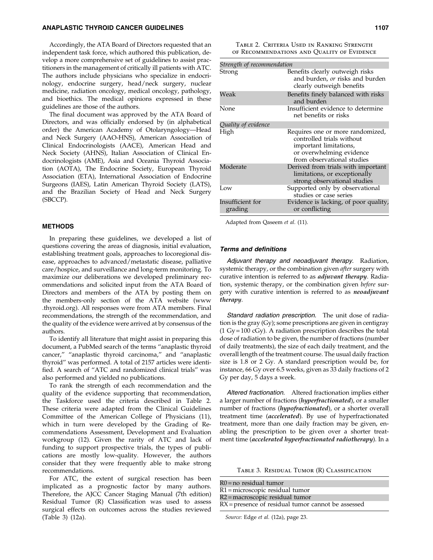Accordingly, the ATA Board of Directors requested that an independent task force, which authored this publication, develop a more comprehensive set of guidelines to assist practitioners in the management of critically ill patients with ATC. The authors include physicians who specialize in endocrinology, endocrine surgery, head/neck surgery, nuclear medicine, radiation oncology, medical oncology, pathology, and bioethics. The medical opinions expressed in these guidelines are those of the authors.

The final document was approved by the ATA Board of Directors, and was officially endorsed by (in alphabetical order) the American Academy of Otolaryngology—Head and Neck Surgery (AAO-HNS), American Association of Clinical Endocrinologists (AACE), American Head and Neck Society (AHNS), Italian Association of Clinical Endocrinologists (AME), Asia and Oceania Thyroid Association (AOTA), The Endocrine Society, European Thyroid Association (ETA), International Association of Endocrine Surgeons (IAES), Latin American Thyroid Society (LATS), and the Brazilian Society of Head and Neck Surgery (SBCCP).

## METHODS

In preparing these guidelines, we developed a list of questions covering the areas of diagnosis, initial evaluation, establishing treatment goals, approaches to locoregional disease, approaches to advanced/metastatic disease, palliative care/hospice, and surveillance and long-term monitoring. To maximize our deliberations we developed preliminary recommendations and solicited input from the ATA Board of Directors and members of the ATA by posting them on the members-only section of the ATA website (www .thyroid.org). All responses were from ATA members. Final recommendations, the strength of the recommendation, and the quality of the evidence were arrived at by consensus of the authors.

To identify all literature that might assist in preparing this document, a PubMed search of the terms ''anaplastic thyroid cancer,'' ''anaplastic thyroid carcinoma,'' and ''anaplastic thyroid'' was performed. A total of 2157 articles were identified. A search of ''ATC and randomized clinical trials'' was also performed and yielded no publications.

To rank the strength of each recommendation and the quality of the evidence supporting that recommendation, the Taskforce used the criteria described in Table 2. These criteria were adapted from the Clinical Guidelines Committee of the American College of Physicians (11), which in turn were developed by the Grading of Recommendations Assessment, Development and Evaluation workgroup (12). Given the rarity of ATC and lack of funding to support prospective trials, the types of publications are mostly low-quality. However, the authors consider that they were frequently able to make strong recommendations.

For ATC, the extent of surgical resection has been implicated as a prognostic factor by many authors. Therefore, the AJCC Cancer Staging Manual (7th edition) Residual Tumor (R) Classification was used to assess surgical effects on outcomes across the studies reviewed (Table 3) (12a).

| TABLE 2. CRITERIA USED IN RANKING STRENGTH |  |
|--------------------------------------------|--|
| OF RECOMMENDATIONS AND OUALITY OF EVIDENCE |  |

| Strength of recommendation  |                                                                                                                                                   |
|-----------------------------|---------------------------------------------------------------------------------------------------------------------------------------------------|
| Strong                      | Benefits clearly outweigh risks<br>and burden, or risks and burden<br>clearly outweigh benefits                                                   |
| Weak                        | Benefits finely balanced with risks<br>and burden                                                                                                 |
| None                        | Insufficient evidence to determine<br>net benefits or risks                                                                                       |
| Quality of evidence         |                                                                                                                                                   |
| High                        | Requires one or more randomized,<br>controlled trials without<br>important limitations,<br>or overwhelming evidence<br>from observational studies |
| Moderate                    | Derived from trials with important<br>limitations, or exceptionally<br>strong observational studies                                               |
| Low                         | Supported only by observational<br>studies or case series                                                                                         |
| Insufficient for<br>grading | Evidence is lacking, of poor quality,<br>or conflicting                                                                                           |

Adapted from Qaseem et al. (11).

#### Terms and definitions

Adjuvant therapy and neoadjuvant therapy. Radiation, systemic therapy, or the combination given after surgery with curative intention is referred to as adjuvant therapy. Radiation, systemic therapy, or the combination given before surgery with curative intention is referred to as *neoadjuvant* therapy.

Standard radiation prescription. The unit dose of radiation is the gray (Gy); some prescriptions are given in centigray  $(1 \text{ Gy}=100 \text{ cGy})$ . A radiation prescription describes the total dose of radiation to be given, the number of fractions (number of daily treatments), the size of each daily treatment, and the overall length of the treatment course. The usual daily fraction size is 1.8 or 2 Gy. A standard prescription would be, for instance, 66 Gy over 6.5 weeks, given as 33 daily fractions of 2 Gy per day, 5 days a week.

Altered fractionation. Altered fractionation implies either a larger number of fractions (hyperfractionated), or a smaller number of fractions (hypofractionated), or a shorter overall treatment time (accelerated). By use of hyperfractionated treatment, more than one daily fraction may be given, enabling the prescription to be given over a shorter treatment time (accelerated hyperfractionated radiotherapy). In a

Table 3. Residual Tumor (R) Classification

| $R0$ =no residual tumor                              |  |
|------------------------------------------------------|--|
| $R1$ = microscopic residual tumor                    |  |
| R2 = macroscopic residual tumor                      |  |
| $RX =$ presence of residual tumor cannot be assessed |  |

Source: Edge et al. (12a), page 23.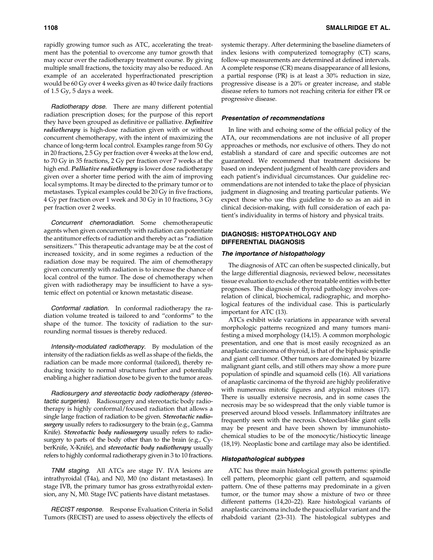rapidly growing tumor such as ATC, accelerating the treatment has the potential to overcome any tumor growth that may occur over the radiotherapy treatment course. By giving multiple small fractions, the toxicity may also be reduced. An example of an accelerated hyperfractionated prescription would be 60 Gy over 4 weeks given as 40 twice daily fractions of 1.5 Gy, 5 days a week.

Radiotherapy dose. There are many different potential radiation prescription doses; for the purpose of this report they have been grouped as definitive or palliative. Definitive radiotherapy is high-dose radiation given with or without concurrent chemotherapy, with the intent of maximizing the chance of long-term local control. Examples range from 50 Gy in 20 fractions, 2.5 Gy per fraction over 4 weeks at the low end, to 70 Gy in 35 fractions, 2 Gy per fraction over 7 weeks at the high end. Palliative radiotherapy is lower dose radiotherapy given over a shorter time period with the aim of improving local symptoms. It may be directed to the primary tumor or to metastases. Typical examples could be 20 Gy in five fractions, 4 Gy per fraction over 1 week and 30 Gy in 10 fractions, 3 Gy per fraction over 2 weeks.

Concurrent chemoradiation. Some chemotherapeutic agents when given concurrently with radiation can potentiate the antitumor effects of radiation and thereby act as ''radiation sensitizers.'' This therapeutic advantage may be at the cost of increased toxicity, and in some regimes a reduction of the radiation dose may be required. The aim of chemotherapy given concurrently with radiation is to increase the chance of local control of the tumor. The dose of chemotherapy when given with radiotherapy may be insufficient to have a systemic effect on potential or known metastatic disease.

Conformal radiation. In conformal radiotherapy the radiation volume treated is tailored to and ''conforms'' to the shape of the tumor. The toxicity of radiation to the surrounding normal tissues is thereby reduced.

Intensity-modulated radiotherapy. By modulation of the intensity of the radiation fields as well as shape of the fields, the radiation can be made more conformal (tailored), thereby reducing toxicity to normal structures further and potentially enabling a higher radiation dose to be given to the tumor areas.

Radiosurgery and stereotactic body radiotherapy (stereotactic surgeries). Radiosurgery and stereotactic body radiotherapy is highly conformal/focused radiation that allows a single large fraction of radiation to be given. Stereotactic radiosurgery usually refers to radiosurgery to the brain (e.g., Gamma Knife). Stereotactic body radiosurgery usually refers to radiosurgery to parts of the body other than to the brain (e.g., CyberKnife, X-Knife), and stereotactic body radiotherapy usually refers to highly conformal radiotherapy given in 3 to 10 fractions.

TNM staging. All ATCs are stage IV. IVA lesions are intrathyroidal (T4a), and N0, M0 (no distant metastases). In stage IVB, the primary tumor has gross extrathyroidal extension, any N, M0. Stage IVC patients have distant metastases.

RECIST response. Response Evaluation Criteria in Solid Tumors (RECIST) are used to assess objectively the effects of systemic therapy. After determining the baseline diameters of index lesions with computerized tomography (CT) scans, follow-up measurements are determined at defined intervals. A complete response (CR) means disappearance of all lesions, a partial response (PR) is at least a 30% reduction in size, progressive disease is a 20% or greater increase, and stable disease refers to tumors not reaching criteria for either PR or progressive disease.

#### Presentation of recommendations

In line with and echoing some of the official policy of the ATA, our recommendations are not inclusive of all proper approaches or methods, nor exclusive of others. They do not establish a standard of care and specific outcomes are not guaranteed. We recommend that treatment decisions be based on independent judgment of health care providers and each patient's individual circumstances. Our guideline recommendations are not intended to take the place of physician judgment in diagnosing and treating particular patients. We expect those who use this guideline to do so as an aid in clinical decision-making, with full consideration of each patient's individuality in terms of history and physical traits.

# DIAGNOSIS: HISTOPATHOLOGY AND DIFFERENTIAL DIAGNOSIS

#### The importance of histopathology

The diagnosis of ATC can often be suspected clinically, but the large differential diagnosis, reviewed below, necessitates tissue evaluation to exclude other treatable entities with better prognoses. The diagnosis of thyroid pathology involves correlation of clinical, biochemical, radiographic, and morphological features of the individual case. This is particularly important for ATC (13).

ATCs exhibit wide variations in appearance with several morphologic patterns recognized and many tumors manifesting a mixed morphology (14,15). A common morphologic presentation, and one that is most easily recognized as an anaplastic carcinoma of thyroid, is that of the biphasic spindle and giant cell tumor. Other tumors are dominated by bizarre malignant giant cells, and still others may show a more pure population of spindle and squamoid cells (16). All variations of anaplastic carcinoma of the thyroid are highly proliferative with numerous mitotic figures and atypical mitoses (17). There is usually extensive necrosis, and in some cases the necrosis may be so widespread that the only viable tumor is preserved around blood vessels. Inflammatory infiltrates are frequently seen with the necrosis. Osteoclast-like giant cells may be present and have been shown by immunohistochemical studies to be of the monocytic/histiocytic lineage (18,19). Neoplastic bone and cartilage may also be identified.

#### Histopathological subtypes

ATC has three main histological growth patterns: spindle cell pattern, pleomorphic giant cell pattern, and squamoid pattern. One of these patterns may predominate in a given tumor, or the tumor may show a mixture of two or three different patterns (14,20–22). Rare histological variants of anaplastic carcinoma include the paucicellular variant and the rhabdoid variant (23–31). The histological subtypes and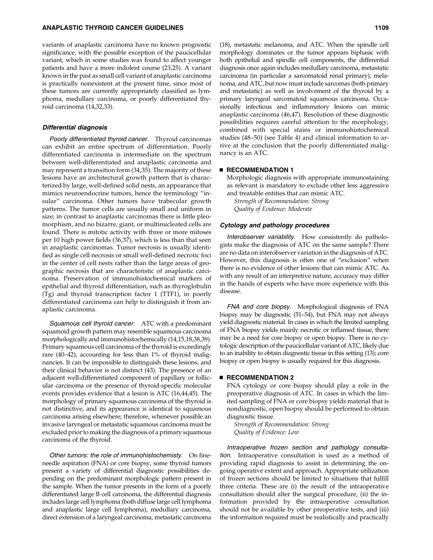variants of anaplastic carcinoma have no known prognostic significance, with the possible exception of the paucicellular variant, which in some studies was found to affect younger patients and have a more indolent course (23,25). A variant known in the past as small cell variant of anaplastic carcinoma is practically nonexistent at the present time, since most of these tumors are currently appropriately classified as lymphoma, medullary carcinoma, or poorly differentiated thyroid carcinoma (14,32,33).

#### Differential diagnosis

Poorly differentiated thyroid cancer. Thyroid carcinomas can exhibit an entire spectrum of differentiation. Poorly differentiated carcinoma is intermediate on the spectrum between well-differentiated and anaplastic carcinoma and may represent a transition form (34,35). The majority of these lesions have an architectural growth pattern that is characterized by large, well-defined solid nests, an appearance that mimics neuroendocrine tumors, hence the terminology ''insular'' carcinoma. Other tumors have trabecular growth patterns. The tumor cells are usually small and uniform in size; in contrast to anaplastic carcinomas there is little pleomorphism, and no bizarre, giant, or multinucleated cells are found. There is mitotic activity with three or more mitoses per 10 high power fields (36,37), which is less than that seen in anaplastic carcinomas. Tumor necrosis is usually identified as single cell necrosis or small well-defined necrotic foci in the center of cell nests rather than the large areas of geographic necrosis that are characteristic of anaplastic carcinoma. Preservation of immunohistochemical markers of epithelial and thyroid differentiation, such as thyroglobulin (Tg) and thyroid transcription factor 1 (TTF1), in poorly differentiated carcinoma can help to distinguish it from anaplastic carcinoma.

Squamous cell thyroid cancer. ATC with a predominant squamoid growth pattern may resemble squamous carcinoma morphologically and immunohistochemically (14,15,18,38,39). Primary squamous cell carcinoma of the thyroid is exceedingly rare (40–42), accounting for less than 1% of thyroid malignancies. It can be impossible to distinguish these lesions, and their clinical behavior is not distinct (43). The presence of an adjacent well-differentiated component of papillary or follicular carcinoma or the presence of thyroid-specific molecular events provides evidence that a lesion is ATC (16,44,45). The morphology of primary squamous carcinoma of the thyroid is not distinctive, and its appearance is identical to squamous carcinoma arising elsewhere; therefore, whenever possible an invasive laryngeal or metastatic squamous carcinoma must be excluded prior to making the diagnosis of a primary squamous carcinoma of the thyroid.

Other tumors: the role of immunohistochemisty. On fineneedle aspiration (FNA) or core biopsy, some thyroid tumors present a variety of differential diagnostic possibilities depending on the predominant morphologic pattern present in the sample. When the tumor presents in the form of a poorly differentiated large B cell carcinoma, the differential diagnosis includes large cell lymphoma (both diffuse large cell lymphoma and anaplastic large cell lymphoma), medullary carcinoma, direct extension of a laryngeal carcinoma, metastatic carcinoma

(18), metastatic melanoma, and ATC. When the spindle cell morphology dominates or the tumor appears biphasic with both epithelial and spindle cell components, the differential diagnosis once again includes medullary carcinoma, metastatic carcinoma (in particular a sarcomatoid renal primary), melanoma, and ATC, but now must include sarcomas (both primary and metastatic) as well as involvement of the thyroid by a primary laryngeal sarcomatoid squamous carcinoma. Occasionally infectious and inflammatory lesions can mimic anaplastic carcinoma (46,47). Resolution of these diagnostic possibilities requires careful attention to the morphology, combined with special stains or immunohistochemical studies (48–50) (see Table 4) and clinical information to arrive at the conclusion that the poorly differentiated malignancy is an ATC.

## **B** RECOMMENDATION 1

Morphologic diagnosis with appropriate immunostaining as relevant is mandatory to exclude other less aggressive and treatable entities that can mimic ATC.

Strength of Recommendation: Strong Quality of Evidence: Moderate

#### Cytology and pathology procedures

Interobserver variability. How consistently do pathologists make the diagnosis of ATC on the same sample? There are no data on interobserver variation in the diagnosis of ATC. However, this diagnosis is often one of ''exclusion'' when there is no evidence of other lesions that can mimic ATC. As with any result of an interpretive nature, accuracy may differ in the hands of experts who have more experience with this disease.

FNA and core biopsy. Morphological diagnosis of FNA biopsy may be diagnostic (51–54), but FNA may not always yield diagnostic material. In cases in which the limited sampling of FNA biopsy yields mainly necrotic or inflamed tissue, there may be a need for core biopsy or open biopsy. There is no cytologic description of the paucicellular variant of ATC, likely due to an inability to obtain diagnostic tissue in this setting (13); core biopsy or open biopsy is usually required for this diagnosis.

## **BECOMMENDATION 2**

FNA cytology or core biopsy should play a role in the preoperative diagnosis of ATC. In cases in which the limited sampling of FNA or core biopsy yields material that is nondiagnostic, open biopsy should be performed to obtain diagnostic tissue.

Strength of Recommendation: Strong Quality of Evidence: Low

Intraoperative frozen section and pathology consultation. Intraoperative consultation is used as a method of providing rapid diagnosis to assist in determining the ongoing operative extent and approach. Appropriate utilization of frozen sections should be limited to situations that fulfill three criteria. These are (i) the result of the intraoperative consultation should alter the surgical procedure, (ii) the information provided by the intraoperative consultation should not be available by other preoperative tests, and (iii) the information required must be realistically and practically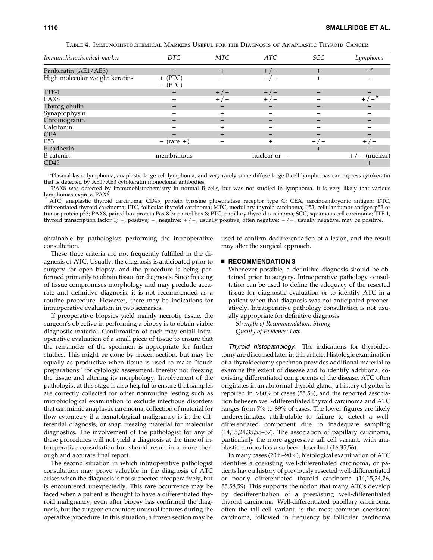| Immunohistochemical marker     | DTC                    | <b>MTC</b>               | ATC            | <b>SCC</b> | Lymphoma           |
|--------------------------------|------------------------|--------------------------|----------------|------------|--------------------|
| Pankeratin (AE1/AE3)           | $^{+}$                 | $+$                      | $+/-$          | $+$        | $-$ a              |
| High molecular weight keratins | $+$ (PTC)<br>$-$ (FTC) |                          | $- / +$        | $^{+}$     |                    |
| TTF-1                          | $^{+}$                 | $+/-$                    | $-$ /+         | —          |                    |
| PAX8                           | $^{+}$                 | $+/-$                    | $+/-$          |            |                    |
| Thyroglobulin                  | $^{+}$                 |                          |                |            |                    |
| Synaptophysin                  |                        | $^{+}$                   |                |            |                    |
| Chromogranin                   |                        | $+$                      | -              | -          | $\qquad \qquad -$  |
| Calcitonin                     |                        | $^{+}$                   |                |            |                    |
| <b>CEA</b>                     |                        | $+$                      |                |            |                    |
| P <sub>53</sub>                | $-$ (rare $+$ )        | $\overline{\phantom{m}}$ | $^{+}$         | $+/-$      | $+/-$              |
| E-cadherin                     | $^{+}$                 |                          |                | $^{+}$     | -                  |
| B-catenin                      | membranous             |                          | nuclear or $-$ |            | (nuclear)<br>$+/-$ |
| CD45                           |                        |                          |                |            | $^+$               |
|                                |                        |                          |                |            |                    |

a Plasmablastic lymphoma, anaplastic large cell lymphoma, and very rarely some diffuse large B cell lymphomas can express cytokeratin that is detected by AE1/AE3 cytokeratin monoclonal antibodies

PAX8 was detected by immunohistochemistry in normal B cells, but was not studied in lymphoma. It is very likely that various lymphomas express PAX8.

ATC, anaplastic thyroid carcinoma; CD45, protein tyrosine phosphatase receptor type C; CEA, carcinoembryonic antigen; DTC, differentiated thyroid carcinoma; FTC, follicular thyroid carcinoma; MTC, medullary thyroid carcinoma; P53, cellular tumor antigen p53 or tumor protein p53; PAX8, paired box protein Pax 8 or paired box 8; PTC, papillary thyroid carcinoma; SCC, squamous cell carcinoma; TTF-1, thyroid transcription factor 1; +, positive; -, negative; +/-, usually positive, often negative;  $-$ /+, usually negative, may be positive.

obtainable by pathologists performing the intraoperative consultation.

These three criteria are not frequently fulfilled in the diagnosis of ATC. Usually, the diagnosis is anticipated prior to surgery for open biopsy, and the procedure is being performed primarily to obtain tissue for diagnosis. Since freezing of tissue compromises morphology and may preclude accurate and definitive diagnosis, it is not recommended as a routine procedure. However, there may be indications for intraoperative evaluation in two scenarios.

If preoperative biopsies yield mainly necrotic tissue, the surgeon's objective in performing a biopsy is to obtain viable diagnostic material. Confirmation of such may entail intraoperative evaluation of a small piece of tissue to ensure that the remainder of the specimen is appropriate for further studies. This might be done by frozen section, but may be equally as productive when tissue is used to make ''touch preparations'' for cytologic assessment, thereby not freezing the tissue and altering its morphology. Involvement of the pathologist at this stage is also helpful to ensure that samples are correctly collected for other nonroutine testing such as microbiological examination to exclude infectious disorders that can mimic anaplastic carcinoma, collection of material for flow cytometry if a hematological malignancy is in the differential diagnosis, or snap freezing material for molecular diagnostics. The involvement of the pathologist for any of these procedures will not yield a diagnosis at the time of intraoperative consultation but should result in a more thorough and accurate final report.

The second situation in which intraoperative pathologist consultation may prove valuable in the diagnosis of ATC arises when the diagnosis is not suspected preoperatively, but is encountered unexpectedly. This rare occurrence may be faced when a patient is thought to have a differentiated thyroid malignancy, even after biopsy has confirmed the diagnosis, but the surgeon encounters unusual features during the operative procedure. In this situation, a frozen section may be used to confirm dedifferentiation of a lesion, and the result may alter the surgical approach.

#### **E** RECOMMENDATION 3

Whenever possible, a definitive diagnosis should be obtained prior to surgery. Intraoperative pathology consultation can be used to define the adequacy of the resected tissue for diagnostic evaluation or to identify ATC in a patient when that diagnosis was not anticipated preoperatively. Intraoperative pathology consultation is not usually appropriate for definitive diagnosis.

Strength of Recommendation: Strong Quality of Evidence: Low

Thyroid histopathology. The indications for thyroidectomy are discussed later in this article. Histologic examination of a thyroidectomy specimen provides additional material to examine the extent of disease and to identify additional coexisting differentiated components of the disease. ATC often originates in an abnormal thyroid gland; a history of goiter is reported in >80% of cases (55,56), and the reported association between well-differentiated thyroid carcinoma and ATC ranges from 7% to 89% of cases. The lower figures are likely underestimates, attributable to failure to detect a welldifferentiated component due to inadequate sampling (14,15,24,35,55–57). The association of papillary carcinoma, particularly the more aggressive tall cell variant, with anaplastic tumors has also been described (16,35,56).

In many cases (20%–90%), histological examination of ATC identifies a coexisting well-differentiated carcinoma, or patients have a history of previously resected well-differentiated or poorly differentiated thyroid carcinoma (14,15,24,26, 55,58,59). This supports the notion that many ATCs develop by dedifferentiation of a preexisting well-differentiated thyroid carcinoma. Well-differentiated papillary carcinoma, often the tall cell variant, is the most common coexistent carcinoma, followed in frequency by follicular carcinoma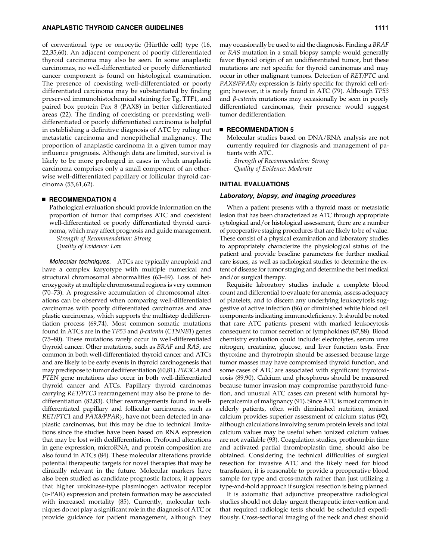of conventional type or oncocytic (Hürthle cell) type (16, 22,35,60). An adjacent component of poorly differentiated thyroid carcinoma may also be seen. In some anaplastic carcinomas, no well-differentiated or poorly differentiated cancer component is found on histological examination. The presence of coexisting well-differentiated or poorly differentiated carcinoma may be substantiated by finding preserved immunohistochemical staining for Tg, TTF1, and paired box protein Pax 8 (PAX8) in better differentiated areas (22). The finding of coexisting or preexisting welldifferentiated or poorly differentiated carcinoma is helpful in establishing a definitive diagnosis of ATC by ruling out metastatic carcinoma and nonepithelial malignancy. The proportion of anaplastic carcinoma in a given tumor may influence prognosis. Although data are limited, survival is likely to be more prolonged in cases in which anaplastic carcinoma comprises only a small component of an otherwise well-differentiated papillary or follicular thyroid carcinoma (55,61,62).

#### **B** RECOMMENDATION 4

Pathological evaluation should provide information on the proportion of tumor that comprises ATC and coexistent well-differentiated or poorly differentiated thyroid carcinoma, which may affect prognosis and guide management. Strength of Recommendation: Strong Quality of Evidence: Low

Molecular techniques. ATCs are typically aneuploid and have a complex karyotype with multiple numerical and structural chromosomal abnormalities (63–69). Loss of heterozygosity at multiple chromosomal regions is very common (70–73). A progressive accumulation of chromosomal alterations can be observed when comparing well-differentiated carcinomas with poorly differentiated carcinomas and anaplastic carcinomas, which supports the multistep dedifferentiation process (69,74). Most common somatic mutations found in ATCs are in the  $TP53$  and  $\beta$ -catenin (CTNNB1) genes (75–80). These mutations rarely occur in well-differentiated thyroid cancer. Other mutations, such as BRAF and RAS, are common in both well-differentiated thyroid cancer and ATCs and are likely to be early events in thyroid carcinogenesis that may predispose to tumor dedifferentiation (60,81). PIK3CA and PTEN gene mutations also occur in both well-differentiated thyroid cancer and ATCs. Papillary thyroid carcinomas carrying RET/PTC3 rearrangement may also be prone to dedifferentiation (82,83). Other rearrangements found in welldifferentiated papillary and follicular carcinomas, such as  $RET/PTC1$  and  $PAX8/PPAR\gamma$ , have not been detected in anaplastic carcinomas, but this may be due to technical limitations since the studies have been based on RNA expression that may be lost with dedifferentiation. Profound alterations in gene expression, microRNA, and protein composition are also found in ATCs (84). These molecular alterations provide potential therapeutic targets for novel therapies that may be clinically relevant in the future. Molecular markers have also been studied as candidate prognostic factors; it appears that higher urokinase-type plasminogen activator receptor (u-PAR) expression and protein formation may be associated with increased mortality (85). Currently, molecular techniques do not play a significant role in the diagnosis of ATC or provide guidance for patient management, although they

may occasionally be used to aid the diagnosis. Finding a BRAF or RAS mutation in a small biopsy sample would generally favor thyroid origin of an undifferentiated tumor, but these mutations are not specific for thyroid carcinomas and may occur in other malignant tumors. Detection of RET/PTC and  $PAX8/PPAR\gamma$  expression is fairly specific for thyroid cell origin; however, it is rarely found in ATC (79). Although TP53 and  $\beta$ -catenin mutations may occasionally be seen in poorly differentiated carcinomas, their presence would suggest tumor dedifferentiation.

#### **B** RECOMMENDATION 5

Molecular studies based on DNA/RNA analysis are not currently required for diagnosis and management of patients with ATC.

Strength of Recommendation: Strong Quality of Evidence: Moderate

#### INITIAL EVALUATIONS

#### Laboratory, biopsy, and imaging procedures

When a patient presents with a thyroid mass or metastatic lesion that has been characterized as ATC through appropriate cytological and/or histological assessment, there are a number of preoperative staging procedures that are likely to be of value. These consist of a physical examination and laboratory studies to appropriately characterize the physiological status of the patient and provide baseline parameters for further medical care issues, as well as radiological studies to determine the extent of disease for tumor staging and determine the best medical and/or surgical therapy.

Requisite laboratory studies include a complete blood count and differential to evaluate for anemia, assess adequacy of platelets, and to discern any underlying leukocytosis suggestive of active infection (86) or diminished white blood cell components indicating immunodeficiency. It should be noted that rare ATC patients present with marked leukocytosis consequent to tumor secretion of lymphokines (87,88). Blood chemistry evaluation could include: electrolytes, serum urea nitrogen, creatinine, glucose, and liver function tests. Free thyroxine and thyrotropin should be assessed because large tumor masses may have compromised thyroid function, and some cases of ATC are associated with significant thyrotoxicosis (89,90). Calcium and phosphorus should be measured because tumor invasion may compromise parathyroid function, and unusual ATC cases can present with humoral hypercalcemia of malignancy (91). Since ATC is most common in elderly patients, often with diminished nutrition, ionized calcium provides superior assessment of calcium status (92), although calculations involving serum protein levels and total calcium values may be useful when ionized calcium values are not available (93). Coagulation studies, prothrombin time and activated partial thromboplastin time, should also be obtained. Considering the technical difficulties of surgical resection for invasive ATC and the likely need for blood transfusion, it is reasonable to provide a preoperative blood sample for type and cross-match rather than just utilizing a type-and-hold approach if surgical resection is being planned.

It is axiomatic that adjunctive preoperative radiological studies should not delay urgent therapeutic intervention and that required radiologic tests should be scheduled expeditiously. Cross-sectional imaging of the neck and chest should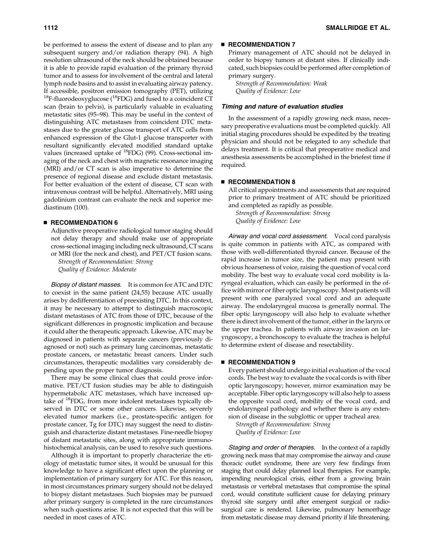be performed to assess the extent of disease and to plan any subsequent surgery and/or radiation therapy (94). A high resolution ultrasound of the neck should be obtained because it is able to provide rapid evaluation of the primary thyroid tumor and to assess for involvement of the central and lateral lymph node basins and to assist in evaluating airway patency. If accessible, positron emission tomography (PET), utilizing  $18F$ -fluorodeoxyglucose ( $18FDG$ ) and fused to a coincident CT scan (brain to pelvis), is particularly valuable in evaluating metastatic sites (95–98). This may be useful in the context of distinguishing ATC metastases from coincident DTC metastases due to the greater glucose transport of ATC cells from enhanced expression of the Glut-1 glucose transporter with resultant significantly elevated modified standard uptake values (increased uptake of  ${}^{18}$ FDG) (99). Cross-sectional imaging of the neck and chest with magnetic resonance imaging (MRI) and/or CT scan is also imperative to determine the presence of regional disease and exclude distant metastasis. For better evaluation of the extent of disease, CT scan with intravenous contrast will be helpful. Alternatively, MRI using gadolinium contrast can evaluate the neck and superior mediastinum (100).

## **E** RECOMMENDATION 6

Adjunctive preoperative radiological tumor staging should not delay therapy and should make use of appropriate cross-sectional imaging including neck ultrasound, CT scans or MRI (for the neck and chest), and PET/CT fusion scans.

Strength of Recommendation: Strong Quality of Evidence: Moderate

Biopsy of distant masses. It is common for ATC and DTC to coexist in the same patient (24,55) because ATC usually arises by dedifferentiation of preexisting DTC. In this context, it may be necessary to attempt to distinguish macroscopic distant metastases of ATC from those of DTC, because of the significant differences in prognostic implication and because it could alter the therapeutic approach. Likewise, ATC may be diagnosed in patients with separate cancers (previously diagnosed or not) such as primary lung carcinomas, metastatic prostate cancers, or metastatic breast cancers. Under such circumstances, therapeutic modalities vary considerably depending upon the proper tumor diagnosis.

There may be some clinical clues that could prove informative. PET/CT fusion studies may be able to distinguish hypermetabolic ATC metastases, which have increased uptake of <sup>18</sup>FDG, from more indolent metastases typically observed in DTC or some other cancers. Likewise, severely elevated tumor markers (i.e., prostate-specific antigen for prostate cancer, Tg for DTC) may suggest the need to distinguish and characterize distant metastases. Fine-needle biopsy of distant metastatic sites, along with appropriate immunohistochemical analysis, can be used to resolve such questions.

Although it is important to properly characterize the etiology of metastatic tumor sites, it would be unusual for this knowledge to have a significant effect upon the planning or implementation of primary surgery for ATC. For this reason, in most circumstances primary surgery should not be delayed to biopsy distant metastases. Such biopsies may be pursued after primary surgery is completed in the rare circumstances when such questions arise. It is not expected that this will be needed in most cases of ATC.

#### **E** RECOMMENDATION 7

Primary management of ATC should not be delayed in order to biopsy tumors at distant sites. If clinically indicated, such biopsies could be performed after completion of primary surgery.

Strength of Recommendation: Weak Quality of Evidence: Low

#### Timing and nature of evaluation studies

In the assessment of a rapidly growing neck mass, necessary preoperative evaluations must be completed quickly. All initial staging procedures should be expedited by the treating physician and should not be relegated to any schedule that delays treatment. It is critical that preoperative medical and anesthesia assessments be accomplished in the briefest time if required.

#### **E** RECOMMENDATION 8

All critical appointments and assessments that are required prior to primary treatment of ATC should be prioritized and completed as rapidly as possible.

Strength of Recommendation: Strong Quality of Evidence: Low

Airway and vocal cord assessment. Vocal cord paralysis is quite common in patients with ATC, as compared with those with well-differentiated thyroid cancer. Because of the rapid increase in tumor size, the patient may present with obvious hoarseness of voice, raising the question of vocal cord mobility. The best way to evaluate vocal cord mobility is laryngeal evaluation, which can easily be performed in the office with mirror or fiber optic laryngoscopy. Most patients will present with one paralyzed vocal cord and an adequate airway. The endolaryngeal mucosa is generally normal. The fiber optic laryngoscopy will also help to evaluate whether there is direct involvement of the tumor, either in the larynx or the upper trachea. In patients with airway invasion on laryngoscopy, a bronchoscopy to evaluate the trachea is helpful to determine extent of disease and resectability.

#### **E** RECOMMENDATION 9

Every patient should undergo initial evaluation of the vocal cords. The best way to evaluate the vocal cords is with fiber optic laryngoscopy; however, mirror examination may be acceptable. Fiber optic laryngoscopy will also help to assess the opposite vocal cord, mobility of the vocal cord, and endolaryngeal pathology and whether there is any extension of disease in the subglottic or upper tracheal area.

Strength of Recommendation: Strong Quality of Evidence: Low

Staging and order of therapies. In the context of a rapidly growing neck mass that may compromise the airway and cause thoracic outlet syndrome, there are very few findings from staging that could delay planned local therapies. For example, impending neurological crisis, either from a growing brain metastasis or vertebral metastases that compromise the spinal cord, would constitute sufficient cause for delaying primary thyroid site surgery until after emergent surgical or radiosurgical care is rendered. Likewise, pulmonary hemorrhage from metastatic disease may demand priority if life threatening.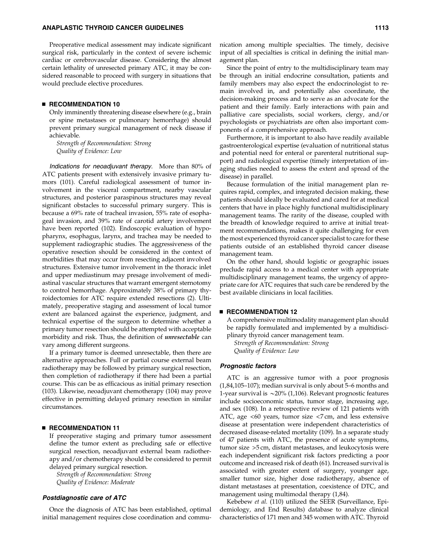Preoperative medical assessment may indicate significant surgical risk, particularly in the context of severe ischemic cardiac or cerebrovascular disease. Considering the almost certain lethality of unresected primary ATC, it may be considered reasonable to proceed with surgery in situations that would preclude elective procedures.

## **BECOMMENDATION 10**

Only imminently threatening disease elsewhere (e.g., brain or spine metastases or pulmonary hemorrhage) should prevent primary surgical management of neck disease if achievable.

Strength of Recommendation: Strong Quality of Evidence: Low

Indications for neoadjuvant therapy. More than 80% of ATC patients present with extensively invasive primary tumors (101). Careful radiological assessment of tumor involvement in the visceral compartment, nearby vascular structures, and posterior paraspinous structures may reveal significant obstacles to successful primary surgery. This is because a 69% rate of tracheal invasion, 55% rate of esophageal invasion, and 39% rate of carotid artery involvement have been reported (102). Endoscopic evaluation of hypopharynx, esophagus, larynx, and trachea may be needed to supplement radiographic studies. The aggressiveness of the operative resection should be considered in the context of morbidities that may occur from resecting adjacent involved structures. Extensive tumor involvement in the thoracic inlet and upper mediastinum may presage involvement of mediastinal vascular structures that warrant emergent sternotomy to control hemorrhage. Approximately 38% of primary thyroidectomies for ATC require extended resections (2). Ultimately, preoperative staging and assessment of local tumor extent are balanced against the experience, judgment, and technical expertise of the surgeon to determine whether a primary tumor resection should be attempted with acceptable morbidity and risk. Thus, the definition of unresectable can vary among different surgeons.

If a primary tumor is deemed unresectable, then there are alternative approaches. Full or partial course external beam radiotherapy may be followed by primary surgical resection, then completion of radiotherapy if there had been a partial course. This can be as efficacious as initial primary resection (103). Likewise, neoadjuvant chemotherapy (104) may prove effective in permitting delayed primary resection in similar circumstances.

# **B** RECOMMENDATION 11

If preoperative staging and primary tumor assessment define the tumor extent as precluding safe or effective surgical resection, neoadjuvant external beam radiotherapy and/or chemotherapy should be considered to permit delayed primary surgical resection.

Strength of Recommendation: Strong Quality of Evidence: Moderate

#### Postdiagnostic care of ATC

Once the diagnosis of ATC has been established, optimal initial management requires close coordination and communication among multiple specialties. The timely, decisive input of all specialties is critical in defining the initial management plan.

Since the point of entry to the multidisciplinary team may be through an initial endocrine consultation, patients and family members may also expect the endocrinologist to remain involved in, and potentially also coordinate, the decision-making process and to serve as an advocate for the patient and their family. Early interactions with pain and palliative care specialists, social workers, clergy, and/or psychologists or psychiatrists are often also important components of a comprehensive approach.

Furthermore, it is important to also have readily available gastroenterological expertise (evaluation of nutritional status and potential need for enteral or parenteral nutritional support) and radiological expertise (timely interpretation of imaging studies needed to assess the extent and spread of the disease) in parallel.

Because formulation of the initial management plan requires rapid, complex, and integrated decision making, these patients should ideally be evaluated and cared for at medical centers that have in place highly functional multidisciplinary management teams. The rarity of the disease, coupled with the breadth of knowledge required to arrive at initial treatment recommendations, makes it quite challenging for even the most experienced thyroid cancer specialist to care for these patients outside of an established thyroid cancer disease management team.

On the other hand, should logistic or geographic issues preclude rapid access to a medical center with appropriate multidisciplinary management teams, the urgency of appropriate care for ATC requires that such care be rendered by the best available clinicians in local facilities.

## **B** RECOMMENDATION 12

A comprehensive multimodality management plan should be rapidly formulated and implemented by a multidisciplinary thyroid cancer management team.

Strength of Recommendation: Strong Quality of Evidence: Low

#### Prognostic factors

ATC is an aggressive tumor with a poor prognosis (1,84,105–107); median survival is only about 5–6 months and 1-year survival is  $\sim$ 20% (1,106). Relevant prognostic features include socioeconomic status, tumor stage, increasing age, and sex (108). In a retrospective review of 121 patients with ATC, age <60 years, tumor size <7 cm, and less extensive disease at presentation were independent characteristics of decreased disease-related mortality (109). In a separate study of 47 patients with ATC, the presence of acute symptoms, tumor size >5 cm, distant metastases, and leukocytosis were each independent significant risk factors predicting a poor outcome and increased risk of death (61). Increased survival is associated with greater extent of surgery, younger age, smaller tumor size, higher dose radiotherapy, absence of distant metastases at presentation, coexistence of DTC, and management using multimodal therapy (1,84).

Kebebew et al. (110) utilized the SEER (Surveillance, Epidemiology, and End Results) database to analyze clinical characteristics of 171 men and 345 women with ATC. Thyroid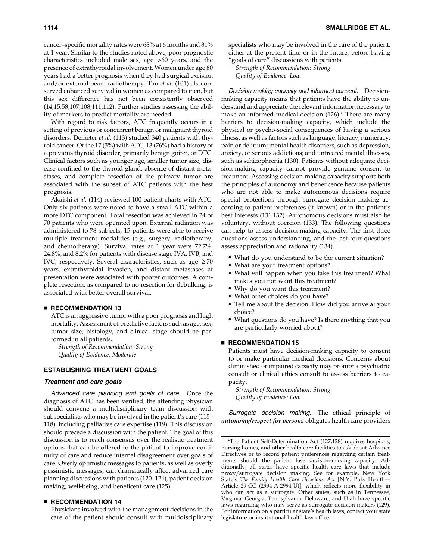cancer–specific mortality rates were 68% at 6 months and 81% at 1 year. Similar to the studies noted above, poor prognostic characteristics included male sex, age >60 years, and the presence of extrathyroidal involvement. Women under age 60 years had a better prognosis when they had surgical excision and/or external beam radiotherapy. Tan et al. (101) also observed enhanced survival in women as compared to men, but this sex difference has not been consistently observed (14,15,58,107,108,111,112). Further studies assessing the ability of markers to predict mortality are needed.

With regard to risk factors, ATC frequently occurs in a setting of previous or concurrent benign or malignant thyroid disorders. Demeter et al. (113) studied 340 patients with thyroid cancer. Of the 17 (5%) with ATC, 13 (76%) had a history of a previous thyroid disorder, primarily benign goiter, or DTC. Clinical factors such as younger age, smaller tumor size, disease confined to the thyroid gland, absence of distant metastases, and complete resection of the primary tumor are associated with the subset of ATC patients with the best prognosis.

Akaishi et al. (114) reviewed 100 patient charts with ATC. Only six patients were noted to have a small ATC within a more DTC component. Total resection was achieved in 24 of 70 patients who were operated upon. External radiation was administered to 78 subjects; 15 patients were able to receive multiple treatment modalities (e.g., surgery, radiotherapy, and chemotherapy). Survival rates at 1 year were 72.7%, 24.8%, and 8.2% for patients with disease stage IVA, IVB, and IVC, respectively. Several characteristics, such as age  $\geq 70$ years, extrathyroidal invasion, and distant metastases at presentation were associated with poorer outcomes. A complete resection, as compared to no resection for debulking, is associated with better overall survival.

# **BECOMMENDATION 13**

ATC is an aggressive tumor with a poor prognosis and high mortality. Assessment of predictive factors such as age, sex, tumor size, histology, and clinical stage should be performed in all patients.

Strength of Recommendation: Strong Quality of Evidence: Moderate

## ESTABLISHING TREATMENT GOALS

#### Treatment and care goals

Advanced care planning and goals of care. Once the diagnosis of ATC has been verified, the attending physician should convene a multidisciplinary team discussion with subspecialists who may be involved in the patient's care (115– 118), including palliative care expertise (119). This discussion should precede a discussion with the patient. The goal of this discussion is to reach consensus over the realistic treatment options that can be offered to the patient to improve continuity of care and reduce internal disagreement over goals of care. Overly optimistic messages to patients, as well as overly pessimistic messages, can dramatically affect advanced care planning discussions with patients (120–124), patient decision making, well-being, and beneficent care (125).

# **B** RECOMMENDATION 14

Physicians involved with the management decisions in the care of the patient should consult with multidisciplinary specialists who may be involved in the care of the patient, either at the present time or in the future, before having "goals of care" discussions with patients.

Strength of Recommendation: Strong Quality of Evidence: Low

Decision-making capacity and informed consent. Decisionmaking capacity means that patients have the ability to understand and appreciate the relevant information necessary to make an informed medical decision (126).\* There are many barriers to decision-making capacity, which include the physical or psycho-social consequences of having a serious illness, as well as factors such as language; literacy; numeracy; pain or delirium; mental health disorders, such as depression, anxiety, or serious addictions; and untreated mental illnesses, such as schizophrenia (130). Patients without adequate decision-making capacity cannot provide genuine consent to treatment. Assessing decision-making capacity supports both the principles of autonomy and beneficence because patients who are not able to make autonomous decisions require special protections through surrogate decision making according to patient preferences (if known) or in the patient's best interests (131,132). Autonomous decisions must also be voluntary, without coercion (133). The following questions can help to assess decision-making capacity. The first three questions assess understanding, and the last four questions assess appreciation and rationality (134).

- What do you understand to be the current situation?
- What are your treatment options?
- What will happen when you take this treatment? What makes you not want this treatment?
- Why do you want this treatment?
- What other choices do you have?
- Tell me about the decision. How did you arrive at your choice?
- What questions do you have? Is there anything that you are particularly worried about?

#### **B** RECOMMENDATION 15

Patients must have decision-making capacity to consent to or make particular medical decisions. Concerns about diminished or impaired capacity may prompt a psychiatric consult or clinical ethics consult to assess barriers to capacity.

Strength of Recommendation: Strong Quality of Evidence: Low

Surrogate decision making. The ethical principle of autonomy/respect for persons obligates health care providers

<sup>\*</sup>The Patient Self-Determination Act (127,128) requires hospitals, nursing homes, and other health care facilities to ask about Advance Directives or to record patient preferences regarding certain treatments should the patient lose decision-making capacity. Additionally, all states have specific health care laws that include proxy/surrogate decision making. See for example, New York State's The Family Health Care Decisions Act [N.Y. Pub. Health— Article 29-CC (2994-A-2994-U)], which reflects more flexibility in who can act as a surrogate. Other states, such as in Tennessee, Virginia, Georgia, Pennsylvania, Delaware, and Utah have specific laws regarding who may serve as surrogate decision makers (129). For information on a particular state's health laws, contact your state legislature or institutional health law office.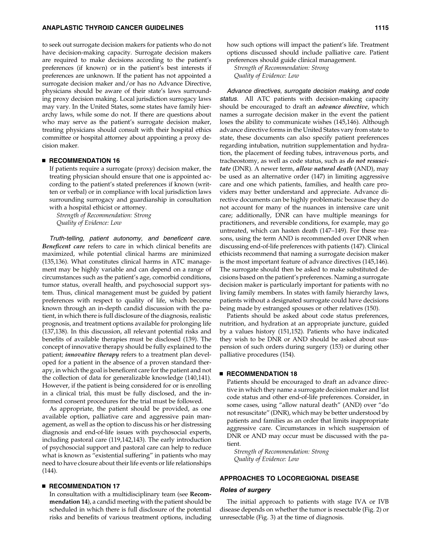to seek out surrogate decision makers for patients who do not have decision-making capacity. Surrogate decision makers are required to make decisions according to the patient's preferences (if known) or in the patient's best interests if preferences are unknown. If the patient has not appointed a surrogate decision maker and/or has no Advance Directive, physicians should be aware of their state's laws surrounding proxy decision making. Local jurisdiction surrogacy laws may vary. In the United States, some states have family hierarchy laws, while some do not. If there are questions about who may serve as the patient's surrogate decision maker, treating physicians should consult with their hospital ethics committee or hospital attorney about appointing a proxy decision maker.

#### **B** RECOMMENDATION 16

If patients require a surrogate (proxy) decision maker, the treating physician should ensure that one is appointed according to the patient's stated preferences if known (written or verbal) or in compliance with local jurisdiction laws surrounding surrogacy and guardianship in consultation with a hospital ethicist or attorney.

Strength of Recommendation: Strong Quality of Evidence: Low

Truth-telling, patient autonomy, and beneficent care. Beneficent care refers to care in which clinical benefits are maximized, while potential clinical harms are minimized (135,136). What constitutes clinical harms in ATC management may be highly variable and can depend on a range of circumstances such as the patient's age, comorbid conditions, tumor status, overall health, and psychosocial support system. Thus, clinical management must be guided by patient preferences with respect to quality of life, which become known through an in-depth candid discussion with the patient, in which there is full disclosure of the diagnosis, realistic prognosis, and treatment options available for prolonging life (137,138). In this discussion, all relevant potential risks and benefits of available therapies must be disclosed (139). The concept of innovative therapy should be fully explained to the patient; *innovative therapy* refers to a treatment plan developed for a patient in the absence of a proven standard therapy, in which the goal is beneficent care for the patient and not the collection of data for generalizable knowledge (140,141). However, if the patient is being considered for or is enrolling in a clinical trial, this must be fully disclosed, and the informed consent procedures for the trial must be followed.

As appropriate, the patient should be provided, as one available option, palliative care and aggressive pain management, as well as the option to discuss his or her distressing diagnosis and end-of-life issues with psychosocial experts, including pastoral care (119,142,143). The early introduction of psychosocial support and pastoral care can help to reduce what is known as "existential suffering" in patients who may need to have closure about their life events or life relationships (144).

#### **BECOMMENDATION 17**

In consultation with a multidisciplinary team (see Recommendation 14), a candid meeting with the patient should be scheduled in which there is full disclosure of the potential risks and benefits of various treatment options, including

how such options will impact the patient's life. Treatment options discussed should include palliative care. Patient preferences should guide clinical management.

Strength of Recommendation: Strong Quality of Evidence: Low

Advance directives, surrogate decision making, and code status. All ATC patients with decision-making capacity should be encouraged to draft an *advance directive*, which names a surrogate decision maker in the event the patient loses the ability to communicate wishes (145,146). Although advance directive forms in the United States vary from state to state, these documents can also specify patient preferences regarding intubation, nutrition supplementation and hydration, the placement of feeding tubes, intravenous ports, and tracheostomy, as well as code status, such as do not resuscitate (DNR). A newer term, allow natural death (AND), may be used as an alternative order (147) in limiting aggressive care and one which patients, families, and health care providers may better understand and appreciate. Advance directive documents can be highly problematic because they do not account for many of the nuances in intensive care unit care; additionally, DNR can have multiple meanings for practitioners, and reversible conditions, for example, may go untreated, which can hasten death (147–149). For these reasons, using the term AND is recommended over DNR when discussing end-of-life preferences with patients (147). Clinical ethicists recommend that naming a surrogate decision maker is the most important feature of advance directives (145,146). The surrogate should then be asked to make substituted decisions based on the patient's preferences. Naming a surrogate decision maker is particularly important for patients with no living family members. In states with family hierarchy laws, patients without a designated surrogate could have decisions being made by estranged spouses or other relatives (150).

Patients should be asked about code status preferences, nutrition, and hydration at an appropriate juncture, guided by a values history (151,152). Patients who have indicated they wish to be DNR or AND should be asked about suspension of such orders during surgery (153) or during other palliative procedures (154).

#### **E** RECOMMENDATION 18

Patients should be encouraged to draft an advance directive in which they name a surrogate decision maker and list code status and other end-of-life preferences. Consider, in some cases, using ''allow natural death'' (AND) over ''do not resuscitate'' (DNR), which may be better understood by patients and families as an order that limits inappropriate aggressive care. Circumstances in which suspension of DNR or AND may occur must be discussed with the patient.

Strength of Recommendation: Strong Quality of Evidence: Low

## APPROACHES TO LOCOREGIONAL DISEASE

#### Roles of surgery

The initial approach to patients with stage IVA or IVB disease depends on whether the tumor is resectable (Fig. 2) or unresectable (Fig. 3) at the time of diagnosis.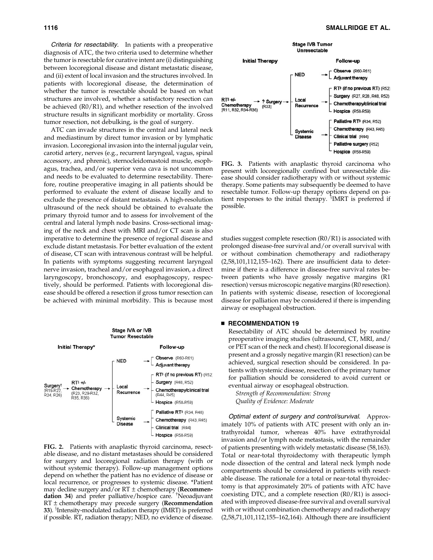Criteria for resectability. In patients with a preoperative diagnosis of ATC, the two criteria used to determine whether the tumor is resectable for curative intent are (i) distinguishing between locoregional disease and distant metastatic disease, and (ii) extent of local invasion and the structures involved. In patients with locoregional disease, the determination of whether the tumor is resectable should be based on what structures are involved, whether a satisfactory resection can be achieved (R0/R1), and whether resection of the involved structure results in significant morbidity or mortality. Gross tumor resection, not debulking, is the goal of surgery.

ATC can invade structures in the central and lateral neck and mediastinum by direct tumor invasion or by lymphatic invasion. Locoregional invasion into the internal jugular vein, carotid artery, nerves (e.g., recurrent laryngeal, vagus, spinal accessory, and phrenic), sternocleidomastoid muscle, esophagus, trachea, and/or superior vena cava is not uncommon and needs to be evaluated to determine resectability. Therefore, routine preoperative imaging in all patients should be performed to evaluate the extent of disease locally and to exclude the presence of distant metastasis. A high-resolution ultrasound of the neck should be obtained to evaluate the primary thyroid tumor and to assess for involvement of the central and lateral lymph node basins. Cross-sectional imaging of the neck and chest with MRI and/or CT scan is also imperative to determine the presence of regional disease and exclude distant metastasis. For better evaluation of the extent of disease, CT scan with intravenous contrast will be helpful. In patients with symptoms suggesting recurrent laryngeal nerve invasion, tracheal and/or esophageal invasion, a direct laryngoscopy, bronchoscopy, and esophagoscopy, respectively, should be performed. Patients with locoregional disease should be offered a resection if gross tumor resection can be achieved with minimal morbidity. This is because most



FIG. 2. Patients with anaplastic thyroid carcinoma, resectable disease, and no distant metastases should be considered for surgery and locoregional radiation therapy (with or without systemic therapy). Follow-up management options depend on whether the patient has no evidence of disease or local recurrence, or progresses to systemic disease. \*Patient may decline surgery and/or RT ± chemotherapy (**Recommen-**<br>**dation 34**) and prefer palliative/hospice care. <sup>†</sup>Neoadjuvant  $RT \pm$  chemotherapy may precede surgery (**Recommendation** 33).  $\mathrm{MRT}$  is preferred in adiation therapy (IMRT) is preferred if possible. RT, radiation therapy; NED, no evidence of disease.



FIG. 3. Patients with anaplastic thyroid carcinoma who present with locoregionally confined but unresectable disease should consider radiotherapy with or without systemic therapy. Some patients may subsequently be deemed to have resectable tumor. Follow-up therapy options depend on patient responses to the initial therapy. <sup>\$</sup>IMRT is preferred if possible.

studies suggest complete resection (R0/R1) is associated with prolonged disease-free survival and/or overall survival with or without combination chemotherapy and radiotherapy (2,58,101,112,155–162). There are insufficient data to determine if there is a difference in disease-free survival rates between patients who have grossly negative margins (R1 resection) versus microscopic negative margins (R0 resection). In patients with systemic disease, resection of locoregional disease for palliation may be considered if there is impending airway or esophageal obstruction.

#### **BECOMMENDATION 19**

Resectability of ATC should be determined by routine preoperative imaging studies (ultrasound, CT, MRI, and/ or PET scan of the neck and chest). If locoregional disease is present and a grossly negative margin (R1 resection) can be achieved, surgical resection should be considered. In patients with systemic disease, resection of the primary tumor for palliation should be considered to avoid current or eventual airway or esophageal obstruction.

Strength of Recommendation: Strong Quality of Evidence: Moderate

Optimal extent of surgery and control/survival. Approximately 10% of patients with ATC present with only an intrathyroidal tumor, whereas 40% have extrathyroidal invasion and/or lymph node metastasis, with the remainder of patients presenting with widely metastatic disease (58,163). Total or near-total thyroidectomy with therapeutic lymph node dissection of the central and lateral neck lymph node compartments should be considered in patients with resectable disease. The rationale for a total or near-total thyroidectomy is that approximately 20% of patients with ATC have coexisting DTC, and a complete resection (R0/R1) is associated with improved disease-free survival and overall survival with or without combination chemotherapy and radiotherapy (2,58,71,101,112,155–162,164). Although there are insufficient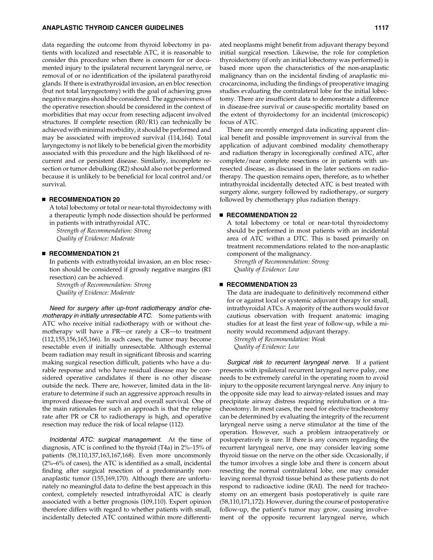data regarding the outcome from thyroid lobectomy in patients with localized and resectable ATC, it is reasonable to consider this procedure when there is concern for or documented injury to the ipsilateral recurrent laryngeal nerve, or removal of or no identification of the ipsilateral parathyroid glands. If there is extrathyroidal invasion, an en bloc resection (but not total laryngectomy) with the goal of achieving gross negative margins should be considered. The aggressiveness of the operative resection should be considered in the context of morbidities that may occur from resecting adjacent involved structures. If complete resection (R0/R1) can technically be achieved with minimal morbidity, it should be performed and may be associated with improved survival (114,164). Total laryngectomy is not likely to be beneficial given the morbidity associated with this procedure and the high likelihood of recurrent and or persistent disease. Similarly, incomplete resection or tumor debulking (R2) should also not be performed because it is unlikely to be beneficial for local control and/or survival.

#### **BECOMMENDATION 20**

A total lobectomy or total or near-total thyroidectomy with a therapeutic lymph node dissection should be performed in patients with intrathyroidal ATC.

Strength of Recommendation: Strong Quality of Evidence: Moderate

## **BECOMMENDATION 21**

In patients with extrathyroidal invasion, an en bloc resection should be considered if grossly negative margins (R1 resection) can be achieved.

Strength of Recommendation: Strong Quality of Evidence: Moderate

Need for surgery after up-front radiotherapy and/or chemotherapy in initially unresectable ATC. Some patients with ATC who receive initial radiotherapy with or without chemotherapy will have a PR—or rarely a CR—to treatment (112,155,156,165,166). In such cases, the tumor may become resectable even if initially unresectable. Although external beam radiation may result in significant fibrosis and scarring making surgical resection difficult, patients who have a durable response and who have residual disease may be considered operative candidates if there is no other disease outside the neck. There are, however, limited data in the literature to determine if such an aggressive approach results in improved disease-free survival and overall survival. One of the main rationales for such an approach is that the relapse rate after PR or CR to radiotherapy is high, and operative resection may reduce the risk of local relapse (112).

Incidental ATC: surgical management. At the time of diagnosis, ATC is confined to the thyroid (T4a) in 2%–15% of patients (58,110,157,163,167,168). Even more uncommonly (2%–6% of cases), the ATC is identified as a small, incidental finding after surgical resection of a predominantly nonanaplastic tumor (155,169,170). Although there are unfortunately no meaningful data to define the best approach in this context, completely resected intrathyroidal ATC is clearly associated with a better prognosis (109,110). Expert opinion therefore differs with regard to whether patients with small, incidentally detected ATC contained within more differentiated neoplasms might benefit from adjuvant therapy beyond initial surgical resection. Likewise, the role for completion thyroidectomy (if only an initial lobectomy was performed) is based more upon the characteristics of the non-anaplastic malignancy than on the incidental finding of anaplastic microcarcinoma, including the findings of preoperative imaging studies evaluating the contralateral lobe for the initial lobectomy. There are insufficient data to demonstrate a difference in disease-free survival or cause-specific mortality based on the extent of thyroidectomy for an incidental (microscopic) focus of ATC.

There are recently emerged data indicating apparent clinical benefit and possible improvement in survival from the application of adjuvant combined modality chemotherapy and radiation therapy in locoregionally confined ATC, after complete/near complete resections or in patients with unresected disease, as discussed in the later sections on radiotherapy. The question remains open, therefore, as to whether intrathyroidal incidentally detected ATC is best treated with surgery alone, surgery followed by radiotherapy, or surgery followed by chemotherapy plus radiation therapy.

# **E** RECOMMENDATION 22

A total lobectomy or total or near-total thyroidectomy should be performed in most patients with an incidental area of ATC within a DTC. This is based primarily on treatment recommendations related to the non-anaplastic component of the malignancy.

Strength of Recommendation: Strong Quality of Evidence: Low

# **B** RECOMMENDATION 23

The data are inadequate to definitively recommend either for or against local or systemic adjuvant therapy for small, intrathyroidal ATCs. A majority of the authors would favor cautious observation with frequent anatomic imaging studies for at least the first year of follow-up, while a minority would recommend adjuvant therapy.

Strength of Recommendation: Weak Quality of Evidence: Low

Surgical risk to recurrent laryngeal nerve. If a patient presents with ipsilateral recurrent laryngeal nerve palsy, one needs to be extremely careful in the operating room to avoid injury to the opposite recurrent laryngeal nerve. Any injury to the opposite side may lead to airway-related issues and may precipitate airway distress requiring reintubation or a tracheostomy. In most cases, the need for elective tracheostomy can be determined by evaluating the integrity of the recurrent laryngeal nerve using a nerve stimulator at the time of the operation. However, such a problem intraoperatively or postoperatively is rare. If there is any concern regarding the recurrent laryngeal nerve, one may consider leaving some thyroid tissue on the nerve on the other side. Occasionally, if the tumor involves a single lobe and there is concern about resecting the normal contralateral lobe, one may consider leaving normal thyroid tissue behind as these patients do not respond to radioactive iodine (RAI). The need for tracheostomy on an emergent basis postoperatively is quite rare (58,110,171,172). However, during the course of postoperative follow-up, the patient's tumor may grow, causing involvement of the opposite recurrent laryngeal nerve, which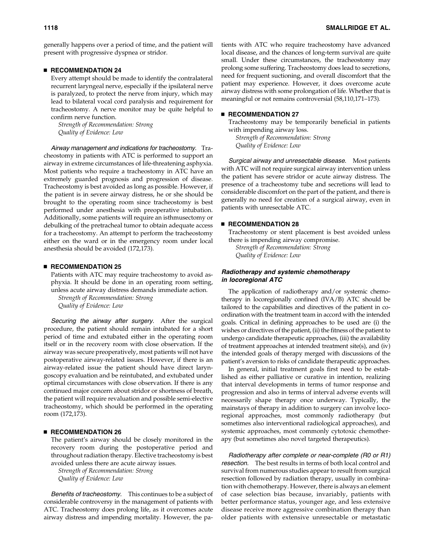generally happens over a period of time, and the patient will present with progressive dyspnea or stridor.

#### **BECOMMENDATION 24**

Every attempt should be made to identify the contralateral recurrent laryngeal nerve, especially if the ipsilateral nerve is paralyzed, to protect the nerve from injury, which may lead to bilateral vocal cord paralysis and requirement for tracheostomy. A nerve monitor may be quite helpful to confirm nerve function.

Strength of Recommendation: Strong Quality of Evidence: Low

Airway management and indications for tracheostomy. Tracheostomy in patients with ATC is performed to support an airway in extreme circumstances of life-threatening asphyxia. Most patients who require a tracheostomy in ATC have an extremely guarded prognosis and progression of disease. Tracheostomy is best avoided as long as possible. However, if the patient is in severe airway distress, he or she should be brought to the operating room since tracheostomy is best performed under anesthesia with preoperative intubation. Additionally, some patients will require an isthmusectomy or debulking of the pretracheal tumor to obtain adequate access for a tracheostomy. An attempt to perform the tracheostomy either on the ward or in the emergency room under local anesthesia should be avoided (172,173).

#### **B** RECOMMENDATION 25

Patients with ATC may require tracheostomy to avoid asphyxia. It should be done in an operating room setting, unless acute airway distress demands immediate action. Strength of Recommendation: Strong

Quality of Evidence: Low

Securing the airway after surgery. After the surgical procedure, the patient should remain intubated for a short period of time and extubated either in the operating room itself or in the recovery room with close observation. If the airway was secure preoperatively, most patients will not have postoperative airway-related issues. However, if there is an airway-related issue the patient should have direct laryngoscopy evaluation and be reintubated, and extubated under optimal circumstances with close observation. If there is any continued major concern about stridor or shortness of breath, the patient will require revaluation and possible semi-elective tracheostomy, which should be performed in the operating room (172,173).

#### **BECOMMENDATION 26**

The patient's airway should be closely monitored in the recovery room during the postoperative period and throughout radiation therapy. Elective tracheostomy is best avoided unless there are acute airway issues.

Strength of Recommendation: Strong Quality of Evidence: Low

Benefits of tracheostomy. This continues to be a subject of considerable controversy in the management of patients with ATC. Tracheostomy does prolong life, as it overcomes acute airway distress and impending mortality. However, the patients with ATC who require tracheostomy have advanced local disease, and the chances of long-term survival are quite small. Under these circumstances, the tracheostomy may prolong some suffering. Tracheostomy does lead to secretions, need for frequent suctioning, and overall discomfort that the patient may experience. However, it does overcome acute airway distress with some prolongation of life. Whether that is meaningful or not remains controversial (58,110,171–173).

#### **E** RECOMMENDATION 27

Tracheostomy may be temporarily beneficial in patients with impending airway loss.

Strength of Recommendation: Strong Quality of Evidence: Low

Surgical airway and unresectable disease. Most patients with ATC will not require surgical airway intervention unless the patient has severe stridor or acute airway distress. The presence of a tracheostomy tube and secretions will lead to considerable discomfort on the part of the patient, and there is generally no need for creation of a surgical airway, even in patients with unresectable ATC.

#### **E** RECOMMENDATION 28

Tracheostomy or stent placement is best avoided unless there is impending airway compromise. Strength of Recommendation: Strong

Quality of Evidence: Low

## Radiotherapy and systemic chemotherapy in locoregional ATC

The application of radiotherapy and/or systemic chemotherapy in locoregionally confined (IVA/B) ATC should be tailored to the capabilities and directives of the patient in coordination with the treatment team in accord with the intended goals. Critical in defining approaches to be used are (i) the wishes or directives of the patient, (ii) the fitness of the patient to undergo candidate therapeutic approaches, (iii) the availability of treatment approaches at intended treatment site(s), and (iv) the intended goals of therapy merged with discussions of the patient's aversion to risks of candidate therapeutic approaches.

In general, initial treatment goals first need to be established as either palliative or curative in intention, realizing that interval developments in terms of tumor response and progression and also in terms of interval adverse events will necessarily shape therapy once underway. Typically, the mainstays of therapy in addition to surgery can involve locoregional approaches, most commonly radiotherapy (but sometimes also interventional radiological approaches), and systemic approaches, most commonly cytotoxic chemotherapy (but sometimes also novel targeted therapeutics).

Radiotherapy after complete or near-complete (R0 or R1) resection. The best results in terms of both local control and survival from numerous studies appear to result from surgical resection followed by radiation therapy, usually in combination with chemotherapy. However, there is always an element of case selection bias because, invariably, patients with better performance status, younger age, and less extensive disease receive more aggressive combination therapy than older patients with extensive unresectable or metastatic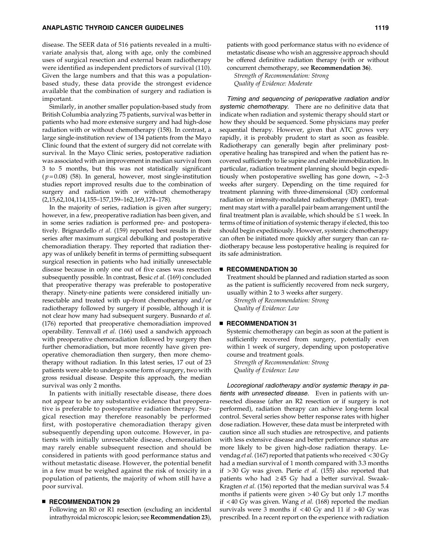disease. The SEER data of 516 patients revealed in a multivariate analysis that, along with age, only the combined uses of surgical resection and external beam radiotherapy were identified as independent predictors of survival (110). Given the large numbers and that this was a populationbased study, these data provide the strongest evidence available that the combination of surgery and radiation is important.

Similarly, in another smaller population-based study from British Columbia analyzing 75 patients, survival was better in patients who had more extensive surgery and had high-dose radiation with or without chemotherapy (158). In contrast, a large single-institution review of 134 patients from the Mayo Clinic found that the extent of surgery did not correlate with survival. In the Mayo Clinic series, postoperative radiation was associated with an improvement in median survival from 3 to 5 months, but this was not statistically significant  $(p=0.08)$  (58). In general, however, most single-institution studies report improved results due to the combination of surgery and radiation with or without chemotherapy (2,15,62,104,114,155–157,159–162,169,174–178).

In the majority of series, radiation is given after surgery; however, in a few, preoperative radiation has been given, and in some series radiation is performed pre- and postoperatively. Brignardello et al. (159) reported best results in their series after maximum surgical debulking and postoperative chemoradiation therapy. They reported that radiation therapy was of unlikely benefit in terms of permitting subsequent surgical resection in patients who had initially unresectable disease because in only one out of five cases was resection subsequently possible. In contrast, Besic et al. (169) concluded that preoperative therapy was preferable to postoperative therapy. Ninety-nine patients were considered initially unresectable and treated with up-front chemotherapy and/or radiotherapy followed by surgery if possible, although it is not clear how many had subsequent surgery. Busnardo et al. (176) reported that preoperative chemoradiation improved operability. Tennvall et al. (166) used a sandwich approach with preoperative chemoradiation followed by surgery then further chemoradiation, but more recently have given preoperative chemoradiation then surgery, then more chemotherapy without radiation. In this latest series, 17 out of 23 patients were able to undergo some form of surgery, two with gross residual disease. Despite this approach, the median survival was only 2 months.

In patients with initially resectable disease, there does not appear to be any substantive evidence that preoperative is preferable to postoperative radiation therapy. Surgical resection may therefore reasonably be performed first, with postoperative chemoradiation therapy given subsequently depending upon outcome. However, in patients with initially unresectable disease, chemoradiation may rarely enable subsequent resection and should be considered in patients with good performance status and without metastatic disease. However, the potential benefit in a few must be weighed against the risk of toxicity in a population of patients, the majority of whom still have a poor survival.

# **B** RECOMMENDATION 29

Following an R0 or R1 resection (excluding an incidental intrathyroidal microscopic lesion; see Recommendation 23), patients with good performance status with no evidence of metastatic disease who wish an aggressive approach should be offered definitive radiation therapy (with or without concurrent chemotherapy, see Recommendation 36).

Strength of Recommendation: Strong Quality of Evidence: Moderate

Timing and sequencing of perioperative radiation and/or systemic chemotherapy. There are no definitive data that indicate when radiation and systemic therapy should start or how they should be sequenced. Some physicians may prefer sequential therapy. However, given that ATC grows very rapidly, it is probably prudent to start as soon as feasible. Radiotherapy can generally begin after preliminary postoperative healing has transpired and when the patient has recovered sufficiently to lie supine and enable immobilization. In particular, radiation treatment planning should begin expeditiously when postoperative swelling has gone down,  $\sim$ 2–3 weeks after surgery. Depending on the time required for treatment planning with three-dimensional (3D) conformal radiation or intensity-modulated radiotherapy (IMRT), treatment may start with a parallel pair beam arrangement until the final treatment plan is available, which should be  $\leq 1$  week. In terms of time of initiation of systemic therapy if elected, this too should begin expeditiously. However, systemic chemotherapy can often be initiated more quickly after surgery than can radiotherapy because less postoperative healing is required for its safe administration.

## **E** RECOMMENDATION 30

Treatment should be planned and radiation started as soon as the patient is sufficiently recovered from neck surgery, usually within 2 to 3 weeks after surgery.

Strength of Recommendation: Strong Quality of Evidence: Low

## **BECOMMENDATION 31**

Systemic chemotherapy can begin as soon at the patient is sufficiently recovered from surgery, potentially even within 1 week of surgery, depending upon postoperative course and treatment goals.

Strength of Recommendation: Strong Quality of Evidence: Low

Locoregional radiotherapy and/or systemic therapy in patients with unresected disease. Even in patients with unresected disease (after an R2 resection or if surgery is not performed), radiation therapy can achieve long-term local control. Several series show better response rates with higher dose radiation. However, these data must be interpreted with caution since all such studies are retrospective, and patients with less extensive disease and better performance status are more likely to be given high-dose radiation therapy. Levendag et al. (167) reported that patients who received < 30 Gy had a median survival of 1 month compared with 3.3 months if > 30 Gy was given. Pierie et al. (155) also reported that patients who had  $\geq$  45 Gy had a better survival. Swaak-Kragten et al. (156) reported that the median survival was 5.4 months if patients were given > 40 Gy but only 1.7 months if  $<$  40 Gy was given. Wang et al. (168) reported the median survivals were 3 months if  $<40$  Gy and 11 if  $>40$  Gy was prescribed. In a recent report on the experience with radiation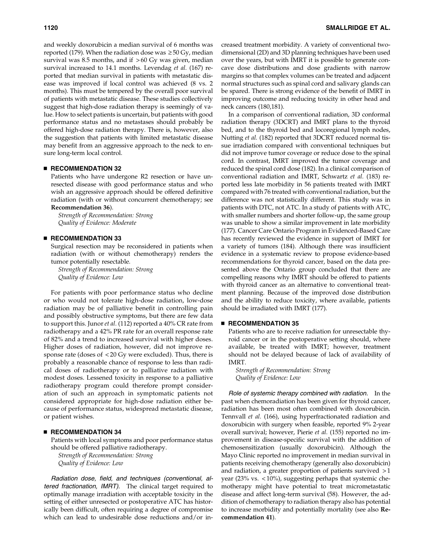and weekly doxorubicin a median survival of 6 months was reported (179). When the radiation dose was  $\geq 50$  Gy, median survival was 8.5 months, and if  $>60$  Gy was given, median survival increased to 14.1 months. Levendag et al. (167) reported that median survival in patients with metastatic disease was improved if local control was achieved (8 vs. 2 months). This must be tempered by the overall poor survival of patients with metastatic disease. These studies collectively suggest that high-dose radiation therapy is seemingly of value. How to select patients is uncertain, but patients with good performance status and no metastases should probably be offered high-dose radiation therapy. There is, however, also the suggestion that patients with limited metastatic disease may benefit from an aggressive approach to the neck to ensure long-term local control.

# **B** RECOMMENDATION 32

Patients who have undergone R2 resection or have unresected disease with good performance status and who wish an aggressive approach should be offered definitive radiation (with or without concurrent chemotherapy; see Recommendation 36).

Strength of Recommendation: Strong Quality of Evidence: Moderate

#### **B** RECOMMENDATION 33

Surgical resection may be reconsidered in patients when radiation (with or without chemotherapy) renders the tumor potentially resectable.

Strength of Recommendation: Strong Quality of Evidence: Low

For patients with poor performance status who decline or who would not tolerate high-dose radiation, low-dose radiation may be of palliative benefit in controlling pain and possibly obstructive symptoms, but there are few data to support this. Junor et al. (112) reported a 40% CR rate from radiotherapy and a 42% PR rate for an overall response rate of 82% and a trend to increased survival with higher doses. Higher doses of radiation, however, did not improve response rate (doses of < 20 Gy were excluded). Thus, there is probably a reasonable chance of response to less than radical doses of radiotherapy or to palliative radiation with modest doses. Lessened toxicity in response to a palliative radiotherapy program could therefore prompt consideration of such an approach in symptomatic patients not considered appropriate for high-dose radiation either because of performance status, widespread metastatic disease, or patient wishes.

## **E** RECOMMENDATION 34

Patients with local symptoms and poor performance status should be offered palliative radiotherapy. Strength of Recommendation: Strong Quality of Evidence: Low

Radiation dose, field, and techniques (conventional, altered fractionation, IMRT). The clinical target required to optimally manage irradiation with acceptable toxicity in the setting of either unresected or postoperative ATC has historically been difficult, often requiring a degree of compromise which can lead to undesirable dose reductions and/or increased treatment morbidity. A variety of conventional twodimensional (2D) and 3D planning techniques have been used over the years, but with IMRT it is possible to generate concave dose distributions and dose gradients with narrow margins so that complex volumes can be treated and adjacent normal structures such as spinal cord and salivary glands can be spared. There is strong evidence of the benefit of IMRT in improving outcome and reducing toxicity in other head and neck cancers (180,181).

In a comparison of conventional radiation, 3D conformal radiation therapy (3DCRT) and IMRT plans to the thyroid bed, and to the thyroid bed and locoregional lymph nodes, Nutting et al. (182) reported that 3DCRT reduced normal tissue irradiation compared with conventional techniques but did not improve tumor coverage or reduce dose to the spinal cord. In contrast, IMRT improved the tumor coverage and reduced the spinal cord dose (182). In a clinical comparison of conventional radiation and IMRT, Schwartz et al. (183) reported less late morbidity in 56 patients treated with IMRT compared with 76 treated with conventional radiation, but the difference was not statistically different. This study was in patients with DTC, not ATC. In a study of patients with ATC, with smaller numbers and shorter follow-up, the same group was unable to show a similar improvement in late morbidity (177). Cancer Care Ontario Program in Evidenced-Based Care has recently reviewed the evidence in support of IMRT for a variety of tumors (184). Although there was insufficient evidence in a systematic review to propose evidence-based recommendations for thyroid cancer, based on the data presented above the Ontario group concluded that there are compelling reasons why IMRT should be offered to patients with thyroid cancer as an alternative to conventional treatment planning. Because of the improved dose distribution and the ability to reduce toxicity, where available, patients should be irradiated with IMRT (177).

## **BECOMMENDATION 35**

Patients who are to receive radiation for unresectable thyroid cancer or in the postoperative setting should, where available, be treated with IMRT; however, treatment should not be delayed because of lack of availability of IMRT.

Strength of Recommendation: Strong Quality of Evidence: Low

Role of systemic therapy combined with radiation. In the past when chemoradiation has been given for thyroid cancer, radiation has been most often combined with doxorubicin. Tennvall et al. (166), using hyperfractionated radiation and doxorubicin with surgery when feasible, reported 9% 2-year overall survival; however, Pierie et al. (155) reported no improvement in disease-specific survival with the addition of chemosensitization (usually doxorubicin). Although the Mayo Clinic reported no improvement in median survival in patients receiving chemotherapy (generally also doxorubicin) and radiation, a greater proportion of patients survived  $>1$ year (23% vs. < 10%), suggesting perhaps that systemic chemotherapy might have potential to treat micrometastatic disease and affect long-term survival (58). However, the addition of chemotherapy to radiation therapy also has potential to increase morbidity and potentially mortality (see also Recommendation 41).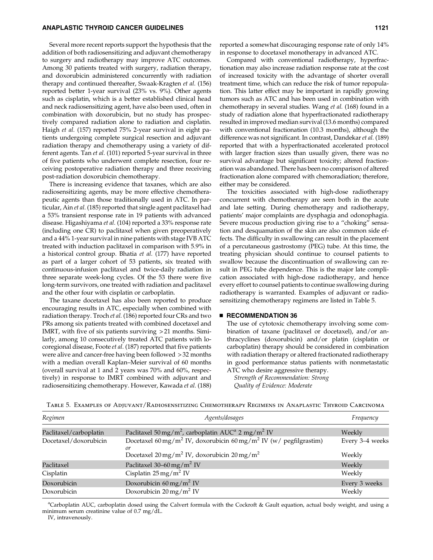Several more recent reports support the hypothesis that the addition of both radiosensitizing and adjuvant chemotherapy to surgery and radiotherapy may improve ATC outcomes. Among 30 patients treated with surgery, radiation therapy, and doxorubicin administered concurrently with radiation therapy and continued thereafter, Swaak-Kragten et al. (156) reported better 1-year survival (23% vs. 9%). Other agents such as cisplatin, which is a better established clinical head and neck radiosensitizing agent, have also been used, often in combination with doxorubicin, but no study has prospectively compared radiation alone to radiation and cisplatin. Haigh et al. (157) reported 75% 2-year survival in eight patients undergoing complete surgical resection and adjuvant radiation therapy and chemotherapy using a variety of different agents. Tan et al. (101) reported 5-year survival in three of five patients who underwent complete resection, four receiving postoperative radiation therapy and three receiving post-radiation doxorubicin chemotherapy.

There is increasing evidence that taxanes, which are also radiosensitizing agents, may be more effective chemotherapeutic agents than those traditionally used in ATC. In particular, Ain et al. (185) reported that single agent paclitaxel had a 53% transient response rate in 19 patients with advanced disease. Higashiyama et al. (104) reported a 33% response rate (including one CR) to paclitaxel when given preoperatively and a 44% 1-year survival in nine patients with stage IVB ATC treated with induction paclitaxel in comparison with 5.9% in a historical control group. Bhatia et al. (177) have reported as part of a larger cohort of 53 patients, six treated with continuous-infusion paclitaxel and twice-daily radiation in three separate week-long cycles. Of the 53 there were five long-term survivors, one treated with radiation and paclitaxel and the other four with cisplatin or carboplatin.

The taxane docetaxel has also been reported to produce encouraging results in ATC, especially when combined with radiation therapy. Troch et al. (186) reported four CRs and two PRs among six patients treated with combined docetaxel and IMRT, with five of six patients surviving > 21 months. Similarly, among 10 consecutively treated ATC patients with locoregional disease, Foote et al. (187) reported that five patients were alive and cancer-free having been followed > 32 months with a median overall Kaplan–Meier survival of 60 months (overall survival at 1 and 2 years was 70% and 60%, respectively) in response to IMRT combined with adjuvant and radiosensitizing chemotherapy. However, Kawada et al. (188) reported a somewhat discouraging response rate of only 14% in response to docetaxel monotherapy in advanced ATC.

Compared with conventional radiotherapy, hyperfractionation may also increase radiation response rate at the cost of increased toxicity with the advantage of shorter overall treatment time, which can reduce the risk of tumor repopulation. This latter effect may be important in rapidly growing tumors such as ATC and has been used in combination with chemotherapy in several studies. Wang et al. (168) found in a study of radiation alone that hyperfractionated radiotherapy resulted in improved median survival (13.6 months) compared with conventional fractionation (10.3 months), although the difference was not significant. In contrast, Dandekar et al. (189) reported that with a hyperfractionated accelerated protocol with larger fraction sizes than usually given, there was no survival advantage but significant toxicity; altered fractionation was abandoned. There has been no comparison of altered fractionation alone compared with chemoradiation; therefore, either may be considered.

The toxicities associated with high-dose radiotherapy concurrent with chemotherapy are seen both in the acute and late setting. During chemotherapy and radiotherapy, patients' major complaints are dysphagia and odonophagia. Severe mucous production giving rise to a ''choking'' sensation and desquamation of the skin are also common side effects. The difficulty in swallowing can result in the placement of a percutaneous gastrostomy (PEG) tube. At this time, the treating physician should continue to counsel patients to swallow because the discontinuation of swallowing can result in PEG tube dependence. This is the major late complication associated with high-dose radiotherapy, and hence every effort to counsel patients to continue swallowing during radiotherapy is warranted. Examples of adjuvant or radiosensitizing chemotherapy regimens are listed in Table 5.

#### **B** RECOMMENDATION 36

The use of cytotoxic chemotherapy involving some combination of taxane (paclitaxel or docetaxel), and/or anthracyclines (doxorubicin) and/or platin (cisplatin or carboplatin) therapy should be considered in combination with radiation therapy or altered fractionated radiotherapy in good performance status patients with nonmetastatic ATC who desire aggressive therapy.

Strength of Recommendation: Strong Quality of Evidence: Moderate

|         | TABLE 5. EXAMPLES OF ADIUVANT/RADIOSENSITIZING CHEMOTHERAPY REGIMENS IN ANAPLASTIC THYROID CARCINOMA |                |           |
|---------|------------------------------------------------------------------------------------------------------|----------------|-----------|
| Regimen |                                                                                                      | Agents/dosages | Frequency |

| $\mathbf{w}_\mathbf{A}$ | $11 \times 1000$                                                                                                                                                       | 1.000000000               |
|-------------------------|------------------------------------------------------------------------------------------------------------------------------------------------------------------------|---------------------------|
| Paclitaxel/carboplatin  | Paclitaxel 50 mg/m <sup>2</sup> , carboplatin AUC <sup>a</sup> 2 mg/m <sup>2</sup> IV                                                                                  | Weekly                    |
| Docetaxel/doxorubicin   | Docetaxel 60 mg/m <sup>2</sup> IV, doxorubicin 60 mg/m <sup>2</sup> IV (w/ pegfilgrastim)<br>or<br>Docetaxel $20 \,\text{mg/m}^2$ IV, doxorubicin $20 \,\text{mg/m}^2$ | Every 3-4 weeks<br>Weekly |
| Paclitaxel              | Paclitaxel 30–60 mg/m <sup>2</sup> IV                                                                                                                                  | Weekly                    |
| Cisplatin               | Cisplatin $25 \,\mathrm{mg/m^2}$ IV                                                                                                                                    | Weekly                    |
| Doxorubicin             | Doxorubicin 60 mg/m <sup>2</sup> IV                                                                                                                                    | Every 3 weeks             |
| Doxorubicin             | Doxorubicin $20 \,\text{mg/m}^2$ IV                                                                                                                                    | Weekly                    |
|                         |                                                                                                                                                                        |                           |

<sup>a</sup>Carboplatin AUC, carboplatin dosed using the Calvert formula with the Cockroft & Gault equation, actual body weight, and using a minimum serum creatinine value of 0.7 mg/dL.

IV, intravenously.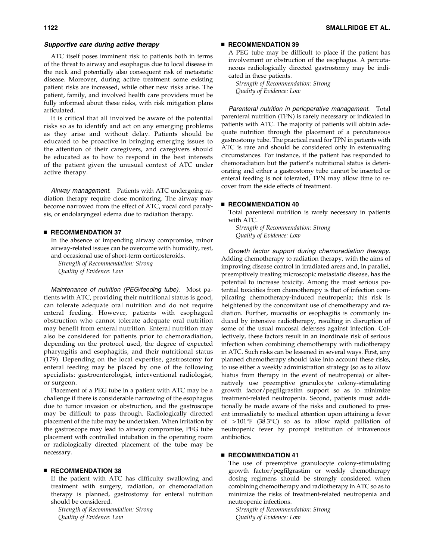#### Supportive care during active therapy

ATC itself poses imminent risk to patients both in terms of the threat to airway and esophagus due to local disease in the neck and potentially also consequent risk of metastatic disease. Moreover, during active treatment some existing patient risks are increased, while other new risks arise. The patient, family, and involved health care providers must be fully informed about these risks, with risk mitigation plans articulated.

It is critical that all involved be aware of the potential risks so as to identify and act on any emerging problems as they arise and without delay. Patients should be educated to be proactive in bringing emerging issues to the attention of their caregivers, and caregivers should be educated as to how to respond in the best interests of the patient given the unusual context of ATC under active therapy.

Airway management. Patients with ATC undergoing radiation therapy require close monitoring. The airway may become narrowed from the effect of ATC, vocal cord paralysis, or endolaryngeal edema due to radiation therapy.

## **B** RECOMMENDATION 37

In the absence of impending airway compromise, minor airway-related issues can be overcome with humidity, rest, and occasional use of short-term corticosteroids.

Strength of Recommendation: Strong Quality of Evidence: Low

Maintenance of nutrition (PEG/feeding tube). Most patients with ATC, providing their nutritional status is good, can tolerate adequate oral nutrition and do not require enteral feeding. However, patients with esophageal obstruction who cannot tolerate adequate oral nutrition may benefit from enteral nutrition. Enteral nutrition may also be considered for patients prior to chemoradiation, depending on the protocol used, the degree of expected pharyngitis and esophagitis, and their nutritional status (179). Depending on the local expertise, gastrostomy for enteral feeding may be placed by one of the following specialists: gastroenterologist, interventional radiologist, or surgeon.

Placement of a PEG tube in a patient with ATC may be a challenge if there is considerable narrowing of the esophagus due to tumor invasion or obstruction, and the gastroscope may be difficult to pass through. Radiologically directed placement of the tube may be undertaken. When irritation by the gastroscope may lead to airway compromise, PEG tube placement with controlled intubation in the operating room or radiologically directed placement of the tube may be necessary.

## **BECOMMENDATION 38**

If the patient with ATC has difficulty swallowing and treatment with surgery, radiation, or chemoradiation therapy is planned, gastrostomy for enteral nutrition should be considered.

Strength of Recommendation: Strong Quality of Evidence: Low

# **E** RECOMMENDATION 39

A PEG tube may be difficult to place if the patient has involvement or obstruction of the esophagus. A percutaneous radiologically directed gastrostomy may be indicated in these patients.

Strength of Recommendation: Strong Quality of Evidence: Low

Parenteral nutrition in perioperative management. Total parenteral nutrition (TPN) is rarely necessary or indicated in patients with ATC. The majority of patients will obtain adequate nutrition through the placement of a percutaneous gastrostomy tube. The practical need for TPN in patients with ATC is rare and should be considered only in extenuating circumstances. For instance, if the patient has responded to chemoradiation but the patient's nutritional status is deteriorating and either a gastrostomy tube cannot be inserted or enteral feeding is not tolerated, TPN may allow time to recover from the side effects of treatment.

#### **E** RECOMMENDATION 40

Total parenteral nutrition is rarely necessary in patients with ATC.

Strength of Recommendation: Strong Quality of Evidence: Low

Growth factor support during chemoradiation therapy. Adding chemotherapy to radiation therapy, with the aims of improving disease control in irradiated areas and, in parallel, preemptively treating microscopic metastatic disease, has the potential to increase toxicity. Among the most serious potential toxicities from chemotherapy is that of infection complicating chemotherapy-induced neutropenia; this risk is heightened by the concomitant use of chemotherapy and radiation. Further, mucositis or esophagitis is commonly induced by intensive radiotherapy, resulting in disruption of some of the usual mucosal defenses against infection. Collectively, these factors result in an inordinate risk of serious infection when combining chemotherapy with radiotherapy in ATC. Such risks can be lessened in several ways. First, any planned chemotherapy should take into account these risks, to use either a weekly administration strategy (so as to allow hiatus from therapy in the event of neutropenia) or alternatively use preemptive granulocyte colony-stimulating growth factor/pegfilgrastim support so as to minimize treatment-related neutropenia. Second, patients must additionally be made aware of the risks and cautioned to present immediately to medical attention upon attaining a fever of  $>101^{\circ}$ F (38.3 $^{\circ}$ C) so as to allow rapid palliation of neutropenic fever by prompt institution of intravenous antibiotics.

#### **BECOMMENDATION 41**

The use of preemptive granulocyte colony-stimulating growth factor/pegfilgrastim or weekly chemotherapy dosing regimens should be strongly considered when combining chemotherapy and radiotherapy in ATC so as to minimize the risks of treatment-related neutropenia and neutropenic infections.

Strength of Recommendation: Strong Quality of Evidence: Low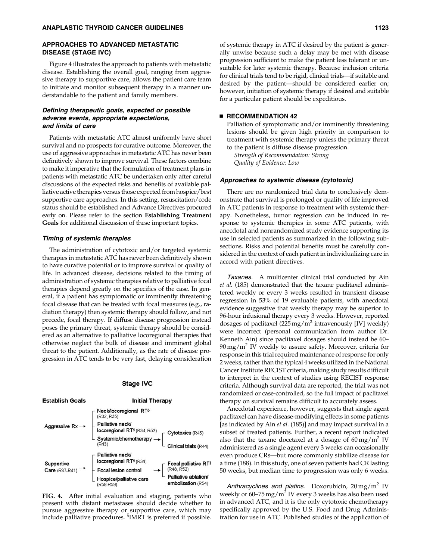## APPROACHES TO ADVANCED METASTATIC DISEASE (STAGE IVC)

Figure 4 illustrates the approach to patients with metastatic disease. Establishing the overall goal, ranging from aggressive therapy to supportive care, allows the patient care team to initiate and monitor subsequent therapy in a manner understandable to the patient and family members.

# Defining therapeutic goals, expected or possible adverse events, appropriate expectations, and limits of care

Patients with metastatic ATC almost uniformly have short survival and no prospects for curative outcome. Moreover, the use of aggressive approaches in metastatic ATC has never been definitively shown to improve survival. These factors combine to make it imperative that the formulation of treatment plans in patients with metastatic ATC be undertaken only after careful discussions of the expected risks and benefits of available palliative active therapies versus those expected from hospice/best supportive care approaches. In this setting, resuscitation/code status should be established and Advance Directives procured early on. Please refer to the section Establishing Treatment Goals for additional discussion of these important topics.

#### Timing of systemic therapies

The administration of cytotoxic and/or targeted systemic therapies in metastatic ATC has never been definitively shown to have curative potential or to improve survival or quality of life. In advanced disease, decisions related to the timing of administration of systemic therapies relative to palliative focal therapies depend greatly on the specifics of the case. In general, if a patient has symptomatic or imminently threatening focal disease that can be treated with focal measures (e.g., radiation therapy) then systemic therapy should follow, and not precede, focal therapy. If diffuse disease progression instead poses the primary threat, systemic therapy should be considered as an alternative to palliative locoregional therapies that otherwise neglect the bulk of disease and imminent global threat to the patient. Additionally, as the rate of disease progression in ATC tends to be very fast, delaying consideration

#### Stage IVC



FIG. 4. After initial evaluation and staging, patients who present with distant metastases should decide whether to pursue aggressive therapy or supportive care, which may  $\frac{1}{2}$ include palliative procedures.  $\frac{1}{2}$ IMRT is preferred if possible.

of systemic therapy in ATC if desired by the patient is generally unwise because such a delay may be met with disease progression sufficient to make the patient less tolerant or unsuitable for later systemic therapy. Because inclusion criteria for clinical trials tend to be rigid, clinical trials—if suitable and desired by the patient—should be considered earlier on; however, initiation of systemic therapy if desired and suitable for a particular patient should be expeditious.

#### **B** RECOMMENDATION 42

Palliation of symptomatic and/or imminently threatening lesions should be given high priority in comparison to treatment with systemic therapy unless the primary threat to the patient is diffuse disease progression.

Strength of Recommendation: Strong Quality of Evidence: Low

#### Approaches to systemic disease (cytotoxic)

There are no randomized trial data to conclusively demonstrate that survival is prolonged or quality of life improved in ATC patients in response to treatment with systemic therapy. Nonetheless, tumor regression can be induced in response to systemic therapies in some ATC patients, with anecdotal and nonrandomized study evidence supporting its use in selected patients as summarized in the following subsections. Risks and potential benefits must be carefully considered in the context of each patient in individualizing care in accord with patient directives.

Taxanes. A multicenter clinical trial conducted by Ain et al. (185) demonstrated that the taxane paclitaxel administered weekly or every 3 weeks resulted in transient disease regression in 53% of 19 evaluable patients, with anecdotal evidence suggestive that weekly therapy may be superior to 96-hour infusional therapy every 3 weeks. However, reported dosages of paclitaxel  $(225 \text{ mg/m}^2 \text{ intravenously } [IV]$  weekly) were incorrect (personal communication from author Dr. Kenneth Ain) since paclitaxel dosages should instead be 60–  $90 \,\mathrm{mg/m^2}$  IV weekly to assure safety. Moreover, criteria for response in this trial required maintenance of response for only 2 weeks, rather than the typical 4 weeks utilized in the National Cancer Institute RECIST criteria, making study results difficult to interpret in the context of studies using RECIST response criteria. Although survival data are reported, the trial was not randomized or case-controlled, so the full impact of paclitaxel therapy on survival remains difficult to accurately assess.

Anecdotal experience, however, suggests that single agent paclitaxel can have disease-modifying effects in some patients [as indicated by Ain *et al.* (185)] and may impact survival in a subset of treated patients. Further, a recent report indicated also that the taxane docetaxel at a dosage of  $60 \,\mathrm{mg/m^2}$  IV administered as a single agent every 3 weeks can occasionally even produce CRs—but more commonly stabilize disease for a time (188). In this study, one of seven patients had CR lasting 50 weeks, but median time to progression was only 6 weeks.

Anthracyclines and platins. Doxorubicin,  $20 \,\text{mg/m}^2$  IV weekly or  $60-75 \,\text{mg/m}^2$  IV every 3 weeks has also been used in advanced ATC, and it is the only cytotoxic chemotherapy specifically approved by the U.S. Food and Drug Administration for use in ATC. Published studies of the application of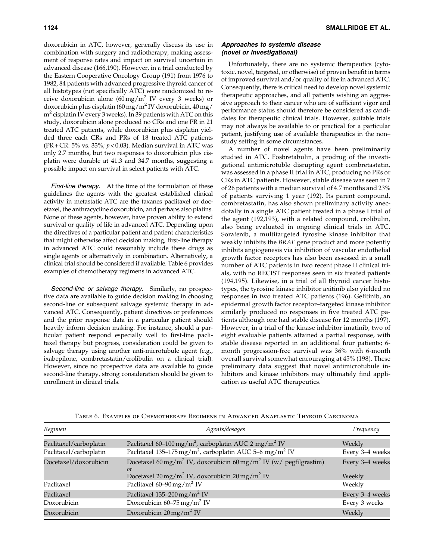doxorubicin in ATC, however, generally discuss its use in combination with surgery and radiotherapy, making assessment of response rates and impact on survival uncertain in advanced disease (166,190). However, in a trial conducted by the Eastern Cooperative Oncology Group (191) from 1976 to 1982, 84 patients with advanced progressive thyroid cancer of all histotypes (not specifically ATC) were randomized to receive doxorubicin alone  $(60 \,\text{mg/m}^2)$  IV every 3 weeks) or doxorubicin plus cisplatin (60 mg/m<sup>2</sup> IV doxorubicin, 40 mg/  $m<sup>2</sup>$  cisplatin IV every 3 weeks). In 39 patients with ATC on this study, doxorubicin alone produced no CRs and one PR in 21 treated ATC patients, while doxorubicin plus cisplatin yielded three each CRs and PRs of 18 treated ATC patients (PR + CR: 5% vs. 33%;  $p$  < 0.03). Median survival in ATC was only 2.7 months, but two responses to doxorubicin plus cisplatin were durable at 41.3 and 34.7 months, suggesting a possible impact on survival in select patients with ATC.

First-line therapy. At the time of the formulation of these guidelines the agents with the greatest established clinical activity in metastatic ATC are the taxanes paclitaxel or docetaxel, the anthracycline doxorubicin, and perhaps also platins. None of these agents, however, have proven ability to extend survival or quality of life in advanced ATC. Depending upon the directives of a particular patient and patient characteristics that might otherwise affect decision making, first-line therapy in advanced ATC could reasonably include these drugs as single agents or alternatively in combination. Alternatively, a clinical trial should be considered if available. Table 6 provides examples of chemotherapy regimens in advanced ATC.

Second-line or salvage therapy. Similarly, no prospective data are available to guide decision making in choosing second-line or subsequent salvage systemic therapy in advanced ATC. Consequently, patient directives or preferences and the prior response data in a particular patient should heavily inform decision making. For instance, should a particular patient respond especially well to first-line paclitaxel therapy but progress, consideration could be given to salvage therapy using another anti-microtubule agent (e.g., ixabepilone, combretastatin/crolibulin on a clinical trial). However, since no prospective data are available to guide second-line therapy, strong consideration should be given to enrollment in clinical trials.

## Approaches to systemic disease (novel or investigational)

Unfortunately, there are no systemic therapeutics (cytotoxic, novel, targeted, or otherwise) of proven benefit in terms of improved survival and/or quality of life in advanced ATC. Consequently, there is critical need to develop novel systemic therapeutic approaches, and all patients wishing an aggressive approach to their cancer who are of sufficient vigor and performance status should therefore be considered as candidates for therapeutic clinical trials. However, suitable trials may not always be available to or practical for a particular patient, justifying use of available therapeutics in the non– study setting in some circumstances.

A number of novel agents have been preliminarily studied in ATC. Fosbretabulin, a prodrug of the investigational antimicrotuble disrupting agent combretastatin, was assessed in a phase II trial in ATC, producing no PRs or CRs in ATC patients. However, stable disease was seen in 7 of 26 patients with a median survival of 4.7 months and 23% of patients surviving 1 year (192). Its parent compound, combretastatin, has also shown preliminary activity anecdotally in a single ATC patient treated in a phase I trial of the agent (192,193), with a related compound, crolibulin, also being evaluated in ongoing clinical trials in ATC. Sorafenib, a multitargeted tyrosine kinase inhibitor that weakly inhibits the BRAF gene product and more potently inhibits angiogenesis via inhibition of vascular endothelial growth factor receptors has also been assessed in a small number of ATC patients in two recent phase II clinical trials, with no RECIST responses seen in six treated patients (194,195). Likewise, in a trial of all thyroid cancer histotypes, the tyrosine kinase inhibitor axitinib also yielded no responses in two treated ATC patients (196). Gefitinib, an epidermal growth factor receptor–targeted kinase inhibitor similarly produced no responses in five treated ATC patients although one had stable disease for 12 months (197). However, in a trial of the kinase inhibitor imatinib, two of eight evaluable patients attained a partial response, with stable disease reported in an additional four patients; 6 month progression-free survival was 36% with 6-month overall survival somewhat encouraging at 45% (198). These preliminary data suggest that novel antimicrotubule inhibitors and kinase inhibitors may ultimately find application as useful ATC therapeutics.

| Regimen                                          | Agents/dosages                                                                                                                                                            | Frequency                 |
|--------------------------------------------------|---------------------------------------------------------------------------------------------------------------------------------------------------------------------------|---------------------------|
| Paclitaxel/carboplatin<br>Paclitaxel/carboplatin | Paclitaxel 60–100 mg/m <sup>2</sup> , carboplatin AUC 2 mg/m <sup>2</sup> IV<br>Paclitaxel 135-175 mg/m <sup>2</sup> , carboplatin AUC 5-6 mg/m <sup>2</sup> IV           | Weekly<br>Every 3-4 weeks |
| Docetaxel/doxorubicin                            | Docetaxel 60 mg/m <sup>2</sup> IV, doxorubicin 60 mg/m <sup>2</sup> IV (w/ pegfilgrastim)<br>or<br>Docetaxel $20 \,\text{mg/m}^2$ IV, doxorubicin $20 \,\text{mg/m}^2$ IV | Every 3-4 weeks<br>Weekly |
| Paclitaxel                                       | Paclitaxel $60-90$ mg/m <sup>2</sup> IV                                                                                                                                   | Weekly                    |
| Paclitaxel                                       | Paclitaxel 135-200 mg/m <sup>2</sup> IV                                                                                                                                   | Every 3-4 weeks           |
| Doxorubicin                                      | Doxorubicin $60 - 75$ mg/m <sup>2</sup> IV                                                                                                                                | Every 3 weeks             |
| Doxorubicin                                      | Doxorubicin $20 \,\text{mg/m}^2$ IV                                                                                                                                       | Weekly                    |

Table 6. Examples of Chemotherapy Regimens in Advanced Anaplastic Thyroid Carcinoma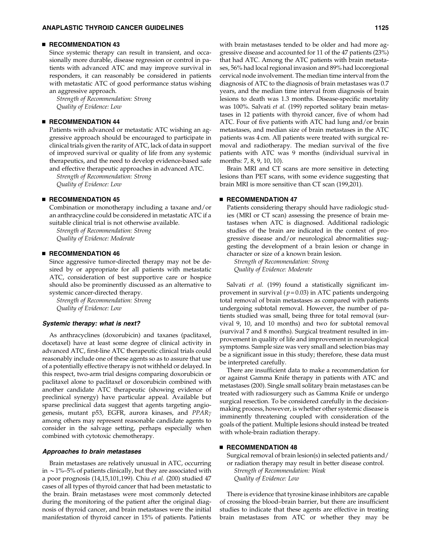#### **B** RECOMMENDATION 43

Since systemic therapy can result in transient, and occasionally more durable, disease regression or control in patients with advanced ATC and may improve survival in responders, it can reasonably be considered in patients with metastatic ATC of good performance status wishing an aggressive approach.

Strength of Recommendation: Strong Quality of Evidence: Low

# **B** RECOMMENDATION 44

Patients with advanced or metastatic ATC wishing an aggressive approach should be encouraged to participate in clinical trials given the rarity of ATC, lack of data in support of improved survival or quality of life from any systemic therapeutics, and the need to develop evidence-based safe and effective therapeutic approaches in advanced ATC.

Strength of Recommendation: Strong Quality of Evidence: Low

#### **B** RECOMMENDATION 45

Combination or monotherapy including a taxane and/or an anthracycline could be considered in metastatic ATC if a suitable clinical trial is not otherwise available.

Strength of Recommendation: Strong Quality of Evidence: Moderate

## **E** RECOMMENDATION 46

Since aggressive tumor-directed therapy may not be desired by or appropriate for all patients with metastatic ATC, consideration of best supportive care or hospice should also be prominently discussed as an alternative to systemic cancer-directed therapy.

Strength of Recommendation: Strong Quality of Evidence: Low

#### Systemic therapy: what is next?

As anthracyclines (doxorubicin) and taxanes (paclitaxel, docetaxel) have at least some degree of clinical activity in advanced ATC, first-line ATC therapeutic clinical trials could reasonably include one of these agents so as to assure that use of a potentially effective therapy is not withheld or delayed. In this respect, two-arm trial designs comparing doxorubicin or paclitaxel alone to paclitaxel or doxorubicin combined with another candidate ATC therapeutic (showing evidence of preclinical synergy) have particular appeal. Available but sparse preclinical data suggest that agents targeting angiogenesis, mutant p53, EGFR, aurora kinases, and  $PPAR\gamma$ among others may represent reasonable candidate agents to consider in the salvage setting, perhaps especially when combined with cytotoxic chemotherapy.

#### Approaches to brain metastases

Brain metastases are relatively unusual in ATC, occurring in  $\sim$  1%–5% of patients clinically, but they are associated with a poor prognosis (14,15,101,199). Chiu et al. (200) studied 47 cases of all types of thyroid cancer that had been metastatic to the brain. Brain metastases were most commonly detected during the monitoring of the patient after the original diagnosis of thyroid cancer, and brain metastases were the initial manifestation of thyroid cancer in 15% of patients. Patients

with brain metastases tended to be older and had more aggressive disease and accounted for 11 of the 47 patients (23%) that had ATC. Among the ATC patients with brain metastases, 56% had local regional invasion and 89% had locoregional cervical node involvement. The median time interval from the diagnosis of ATC to the diagnosis of brain metastases was 0.7 years, and the median time interval from diagnosis of brain lesions to death was 1.3 months. Disease-specific mortality was 100%. Salvati et al. (199) reported solitary brain metastases in 12 patients with thyroid cancer, five of whom had ATC. Four of five patients with ATC had lung and/or brain metastases, and median size of brain metastases in the ATC patients was 4 cm. All patients were treated with surgical removal and radiotherapy. The median survival of the five patients with ATC was 9 months (individual survival in months: 7, 8, 9, 10, 10).

Brain MRI and CT scans are more sensitive in detecting lesions than PET scans, with some evidence suggesting that brain MRI is more sensitive than CT scan (199,201).

#### **E** RECOMMENDATION 47

Patients considering therapy should have radiologic studies (MRI or CT scan) assessing the presence of brain metastases when ATC is diagnosed. Additional radiologic studies of the brain are indicated in the context of progressive disease and/or neurological abnormalities suggesting the development of a brain lesion or change in character or size of a known brain lesion.

Strength of Recommendation: Strong Quality of Evidence: Moderate

Salvati et al. (199) found a statistically significant improvement in survival ( $p = 0.03$ ) in ATC patients undergoing total removal of brain metastases as compared with patients undergoing subtotal removal. However, the number of patients studied was small, being three for total removal (survival 9, 10, and 10 months) and two for subtotal removal (survival 7 and 8 months). Surgical treatment resulted in improvement in quality of life and improvement in neurological symptoms. Sample size was very small and selection bias may be a significant issue in this study; therefore, these data must be interpreted carefully.

There are insufficient data to make a recommendation for or against Gamma Knife therapy in patients with ATC and metastases (200). Single small solitary brain metastases can be treated with radiosurgery such as Gamma Knife or undergo surgical resection. To be considered carefully in the decisionmaking process, however, is whether other systemic disease is imminently threatening coupled with consideration of the goals of the patient. Multiple lesions should instead be treated with whole-brain radiation therapy.

#### **B** RECOMMENDATION 48

Surgical removal of brain lesion(s) in selected patients and/ or radiation therapy may result in better disease control. Strength of Recommendation: Weak Quality of Evidence: Low

There is evidence that tyrosine kinase inhibitors are capable of crossing the blood–brain barrier, but there are insufficient studies to indicate that these agents are effective in treating brain metastases from ATC or whether they may be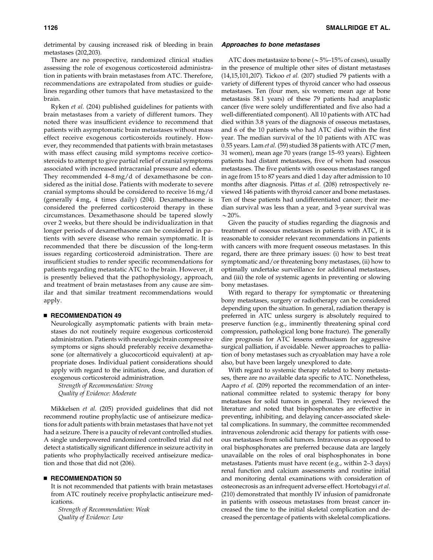detrimental by causing increased risk of bleeding in brain metastases (202,203).

There are no prospective, randomized clinical studies assessing the role of exogenous corticosteroid administration in patients with brain metastases from ATC. Therefore, recommendations are extrapolated from studies or guidelines regarding other tumors that have metastasized to the brain.

Ryken et al. (204) published guidelines for patients with brain metastases from a variety of different tumors. They noted there was insufficient evidence to recommend that patients with asymptomatic brain metastases without mass effect receive exogenous corticosteroids routinely. However, they recommended that patients with brain metastases with mass effect causing mild symptoms receive corticosteroids to attempt to give partial relief of cranial symptoms associated with increased intracranial pressure and edema. They recommended 4–8 mg/d of dexamethasone be considered as the initial dose. Patients with moderate to severe cranial symptoms should be considered to receive 16 mg/d (generally 4 mg, 4 times daily) (204). Dexamethasone is considered the preferred corticosteroid therapy in these circumstances. Dexamethasone should be tapered slowly over 2 weeks, but there should be individualization in that longer periods of dexamethasone can be considered in patients with severe disease who remain symptomatic. It is recommended that there be discussion of the long-term issues regarding corticosteroid administration. There are insufficient studies to render specific recommendations for patients regarding metastatic ATC to the brain. However, it is presently believed that the pathophysiology, approach, and treatment of brain metastases from any cause are similar and that similar treatment recommendations would apply.

#### **BECOMMENDATION 49**

Neurologically asymptomatic patients with brain metastases do not routinely require exogenous corticosteroid administration. Patients with neurologic brain compressive symptoms or signs should preferably receive dexamethasone (or alternatively a glucocorticoid equivalent) at appropriate doses. Individual patient considerations should apply with regard to the initiation, dose, and duration of exogenous corticosteroid administration.

Strength of Recommendation: Strong Quality of Evidence: Moderate

Mikkelsen et al. (205) provided guidelines that did not recommend routine prophylactic use of antiseizure medications for adult patients with brain metastases that have not yet had a seizure. There is a paucity of relevant controlled studies. A single underpowered randomized controlled trial did not detect a statistically significant difference in seizure activity in patients who prophylactically received antiseizure medication and those that did not (206).

## **B** RECOMMENDATION 50

It is not recommended that patients with brain metastases from ATC routinely receive prophylactic antiseizure medications.

Strength of Recommendation: Weak Quality of Evidence: Low

#### Approaches to bone metastases

ATC does metastasize to bone ( $\sim$  5%–15% of cases), usually in the presence of multiple other sites of distant metastases (14,15,101,207). Tickoo et al. (207) studied 79 patients with a variety of different types of thyroid cancer who had osseous metastases. Ten (four men, six women; mean age at bone metastasis 58.1 years) of these 79 patients had anaplastic cancer (five were solely undifferentiated and five also had a well-differentiated component). All 10 patients with ATC had died within 3.8 years of the diagnosis of osseous metastases, and 6 of the 10 patients who had ATC died within the first year. The median survival of the 10 patients with ATC was 0.55 years. Lam et al. (59) studied 38 patients with ATC (7 men, 31 women), mean age 70 years (range 15–93 years). Eighteen patients had distant metastases, five of whom had osseous metastases. The five patients with osseous metastases ranged in age from 15 to 87 years and died 1 day after admission to 10 months after diagnosis. Pittas et al. (208) retrospectively reviewed 146 patients with thyroid cancer and bone metastases. Ten of these patients had undifferentiated cancer; their median survival was less than a year, and 3-year survival was  $\sim$  20%.

Given the paucity of studies regarding the diagnosis and treatment of osseous metastases in patients with ATC, it is reasonable to consider relevant recommendations in patients with cancers with more frequent osseous metastases. In this regard, there are three primary issues: (i) how to best treat symptomatic and/or threatening bony metastases, (ii) how to optimally undertake surveillance for additional metastases, and (iii) the role of systemic agents in preventing or slowing bony metastases.

With regard to therapy for symptomatic or threatening bony metastases, surgery or radiotherapy can be considered depending upon the situation. In general, radiation therapy is preferred in ATC unless surgery is absolutely required to preserve function (e.g., imminently threatening spinal cord compression, pathological long bone fracture). The generally dire prognosis for ATC lessens enthusiasm for aggressive surgical palliation, if avoidable. Newer approaches to palliation of bony metastases such as cryoablation may have a role also, but have been largely unexplored to date.

With regard to systemic therapy related to bony metastases, there are no available data specific to ATC. Nonetheless, Aapro et al. (209) reported the recommendation of an international committee related to systemic therapy for bony metastases for solid tumors in general. They reviewed the literature and noted that bisphosphonates are effective in preventing, inhibiting, and delaying cancer-associated skeletal complications. In summary, the committee recommended intravenous zolendronic acid therapy for patients with osseous metastases from solid tumors. Intravenous as opposed to oral bisphosphonates are preferred because data are largely unavailable on the roles of oral bisphosphonates in bone metastases. Patients must have recent (e.g., within 2–3 days) renal function and calcium assessments and routine initial and monitoring dental examinations with consideration of osteonecrosis as an infrequent adverse effect. Hortobagyi et al. (210) demonstrated that monthly IV infusion of pamidronate in patients with osseous metastases from breast cancer increased the time to the initial skeletal complication and decreased the percentage of patients with skeletal complications.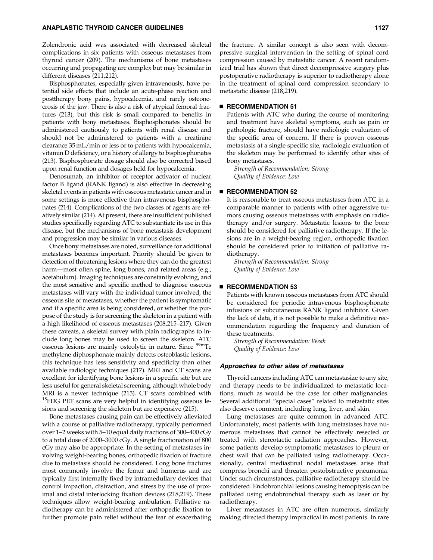Zolendronic acid was associated with decreased skeletal complications in six patients with osseous metastases from thyroid cancer (209). The mechanisms of bone metastases occurring and propagating are complex but may be similar in different diseases (211,212).

Bisphosphonates, especially given intravenously, have potential side effects that include an acute-phase reaction and posttherapy bony pains, hypocalcemia, and rarely osteonecrosis of the jaw. There is also a risk of atypical femoral fractures (213), but this risk is small compared to benefits in patients with bony metastases. Bisphosphonates should be administered cautiously to patients with renal disease and should not be administered to patients with a creatinine clearance 35mL/min or less or to patients with hypocalcemia, vitamin D deficiency, or a history of allergy to bisphosphonates (213). Bisphosphonate dosage should also be corrected based upon renal function and dosages held for hypocalcemia.

Denosumab, an inhibitor of receptor activator of nuclear factor B ligand (RANK ligand) is also effective in decreasing skeletal events in patients with osseous metastatic cancer and in some settings is more effective than intravenous bisphosphonates (214). Complications of the two classes of agents are relatively similar (214). At present, there are insufficient published studies specifically regarding ATC to substantiate its use in this disease, but the mechanisms of bone metastasis development and progression may be similar in various diseases.

Once bony metastases are noted, surveillance for additional metastases becomes important. Priority should be given to detection of threatening lesions where they can do the greatest harm—most often spine, long bones, and related areas (e.g., acetabulum). Imaging techniques are constantly evolving, and the most sensitive and specific method to diagnose osseous metastases will vary with the individual tumor involved, the osseous site of metastases, whether the patient is symptomatic and if a specific area is being considered, or whether the purpose of the study is for screening the skeleton in a patient with a high likelihood of osseous metastases (208,215–217). Given these caveats, a skeletal survey with plain radiographs to include long bones may be used to screen the skeleton. ATC osseous lesions are mainly osteolytic in nature. Since <sup>99m</sup>Tc methylene diphosphonate mainly detects osteoblastic lesions, this technique has less sensitivity and specificity than other available radiologic techniques (217). MRI and CT scans are excellent for identifying bone lesions in a specific site but are less useful for general skeletal screening, although whole body MRI is a newer technique (215). CT scans combined with <sup>18</sup>FDG PET scans are very helpful in identifying osseous lesions and screening the skeleton but are expensive (215).

Bone metastases causing pain can be effectively alleviated with a course of palliative radiotherapy, typically performed over 1–2 weeks with 5–10 equal daily fractions of 300–400 cGy to a total dose of 2000–3000 cGy. A single fractionation of 800 cGy may also be appropriate. In the setting of metastases involving weight-bearing bones, orthopedic fixation of fracture due to metastasis should be considered. Long bone fractures most commonly involve the femur and humerus and are typically first internally fixed by intramedullary devices that control impaction, distraction, and stress by the use of proximal and distal interlocking fixation devices (218,219). These techniques allow weight-bearing ambulation. Palliative radiotherapy can be administered after orthopedic fixation to further promote pain relief without the fear of exacerbating

the fracture. A similar concept is also seen with decompressive surgical intervention in the setting of spinal cord compression caused by metastatic cancer. A recent randomized trial has shown that direct decompressive surgery plus postoperative radiotherapy is superior to radiotherapy alone in the treatment of spinal cord compression secondary to metastatic disease (218,219).

#### **B** RECOMMENDATION 51

Patients with ATC who during the course of monitoring and treatment have skeletal symptoms, such as pain or pathologic fracture, should have radiologic evaluation of the specific area of concern. If there is proven osseous metastasis at a single specific site, radiologic evaluation of the skeleton may be performed to identify other sites of bony metastases.

Strength of Recommendation: Strong Quality of Evidence: Low

#### **B** RECOMMENDATION 52

It is reasonable to treat osseous metastases from ATC in a comparable manner to patients with other aggressive tumors causing osseous metastases with emphasis on radiotherapy and/or surgery. Metastatic lesions to the bone should be considered for palliative radiotherapy. If the lesions are in a weight-bearing region, orthopedic fixation should be considered prior to initiation of palliative radiotherapy.

Strength of Recommendation: Strong Quality of Evidence: Low

## **BECOMMENDATION 53**

Patients with known osseous metastases from ATC should be considered for periodic intravenous bisphosphonate infusions or subcutaneous RANK ligand inhibitor. Given the lack of data, it is not possible to make a definitive recommendation regarding the frequency and duration of these treatments.

Strength of Recommendation: Weak Quality of Evidence: Low

#### Approaches to other sites of metastases

Thyroid cancers including ATC can metastasize to any site, and therapy needs to be individualized to metastatic locations, much as would be the case for other malignancies. Several additional ''special cases'' related to metastatic sites also deserve comment, including lung, liver, and skin.

Lung metastases are quite common in advanced ATC. Unfortunately, most patients with lung metastases have numerous metastases that cannot be effectively resected or treated with stereotactic radiation approaches. However, some patients develop symptomatic metastases to pleura or chest wall that can be palliated using radiotherapy. Occasionally, central mediastinal nodal metastases arise that compress bronchi and threaten postobstructive pneumonia. Under such circumstances, palliative radiotherapy should be considered. Endobronchial lesions causing hemoptysis can be palliated using endobronchial therapy such as laser or by radiotherapy.

Liver metastases in ATC are often numerous, similarly making directed therapy impractical in most patients. In rare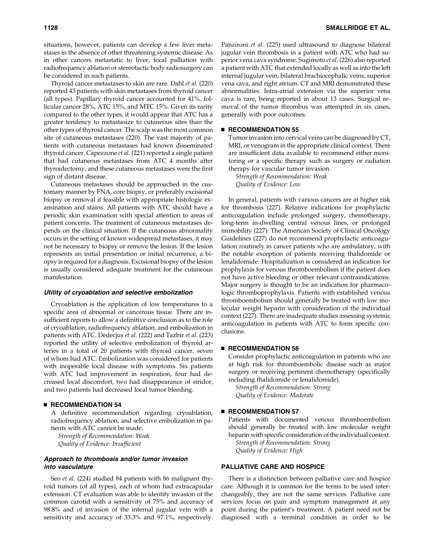situations, however, patients can develop a few liver metastases in the absence of other threatening systemic disease. As in other cancers metastatic to liver, focal palliation with radiofrequency ablation or stereotactic body radiosurgery can be considered in such patients.

Thyroid cancer metastases to skin are rare. Dahl et al. (220) reported 43 patients with skin metastases from thyroid cancer (all types). Papillary thyroid cancer accounted for 41%, follicular cancer 28%, ATC 15%, and MTC 15%. Given its rarity compared to the other types, it would appear that ATC has a greater tendency to metastasize to cutaneous sites than the other types of thyroid cancer. The scalp was the most common site of cutaneous metastases (220). The vast majority of patients with cutaneous metastases had known disseminated thyroid cancer. Capezzone et al. (221) reported a single patient that had cutaneous metastases from ATC 4 months after thyroidectomy, and these cutaneous metastases were the first sign of distant disease.

Cutaneous metastases should be approached in the customary manner by FNA, core biopsy, or preferably excisional biopsy or removal if feasible with appropriate histologic examination and stains. All patients with ATC should have a periodic skin examination with special attention to areas of patient concerns. The treatment of cutaneous metastases depends on the clinical situation. If the cutaneous abnormality occurs in the setting of known widespread metastases, it may not be necessary to biopsy or remove the lesion. If the lesion represents an initial presentation or initial recurrence, a biopsy is required for a diagnosis. Excisional biopsy of the lesion is usually considered adequate treatment for the cutaneous manifestation.

#### Utility of cryoablation and selective embolization

Cryoablation is the application of low temperatures to a specific area of abnormal or cancerous tissue. There are insufficient reports to allow a definitive conclusion as to the role of cryoablation, radiofrequency ablation, and embolization in patients with ATC. Dedecjus et al. (222) and Tazbir et al. (223) reported the utility of selective embolization of thyroid arteries in a total of 20 patients with thyroid cancer, seven of whom had ATC. Embolization was considered for patients with inoperable local disease with symptoms. Six patients with ATC had improvement in respiration, four had decreased local discomfort, two had disappearance of stridor, and two patients had decreased local tumor bleeding.

# **BECOMMENDATION 54**

A definitive recommendation regarding cryoablation, radiofrequency ablation, and selective embolization in patients with ATC cannot be made.

Strength of Recommendation: Weak Quality of Evidence: Insufficient

# Approach to thrombosis and/or tumor invasion into vasculature

Seo et al. (224) studied 84 patients with 86 malignant thyroid tumors (of all types), each of whom had extracapsular extension. CT evaluation was able to identify invasion of the common carotid with a sensitivity of 75% and accuracy of 98.8% and of invasion of the internal jugular vein with a sensitivity and accuracy of 33.3% and 97.1%, respectively. Panzironi et al. (225) used ultrasound to diagnose bilateral jugular vein thrombosis in a patient with ATC who had superior vena cava syndrome. Sugimoto et al. (226) also reported a patient with ATC that extended locally as well as into the left internal jugular vein, bilateral brachiocephalic veins, superior vena cava, and right atrium. CT and MRI demonstrated these abnormalities. Intra-atrial extension via the superior vena cava is rare, being reported in about 13 cases. Surgical removal of the tumor thrombus was attempted in six cases, generally with poor outcomes.

# **BECOMMENDATION 55**

Tumor invasion into cervical veins can be diagnosed by CT, MRI, or venogram in the appropriate clinical context. There are insufficient data available to recommend either monitoring or a specific therapy such as surgery or radiation therapy for vascular tumor invasion.

Strength of Recommendation: Weak Quality of Evidence: Low

In general, patients with various cancers are at higher risk for thrombosis (227). Relative indications for prophylactic anticoagulation include prolonged surgery, chemotherapy, long-term in-dwelling central venous lines, or prolonged immobility (227). The American Society of Clinical Oncology Guidelines (227) do not recommend prophylactic anticoagulation routinely in cancer patients who are ambulatory, with the notable exception of patients receiving thalidomide or lenalidomide. Hospitalization is considered an indication for prophylaxis for venous thromboembolism if the patient does not have active bleeding or other relevant contraindications. Major surgery is thought to be an indication for pharmacologic thromboprophylaxis. Patients with established venous thromboembolism should generally be treated with low molecular weight heparin with consideration of the individual context (227). There are inadequate studies assessing systemic anticoagulation in patients with ATC to form specific conclusions.

#### **B** RECOMMENDATION 56

Consider prophylactic anticoagulation in patients who are at high risk for thromboembolic disease such as major surgery or receiving pertinent chemotherapy (specifically including thalidomide or lenalidomide).

Strength of Recommendation: Strong Quality of Evidence: Moderate

# **BECOMMENDATION 57**

Patients with documented venous thromboembolism should generally be treated with low molecular weight heparin with specific consideration of the individual context. Strength of Recommendation: Strong

Quality of Evidence: High

## PALLIATIVE CARE AND HOSPICE

There is a distinction between palliative care and hospice care. Although it is common for the terms to be used interchangeably, they are not the same services. Palliative care services focus on pain and symptom management at any point during the patient's treatment. A patient need not be diagnosed with a terminal condition in order to be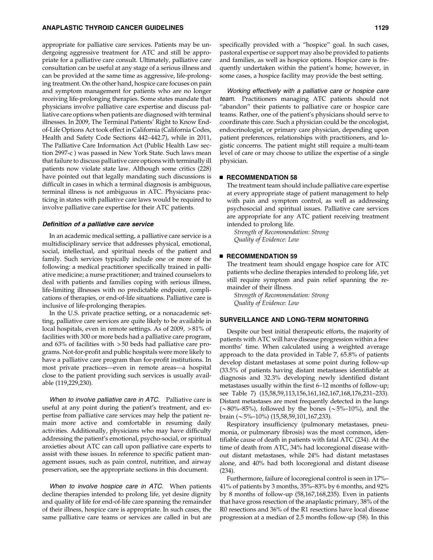appropriate for palliative care services. Patients may be undergoing aggressive treatment for ATC and still be appropriate for a palliative care consult. Ultimately, palliative care consultation can be useful at any stage of a serious illness and can be provided at the same time as aggressive, life-prolonging treatment. On the other hand, hospice care focuses on pain and symptom management for patients who are no longer receiving life-prolonging therapies. Some states mandate that physicians involve palliative care expertise and discuss palliative care options when patients are diagnosed with terminal illnesses. In 2009, The Terminal Patients' Right to Know Endof-Life Options Act took effect in California (California Codes, Health and Safety Code Sections 442–442.7), while in 2011, The Palliative Care Information Act (Public Health Law section 2997-c ) was passed in New York State. Such laws mean that failure to discuss palliative care options with terminally ill patients now violate state law. Although some critics (228) have pointed out that legally mandating such discussions is difficult in cases in which a terminal diagnosis is ambiguous, terminal illness is not ambiguous in ATC. Physicians practicing in states with palliative care laws would be required to involve palliative care expertise for their ATC patients.

#### Definition of a palliative care service

In an academic medical setting, a palliative care service is a multidisciplinary service that addresses physical, emotional, social, intellectual, and spiritual needs of the patient and family. Such services typically include one or more of the following: a medical practitioner specifically trained in palliative medicine; a nurse practitioner; and trained counselors to deal with patients and families coping with serious illness, life-limiting illnesses with no predictable endpoint, complications of therapies, or end-of-life situations. Palliative care is inclusive of life-prolonging therapies.

In the U.S. private practice setting, or a nonacademic setting, palliative care services are quite likely to be available in local hospitals, even in remote settings. As of 2009, > 81% of facilities with 300 or more beds had a palliative care program, and 63% of facilities with > 50 beds had palliative care programs. Not-for-profit and public hospitals were more likely to have a palliative care program than for-profit institutions. In most private practices—even in remote areas—a hospital close to the patient providing such services is usually available (119,229,230).

When to involve palliative care in ATC. Palliative care is useful at any point during the patient's treatment, and expertise from palliative care services may help the patient remain more active and comfortable in resuming daily activities. Additionally, physicians who may have difficulty addressing the patient's emotional, psycho-social, or spiritual anxieties about ATC can call upon palliative care experts to assist with these issues. In reference to specific patient management issues, such as pain control, nutrition, and airway preservation, see the appropriate sections in this document.

When to involve hospice care in ATC. When patients decline therapies intended to prolong life, yet desire dignity and quality of life for end-of-life care spanning the remainder of their illness, hospice care is appropriate. In such cases, the same palliative care teams or services are called in but are specifically provided with a ''hospice'' goal. In such cases, pastoral expertise or support may also be provided to patients and families, as well as hospice options. Hospice care is frequently undertaken within the patient's home; however, in some cases, a hospice facility may provide the best setting.

Working effectively with a palliative care or hospice care team. Practitioners managing ATC patients should not "abandon" their patients to palliative care or hospice care teams. Rather, one of the patient's physicians should serve to coordinate this care. Such a physician could be the oncologist, endocrinologist, or primary care physician, depending upon patient preferences, relationships with practitioners, and logistic concerns. The patient might still require a multi-team level of care or may choose to utilize the expertise of a single physician.

## **E** RECOMMENDATION 58

The treatment team should include palliative care expertise at every appropriate stage of patient management to help with pain and symptom control, as well as addressing psychosocial and spiritual issues. Palliative care services are appropriate for any ATC patient receiving treatment intended to prolong life.

Strength of Recommendation: Strong Quality of Evidence: Low

#### **BECOMMENDATION 59**

The treatment team should engage hospice care for ATC patients who decline therapies intended to prolong life, yet still require symptom and pain relief spanning the remainder of their illness.

Strength of Recommendation: Strong Quality of Evidence: Low

#### SURVEILLANCE AND LONG-TERM MONITORING

Despite our best initial therapeutic efforts, the majority of patients with ATC will have disease progression within a few months' time. When calculated using a weighted average approach to the data provided in Table 7, 65.8% of patients develop distant metastases at some point during follow-up (33.5% of patients having distant metastases identifiable at diagnosis and 32.3% developing newly identified distant metastases usually within the first 6–12 months of follow-up; see Table 7) (15,58,59,113,156,161,162,167,168,176,231–233). Distant metastases are most frequently detected in the lungs  $(\sim 80\% - 85\%)$ , followed by the bones  $(\sim 5\% - 10\%)$ , and the brain ( $\sim$  5%–10%) (15,58,59,101,167,233).

Respiratory insufficiency (pulmonary metastases, pneumonia, or pulmonary fibrosis) was the most common, identifiable cause of death in patients with fatal ATC (234). At the time of death from ATC, 34% had locoregional disease without distant metastases, while 24% had distant metastases alone, and 40% had both locoregional and distant disease (234).

Furthermore, failure of locoregional control is seen in 17%– 41% of patients by 3 months, 35%–83% by 6 months, and 92% by 8 months of follow-up (58,167,168,235). Even in patients that have gross resection of the anaplastic primary, 38% of the R0 resections and 36% of the R1 resections have local disease progression at a median of 2.5 months follow-up (58). In this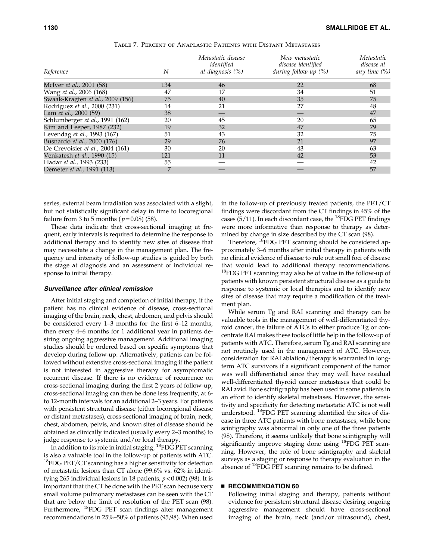| Reference                        | N   | Metastatic disease<br>identified<br>at diagnosis (%) | New metastatic<br>disease identified<br>during follow-up (%) | <i>Metastatic</i><br>disease at<br>any time $(\%)$ |
|----------------------------------|-----|------------------------------------------------------|--------------------------------------------------------------|----------------------------------------------------|
| McIver et al., 2001 (58)         | 134 | 46                                                   | 22                                                           | 68                                                 |
| Wang et al., 2006 (168)          | 47  | 17                                                   | 34                                                           | 51                                                 |
| Swaak-Kragten et al., 2009 (156) | 75  | 40                                                   | 35                                                           | 75                                                 |
| Rodriguez et al., 2000 (231)     | 14  | 21                                                   | 27                                                           | 48                                                 |
| Lam <i>et al.</i> , 2000 (59)    | 38  |                                                      |                                                              | 47                                                 |
| Schlumberger et al., 1991 (162)  | 20  | 45                                                   | 20                                                           | 65                                                 |
| Kim and Leeper, 1987 (232)       | 19  | 32                                                   | 47                                                           | 79                                                 |
| Levendag et al., 1993 (167)      | 51  | 43                                                   | 32                                                           | 75                                                 |
| Busnardo et al., 2000 (176)      | 29  | 76                                                   | 21                                                           | 97                                                 |
| De Crevoisier et al., 2004 (161) | 30  | 20                                                   | 43                                                           | 63                                                 |
| Venkatesh et al., 1990 (15)      | 121 | 11                                                   | 42                                                           | 53                                                 |
| Hadar et al., 1993 (233)         | 55  |                                                      |                                                              | 42                                                 |
| Demeter et al., 1991 (113)       | 7   |                                                      |                                                              | 57                                                 |

Table 7. Percent of Anaplastic Patients with Distant Metastases

series, external beam irradiation was associated with a slight, but not statistically significant delay in time to locoregional failure from 3 to 5 months ( $p = 0.08$ ) (58).

These data indicate that cross-sectional imaging at frequent, early intervals is required to determine the response to additional therapy and to identify new sites of disease that may necessitate a change in the management plan. The frequency and intensity of follow-up studies is guided by both the stage at diagnosis and an assessment of individual response to initial therapy.

#### Surveillance after clinical remission

After initial staging and completion of initial therapy, if the patient has no clinical evidence of disease, cross-sectional imaging of the brain, neck, chest, abdomen, and pelvis should be considered every 1–3 months for the first 6–12 months, then every 4–6 months for 1 additional year in patients desiring ongoing aggressive management. Additional imaging studies should be ordered based on specific symptoms that develop during follow-up. Alternatively, patients can be followed without extensive cross-sectional imaging if the patient is not interested in aggressive therapy for asymptomatic recurrent disease. If there is no evidence of recurrence on cross-sectional imaging during the first 2 years of follow-up, cross-sectional imaging can then be done less frequently, at 6 to 12-month intervals for an additional 2–3 years. For patients with persistent structural disease (either locoregional disease or distant metastases), cross-sectional imaging of brain, neck, chest, abdomen, pelvis, and known sites of disease should be obtained as clinically indicated (usually every 2–3 months) to judge response to systemic and/or local therapy.

In addition to its role in initial staging, <sup>18</sup>FDG PET scanning is also a valuable tool in the follow-up of patients with ATC.  $18$ FDG PET/CT scanning has a higher sensitivity for detection of metastatic lesions than CT alone (99.6% vs. 62% in identifying 265 individual lesions in 18 patients,  $p < 0.002$ ) (98). It is important that the CT be done with the PET scan because very small volume pulmonary metastases can be seen with the CT that are below the limit of resolution of the PET scan (98). Furthermore, <sup>18</sup>FDG PET scan findings alter management recommendations in 25%–50% of patients (95,98). When used

in the follow-up of previously treated patients, the PET/CT findings were discordant from the CT findings in 45% of the cases ( $5/11$ ). In each discordant case, the <sup>18</sup>FDG PET findings were more informative than response to therapy as determined by change in size described by the CT scan (98).

Therefore, <sup>18</sup>FDG PET scanning should be considered approximately 3–6 months after initial therapy in patients with no clinical evidence of disease to rule out small foci of disease that would lead to additional therapy recommendations.  $^{18}$ FDG PET scanning may also be of value in the follow-up of patients with known persistent structural disease as a guide to response to systemic or local therapies and to identify new sites of disease that may require a modification of the treatment plan.

While serum Tg and RAI scanning and therapy can be valuable tools in the management of well-differentiated thyroid cancer, the failure of ATCs to either produce Tg or concentrate RAI makes these tools of little help in the follow-up of patients with ATC. Therefore, serum Tg and RAI scanning are not routinely used in the management of ATC. However, consideration for RAI ablation/therapy is warranted in longterm ATC survivors if a significant component of the tumor was well differentiated since they may well have residual well-differentiated thyroid cancer metastases that could be RAI avid. Bone scintigraphy has been used in some patients in an effort to identify skeletal metastases. However, the sensitivity and specificity for detecting metastatic ATC is not well understood. <sup>18</sup>FDG PET scanning identified the sites of disease in three ATC patients with bone metastases, while bone scintigraphy was abnormal in only one of the three patients (98). Therefore, it seems unlikely that bone scintigraphy will significantly improve staging done using <sup>18</sup>FDG PET scanning. However, the role of bone scintigraphy and skeletal surveys as a staging or response to therapy evaluation in the absence of  $^{18}$ FDG PET scanning remains to be defined.

## **BECOMMENDATION 60**

Following initial staging and therapy, patients without evidence for persistent structural disease desiring ongoing aggressive management should have cross-sectional imaging of the brain, neck (and/or ultrasound), chest,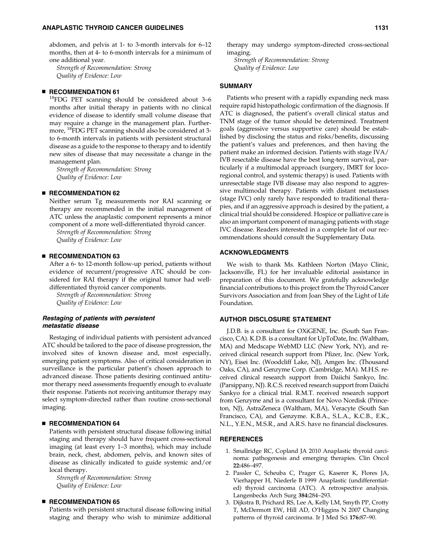abdomen, and pelvis at 1- to 3-month intervals for 6–12 months, then at 4- to 6-month intervals for a minimum of one additional year.

Strength of Recommendation: Strong Quality of Evidence: Low

# **B** RECOMMENDATION 61

 $18$ FDG PET scanning should be considered about 3-6 months after initial therapy in patients with no clinical evidence of disease to identify small volume disease that may require a change in the management plan. Furthermore, <sup>18</sup>FDG PET scanning should also be considered at 3to 6-month intervals in patients with persistent structural disease as a guide to the response to therapy and to identify new sites of disease that may necessitate a change in the management plan.

Strength of Recommendation: Strong Quality of Evidence: Low

## **BECOMMENDATION 62**

Neither serum Tg measurements nor RAI scanning or therapy are recommended in the initial management of ATC unless the anaplastic component represents a minor component of a more well-differentiated thyroid cancer.

Strength of Recommendation: Strong Quality of Evidence: Low

## **B** RECOMMENDATION 63

After a 6- to 12-month follow-up period, patients without evidence of recurrent/progressive ATC should be considered for RAI therapy if the original tumor had welldifferentiated thyroid cancer components.

Strength of Recommendation: Strong Quality of Evidence: Low

#### Restaging of patients with persistent metastatic disease

Restaging of individual patients with persistent advanced ATC should be tailored to the pace of disease progression, the involved sites of known disease and, most especially, emerging patient symptoms. Also of critical consideration in surveillance is the particular patient's chosen approach to advanced disease. Those patients desiring continued antitumor therapy need assessments frequently enough to evaluate their response. Patients not receiving antitumor therapy may select symptom-directed rather than routine cross-sectional imaging.

# **E** RECOMMENDATION 64

Patients with persistent structural disease following initial staging and therapy should have frequent cross-sectional imaging (at least every 1–3 months), which may include brain, neck, chest, abdomen, pelvis, and known sites of disease as clinically indicated to guide systemic and/or local therapy.

Strength of Recommendation: Strong Quality of Evidence: Low

# **BECOMMENDATION 65**

Patients with persistent structural disease following initial staging and therapy who wish to minimize additional therapy may undergo symptom-directed cross-sectional imaging.

Strength of Recommendation: Strong Quality of Evidence: Low

# SUMMARY

Patients who present with a rapidly expanding neck mass require rapid histopathologic confirmation of the diagnosis. If ATC is diagnosed, the patient's overall clinical status and TNM stage of the tumor should be determined. Treatment goals (aggressive versus supportive care) should be established by disclosing the status and risks/benefits, discussing the patient's values and preferences, and then having the patient make an informed decision. Patients with stage IVA/ IVB resectable disease have the best long-term survival, particularly if a multimodal approach (surgery, IMRT for locoregional control, and systemic therapy) is used. Patients with unresectable stage IVB disease may also respond to aggressive multimodal therapy. Patients with distant metastases (stage IVC) only rarely have responded to traditional therapies, and if an aggressive approach is desired by the patient, a clinical trial should be considered. Hospice or palliative care is also an important component of managing patients with stage IVC disease. Readers interested in a complete list of our recommendations should consult the Supplementary Data.

## ACKNOWLEDGMENTS

We wish to thank Ms. Kathleen Norton (Mayo Clinic, Jacksonville, FL) for her invaluable editorial assistance in preparation of this document. We gratefully acknowledge financial contributions to this project from the Thyroid Cancer Survivors Association and from Joan Shey of the Light of Life Foundation.

## AUTHOR DISCLOSURE STATEMENT

J.D.B. is a consultant for OXiGENE, Inc. (South San Francisco, CA). K.D.B. is a consultant for UpToDate, Inc. (Waltham, MA) and Medscape WebMD LLC (New York, NY), and received clinical research support from Pfizer, Inc. (New York, NY), Eisei Inc. (Woodcliff Lake, NJ), Amgen Inc. (Thousand Oaks, CA), and Genzyme Corp. (Cambridge, MA). M.H.S. received clinical research support from Daiichi Sankyo, Inc. (Parsippany, NJ). R.C.S. received research support from Daiichi Sankyo for a clinical trial. R.M.T. received research support from Genzyme and is a consultant for Novo Nordisk (Princeton, NJ), AstraZeneca (Waltham, MA), Veracyte (South San Francisco, CA), and Genzyme. K.B.A., S.L.A., K.C.B., E.K., N.L., Y.E.N., M.S.R., and A.R.S. have no financial disclosures.

## REFERENCES

- 1. Smallridge RC, Copland JA 2010 Anaplastic thyroid carcinoma: pathogenesis and emerging therapies. Clin Oncol 22:486–497.
- 2. Passler C, Scheuba C, Prager G, Kaserer K, Flores JA, Vierhapper H, Niederle B 1999 Anaplastic (undifferentiated) thyroid carcinoma (ATC). A retrospective analysis. Langenbecks Arch Surg 384:284–293.
- 3. Dijkstra B, Prichard RS, Lee A, Kelly LM, Smyth PP, Crotty T, McDermott EW, Hill AD, O'Higgins N 2007 Changing patterns of thyroid carcinoma. Ir J Med Sci 176:87–90.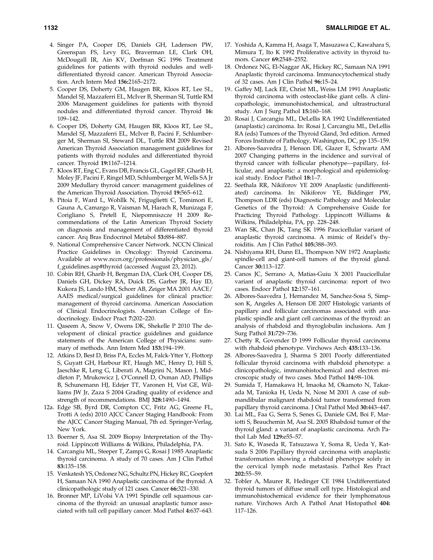- 4. Singer PA, Cooper DS, Daniels GH, Ladenson PW, Greenspan FS, Levy EG, Braverman LE, Clark OH, McDougall IR, Ain KV, Dorfman SG 1996 Treatment guidelines for patients with thyroid nodules and welldifferentiated thyroid cancer. American Thyroid Association. Arch Intern Med 156:2165–2172.
- 5. Cooper DS, Doherty GM, Haugen BR, Kloos RT, Lee SL, Mandel SJ, Mazzaferri EL, McIver B, Sherman SI, Tuttle RM 2006 Management guidelines for patients with thyroid nodules and differentiated thyroid cancer. Thyroid 16: 109–142.
- 6. Cooper DS, Doherty GM, Haugen BR, Kloos RT, Lee SL, Mandel SJ, Mazzaferri EL, McIver B, Pacini F, Schlumberger M, Sherman SI, Steward DL, Tuttle RM 2009 Revised American Thyroid Association management guidelines for patients with thyroid nodules and differentiated thyroid cancer. Thyroid 19:1167–1214.
- 7. Kloos RT, Eng C, Evans DB, Francis GL, Gagel RF, Gharib H, Moley JF, Pacini F, Ringel MD, Schlumberger M, Wells SA Jr 2009 Medullary thyroid cancer: management guidelines of the American Thyroid Association. Thyroid 19:565–612.
- 8. Pitoia F, Ward L, Wohllk N, Friguglietti C, Tomimori E, Gauna A, Camargo R, Vaisman M, Harach R, Munizaga F, Corigliano S, Pretell E, Niepomniszcze H 2009 Recommendations of the Latin American Thyroid Society on diagnosis and management of differentiated thyroid cancer. Arq Bras Endocrinol Metabol 53:884–887.
- 9. National Comprehensive Cancer Network. NCCN Clinical Practice Guidelines in Oncology: Thyroid Carcinoma. Available at www.nccn.org/professionals/physician\_gls/ f\_guidelines.asp#thyroid (accessed August 23, 2012).
- 10. Cobin RH, Gharib H, Bergman DA, Clark OH, Cooper DS, Daniels GH, Dickey RA, Duick DS, Garber JR, Hay ID, Kukora JS, Lando HM, Schorr AB, Zeiger MA 2001 AACE/ AAES medical/surgical guidelines for clinical practice: management of thyroid carcinoma. American Association of Clinical Endocrinologists. American College of Endocrinology. Endocr Pract 7:202–220.
- 11. Qaseem A, Snow V, Owens DK, Shekelle P 2010 The development of clinical practice guidelines and guidance statements of the American College of Physicians: summary of methods. Ann Intern Med 153:194–199.
- 12. Atkins D, Best D, Briss PA, Eccles M, Falck-Ytter Y, Flottorp S, Guyatt GH, Harbour RT, Haugh MC, Henry D, Hill S, Jaeschke R, Leng G, Liberati A, Magrini N, Mason J, Middleton P, Mrukowicz J, O'Connell D, Oxman AD, Phillips B, Schunemann HJ, Edejer TT, Varonen H, Vist GE, Williams JW Jr, Zaza S 2004 Grading quality of evidence and strength of recommendations. BMJ 328:1490–1494.
- 12a. Edge SB, Byrd DR, Compton CC, Fritz AG, Greene FL, Trotti A (eds) 2010 AJCC Cancer Staging Handbook: From the AJCC Cancer Staging Manual, 7th ed. Springer-Verlag, New York.
- 13. Boerner S, Asa SL 2009 Biopsy Interpretation of the Thyroid. Lippincott Williams & Wilkins, Philadelphia, PA.
- 14. Carcangiu ML, Steeper T, Zampi G, Rosai J 1985 Anaplastic thyroid carcinoma. A study of 70 cases. Am J Clin Pathol 83:135–158.
- 15. Venkatesh YS, Ordonez NG, Schultz PN, Hickey RC, Goepfert H, Samaan NA 1990 Anaplastic carcinoma of the thyroid. A clinicopathologic study of 121 cases. Cancer 66:321–330.
- 16. Bronner MP, LiVolsi VA 1991 Spindle cell squamous carcinoma of the thyroid: an unusual anaplastic tumor associated with tall cell papillary cancer. Mod Pathol 4:637–643.
- 17. Yoshida A, Kamma H, Asaga T, Masuzawa C, Kawahara S, Mimura T, Ito K 1992 Proliferative activity in thyroid tumors. Cancer 69:2548–2552.
- 18. Ordonez NG, El-Naggar AK, Hickey RC, Samaan NA 1991 Anaplastic thyroid carcinoma. Immunocytochemical study of 32 cases. Am J Clin Pathol 96:15–24.
- 19. Gaffey MJ, Lack EE, Christ ML, Weiss LM 1991 Anaplastic thyroid carcinoma with osteoclast-like giant cells. A clinicopathologic, immunohistochemical, and ultrastructural study. Am J Surg Pathol 15:160–168.
- 20. Rosai J, Carcangiu ML, DeLellis RA 1992 Undifferentiated (anaplastic) carcinoma. In: Rosai J, Carcangiu ML, DeLellis RA (eds) Tumors of the Thyroid Gland, 3rd edition. Armed Forces Institute of Pathology, Washington, DC, pp 135–159.
- 21. Albores-Saavedra J, Henson DE, Glazer E, Schwartz AM 2007 Changing patterns in the incidence and survival of thyroid cancer with follicular phenotype—papillary, follicular, and anaplastic: a morphological and epidemiological study. Endocr Pathol 18:1–7.
- 22. Seethala RR, Nikiforov YE 2009 Anaplastic (undifferentiated) carcinoma. In: Nikiforov YE, Biddinger PW, Thompson LDR (eds) Diagnostic Pathology and Molecular Genetics of the Thyroid: A Comprehensive Guide for Practicing Thyroid Pathology. Lippincott Williams & Wilkins, Philadelphia, PA, pp. 228–248.
- 23. Wan SK, Chan JK, Tang SK 1996 Paucicellular variant of anaplastic thyroid carcinoma. A mimic of Reidel's thyroiditis. Am J Clin Pathol 105:388–393.
- 24. Nishiyama RH, Dunn EL, Thompson NW 1972 Anaplastic spindle-cell and giant-cell tumors of the thyroid gland. Cancer 30:113–127.
- 25. Canos JC, Serrano A, Matias-Guiu X 2001 Paucicellular variant of anaplastic thyroid carcinoma: report of two cases. Endocr Pathol 12:157–161.
- 26. Albores-Saavedra J, Hernandez M, Sanchez-Sosa S, Simpson K, Angeles A, Henson DE 2007 Histologic variants of papillary and follicular carcinomas associated with anaplastic spindle and giant cell carcinomas of the thyroid: an analysis of rhabdoid and thyroglobulin inclusions. Am J Surg Pathol 31:729–736.
- 27. Chetty R, Govender D 1999 Follicular thyroid carcinoma with rhabdoid phenotype. Virchows Arch 435:133–136.
- 28. Albores-Saavedra J, Sharma S 2001 Poorly differentiated follicular thyroid carcinoma with rhabdoid phenotype: a clinicopathologic, immunohistochemical and electron microscopic study of two cases. Mod Pathol 14:98–104.
- 29. Sumida T, Hamakawa H, Imaoka M, Okamoto N, Takarada M, Tanioka H, Ueda N, Nose M 2001 A case of submandibular malignant rhabdoid tumor transformed from papillary thyroid carcinoma. J Oral Pathol Med 30:443–447.
- 30. Lai ML, Faa G, Serra S, Senes G, Daniele GM, Boi F, Mariotti S, Beauchemin M, Asa SL 2005 Rhabdoid tumor of the thyroid gland: a variant of anaplastic carcinoma. Arch Pathol Lab Med 129:e55–57.
- 31. Sato K, Waseda R, Tatsuzawa Y, Soma R, Ueda Y, Katsuda S 2006 Papillary thyroid carcinoma with anaplastic transformation showing a rhabdoid phenotype solely in the cervical lymph node metastasis. Pathol Res Pract 202:55–59.
- 32. Tobler A, Maurer R, Hedinger CE 1984 Undifferentiated thyroid tumors of diffuse small cell type. Histological and immunohistochemical evidence for their lymphomatous nature. Virchows Arch A Pathol Anat Histopathol 404: 117–126.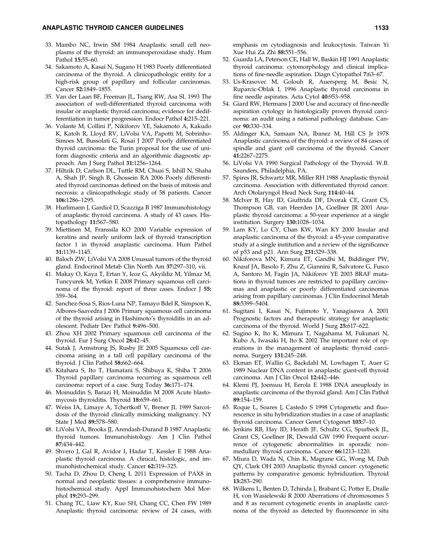- 33. Mambo NC, Irwin SM 1984 Anaplastic small cell neoplasms of the thyroid: an immunoperoxidase study. Hum Pathol 15:55–60.
- 34. Sakamoto A, Kasai N, Sugano H 1983 Poorly differentiated carcinoma of the thyroid. A clinicopathologic entity for a high-risk group of papillary and follicular carcinomas. Cancer 52:1849–1855.
- 35. Van der Laan BF, Freeman JL, Tsang RW, Asa SL 1993 The association of well-differentiated thyroid carcinoma with insular or anaplastic thyroid carcinoma; evidence for dedifferentiation in tumor progression. Endocr Pathol 4:215–221.
- 36. Volante M, Collini P, Nikiforov YE, Sakamoto A, Kakudo K, Katoh R, Lloyd RV, LiVolsi VA, Papotti M, Sobrinho-Simoes M, Bussolati G, Rosai J 2007 Poorly differentiated thyroid carcinoma: the Turin proposal for the use of uniform diagnostic criteria and an algorithmic diagnostic approach. Am J Surg Pathol 31:1256–1264.
- 37. Hiltzik D, Carlson DL, Tuttle RM, Chuai S, Ishill N, Shaha A, Shah JP, Singh B, Ghossein RA 2006 Poorly differentiated thyroid carcinomas defined on the basis of mitosis and necrosis: a clinicopathologic study of 58 patients. Cancer 106:1286–1295.
- 38. Hurlimann J, Gardiol D, Scazziga B 1987 Immunohistology of anaplastic thyroid carcinoma. A study of 43 cases. Histopathology 11:567–580.
- 39. Miettinen M, Franssila KO 2000 Variable expression of keratins and nearly uniform lack of thyroid transcription factor 1 in thyroid anaplastic carcinoma. Hum Pathol 31:1139–1145.
- 40. Baloch ZW, LiVolsi VA 2008 Unusual tumors of the thyroid gland. Endocrinol Metab Clin North Am 37:297–310, vii.
- 41. Makay O, Kaya T, Ertan Y, Icoz G, Akyildiz M, Yilmaz M, Tuncyurek M, Yetkin E 2008 Primary squamous cell carcinoma of the thyroid: report of three cases. Endocr J 55: 359–364.
- 42. Sanchez-Sosa S, Rios-Luna NP, Tamayo Bdel R, Simpson K, Albores-Saavedra J 2006 Primary squamous cell carcinoma of the thyroid arising in Hashimoto's thyroiditis in an adolescent. Pediatr Dev Pathol 9:496–500.
- 43. Zhou XH 2002 Primary squamous cell carcinoma of the thyroid. Eur J Surg Oncol 28:42–45.
- 44. Sutak J, Armstrong JS, Rusby JE 2005 Squamous cell carcinoma arising in a tall cell papillary carcinoma of the thyroid. J Clin Pathol 58:662–664.
- 45. Kitahara S, Ito T, Hamatani S, Shibuya K, Shiba T 2006 Thyroid papillary carcinoma recurring as squamous cell carcinoma: report of a case. Surg Today 36:171–174.
- 46. Moinuddin S, Barazi H, Moinuddin M 2008 Acute blastomycosis thyroiditis. Thyroid 18:659–661.
- 47. Weiss IA, Limaye A, Tchertkoff V, Brener JL 1989 Sarcoidosis of the thyroid clinically mimicking malignancy. NY State J Med 89:578–580.
- 48. LiVolsi VA, Brooks JJ, Arendash-Durand B 1987 Anaplastic thyroid tumors. Immunohistology. Am J Clin Pathol 87:434–442.
- 49. Shvero J, Gal R, Avidor I, Hadar T, Kessler E 1988 Anaplastic thyroid carcinoma. A clinical, histologic, and immunohistochemical study. Cancer 62:319–325.
- 50. Tacha D, Zhou D, Cheng L 2011 Expression of PAX8 in normal and neoplastic tissues: a comprehensive immunohistochemical study. Appl Immunohistochem Mol Morphol 19:293–299.
- 51. Chang TC, Liaw KY, Kuo SH, Chang CC, Chen FW 1989 Anaplastic thyroid carcinoma: review of 24 cases, with

emphasis on cytodiagnosis and leukocytosis. Taiwan Yi Xue Hui Za Zhi 88:551–556.

- 52. Guarda LA, Peterson CE, Hall W, Baskin HJ 1991 Anaplastic thyroid carcinoma: cytomorphology and clinical implications of fine-needle aspiration. Diagn Cytopathol 7:63–67.
- 53. Us-Krasovec M, Golouh R, Auersperg M, Besic N, Ruparcic-Oblak L 1996 Anaplastic thyroid carcinoma in fine needle aspirates. Acta Cytol 40:953–958.
- 54. Giard RW, Hermans J 2000 Use and accuracy of fine-needle aspiration cytology in histologically proven thyroid carcinoma: an audit using a national pathology database. Cancer 90:330–334.
- 55. Aldinger KA, Samaan NA, Ibanez M, Hill CS Jr 1978 Anaplastic carcinoma of the thyroid: a review of 84 cases of spindle and giant cell carcinoma of the thyroid. Cancer 41:2267–2275.
- 56. LiVolsi VA 1990 Surgical Pathology of the Thyroid. W.B. Saunders, Philadelphia, PA.
- 57. Spires JR, Schwartz MR, Miller RH 1988 Anaplastic thyroid carcinoma. Association with differentiated thyroid cancer. Arch Otolaryngol Head Neck Surg 114:40–44.
- 58. McIver B, Hay ID, Giuffrida DF, Dvorak CE, Grant CS, Thompson GB, van Heerden JA, Goellner JR 2001 Anaplastic thyroid carcinoma: a 50-year experience at a single institution. Surgery 130:1028–1034.
- 59. Lam KY, Lo CY, Chan KW, Wan KY 2000 Insular and anaplastic carcinoma of the thyroid: a 45-year comparative study at a single institution and a review of the significance of p53 and p21. Ann Surg 231:329–338.
- 60. Nikiforova MN, Kimura ET, Gandhi M, Biddinger PW, Knauf JA, Basolo F, Zhu Z, Giannini R, Salvatore G, Fusco A, Santoro M, Fagin JA, Nikiforov YE 2003 BRAF mutations in thyroid tumors are restricted to papillary carcinomas and anaplastic or poorly differentiated carcinomas arising from papillary carcinomas. J Clin Endocrinol Metab 88:5399–5404.
- 61. Sugitani I, Kasai N, Fujimoto Y, Yanagisawa A 2001 Prognostic factors and therapeutic strategy for anaplastic carcinoma of the thyroid. World J Surg 25:617–622.
- 62. Sugino K, Ito K, Mimura T, Nagahama M, Fukunari N, Kubo A, Iwasaki H, Ito K 2002 The important role of operations in the management of anaplastic thyroid carcinoma. Surgery 131:245–248.
- 63. Ekman ET, Wallin G, Backdahl M, Lowhagen T, Auer G 1989 Nuclear DNA content in anaplastic giant-cell thyroid carcinoma. Am J Clin Oncol 12:442–446.
- 64. Klemi PJ, Joensuu H, Eerola E 1988 DNA aneuploidy in anaplastic carcinoma of the thyroid gland. Am J Clin Pathol 89:154–159.
- 65. Roque L, Soares J, Castedo S 1998 Cytogenetic and fluorescence in situ hybridization studies in a case of anaplastic thyroid carcinoma. Cancer Genet Cytogenet 103:7–10.
- 66. Jenkins RB, Hay ID, Herath JF, Schultz CG, Spurbeck JL, Grant CS, Goellner JR, Dewald GW 1990 Frequent occurrence of cytogenetic abnormalities in sporadic nonmedullary thyroid carcinoma. Cancer 66:1213–1220.
- 67. Miura D, Wada N, Chin K, Magrane GG, Wong M, Duh QY, Clark OH 2003 Anaplastic thyroid cancer: cytogenetic patterns by comparative genomic hybridization. Thyroid 13:283–290.
- 68. Wilkens L, Benten D, Tchinda J, Brabant G, Potter E, Dralle H, von Wasielewski R 2000 Aberrations of chromosomes 5 and 8 as recurrent cytogenetic events in anaplastic carcinoma of the thyroid as detected by fluorescence in situ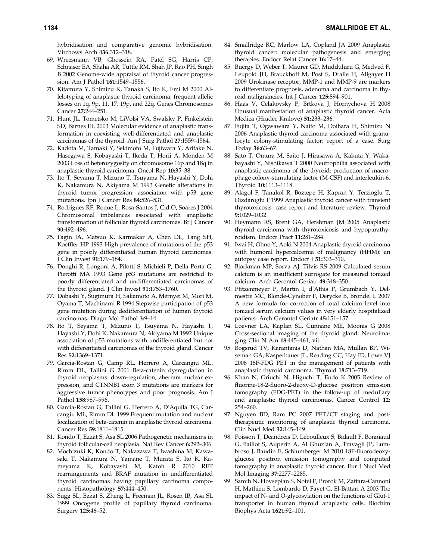hybridisation and comparative genomic hybridisation. Virchows Arch 436:312–318.

- 69. Wreesmann VB, Ghossein RA, Patel SG, Harris CP, Schnaser EA, Shaha AR, Tuttle RM, Shah JP, Rao PH, Singh B 2002 Genome-wide appraisal of thyroid cancer progression. Am J Pathol 161:1549–1556.
- 70. Kitamura Y, Shimizu K, Tanaka S, Ito K, Emi M 2000 Allelotyping of anaplastic thyroid carcinoma: frequent allelic losses on 1q, 9p, 11, 17, 19p, and 22q. Genes Chromosomes Cancer 27:244–251.
- 71. Hunt JL, Tometsko M, LiVolsi VA, Swalsky P, Finkelstein SD, Barnes EL 2003 Molecular evidence of anaplastic transformation in coexisting well-differentiated and anaplastic carcinomas of the thyroid. Am J Surg Pathol 27:1559–1564.
- 72. Kadota M, Tamaki Y, Sekimoto M, Fujiwara Y, Aritake N, Hasegawa S, Kobayashi T, Ikeda T, Horii A, Monden M 2003 Loss of heterozygosity on chromosome 16p and 18q in anaplastic thyroid carcinoma. Oncol Rep 10:35–38.
- 73. Ito T, Seyama T, Mizuno T, Tsuyama N, Hayashi Y, Dohi K, Nakamura N, Akiyama M 1993 Genetic alterations in thyroid tumor progression: association with p53 gene mutations. Jpn J Cancer Res 84:526–531.
- 74. Rodrigues RF, Roque L, Rosa-Santos J, Cid O, Soares J 2004 Chromosomal imbalances associated with anaplastic transformation of follicular thyroid carcinomas. Br J Cancer 90:492–496.
- 75. Fagin JA, Matsuo K, Karmakar A, Chen DL, Tang SH, Koeffler HP 1993 High prevalence of mutations of the p53 gene in poorly differentiated human thyroid carcinomas. J Clin Invest 91:179–184.
- 76. Donghi R, Longoni A, Pilotti S, Michieli P, Della Porta G, Pierotti MA 1993 Gene p53 mutations are restricted to poorly differentiated and undifferentiated carcinomas of the thyroid gland. J Clin Invest 91:1753–1760.
- 77. Dobashi Y, Sugimura H, Sakamoto A, Mernyei M, Mori M, Oyama T, Machinami R 1994 Stepwise participation of p53 gene mutation during dedifferentiation of human thyroid carcinomas. Diagn Mol Pathol 3:9–14.
- 78. Ito T, Seyama T, Mizuno T, Tsuyama N, Hayashi T, Hayashi Y, Dohi K, Nakamura N, Akiyama M 1992 Unique association of p53 mutations with undifferentiated but not with differentiated carcinomas of the thyroid gland. Cancer Res 52:1369–1371.
- 79. Garcia-Rostan G, Camp RL, Herrero A, Carcangiu ML, Rimm DL, Tallini G 2001 Beta-catenin dysregulation in thyroid neoplasms: down-regulation, aberrant nuclear expression, and CTNNB1 exon 3 mutations are markers for aggressive tumor phenotypes and poor prognosis. Am J Pathol 158:987–996.
- 80. Garcia-Rostan G, Tallini G, Herrero A, D'Aquila TG, Carcangiu ML, Rimm DL 1999 Frequent mutation and nuclear localization of beta-catenin in anaplastic thyroid carcinoma. Cancer Res 59:1811–1815.
- 81. Kondo T, Ezzat S, Asa SL 2006 Pathogenetic mechanisms in thyroid follicular-cell neoplasia. Nat Rev Cancer 6:292–306.
- 82. Mochizuki K, Kondo T, Nakazawa T, Iwashina M, Kawasaki T, Nakamura N, Yamane T, Murata S, Ito K, Kameyama K, Kobayashi M, Katoh R 2010 RET rearrangements and BRAF mutation in undifferentiated thyroid carcinomas having papillary carcinoma components. Histopathology 57:444–450.
- 83. Sugg SL, Ezzat S, Zheng L, Freeman JL, Rosen IB, Asa SL 1999 Oncogene profile of papillary thyroid carcinoma. Surgery 125:46–52.
- 84. Smallridge RC, Marlow LA, Copland JA 2009 Anaplastic thyroid cancer: molecular pathogenesis and emerging therapies. Endocr Relat Cancer 16:17–44.
- 85. Buergy D, Weber T, Maurer GD, Mudduluru G, Medved F, Leupold JH, Brauckhoff M, Post S, Dralle H, Allgayer H 2009 Urokinase receptor, MMP-1 and MMP-9 are markers to differentiate prognosis, adenoma and carcinoma in thyroid malignancies. Int J Cancer 125:894–901.
- 86. Haas V, Celakovsky P, Brtkova J, Hornychova H 2008 Unusual manifestation of anaplastic thyroid cancer. Acta Medica (Hradec Kralove) 51:233–236.
- 87. Fujita T, Ogasawara Y, Naito M, Doihara H, Shimizu N 2006 Anaplastic thyroid carcinoma associated with granulocyte colony-stimulating factor: report of a case. Surg Today 36:63–67.
- 88. Sato T, Omura M, Saito J, Hirasawa A, Kakuta Y, Wakabayashi Y, Nishikawa T 2000 Neutrophilia associated with anaplastic carcinoma of the thyroid: production of macrophage colony-stimulating factor (M-CSF) and interleukin-6. Thyroid 10:1113–1118.
- 89. Alagol F, Tanakol R, Boztepe H, Kapran Y, Terzioglu T, Dizdaroglu F 1999 Anaplastic thyroid cancer with transient thyrotoxicosis: case report and literature review. Thyroid 9:1029–1032.
- 90. Heymann RS, Brent GA, Hershman JM 2005 Anaplastic thyroid carcinoma with thyrotoxicosis and hypoparathyroidism. Endocr Pract 11:281–284.
- 91. Iwai H, Ohno Y, Aoki N 2004 Anaplastic thyroid carcinoma with humoral hypercalcemia of malignancy (HHM): an autopsy case report. Endocr J 51:303–310.
- 92. Bjorkman MP, Sorva AJ, Tilvis RS 2009 Calculated serum calcium is an insufficient surrogate for measured ionized calcium. Arch Gerontol Geriatr 49:348–350.
- 93. Pfitzenmeyer P, Martin I, d'Athis P, Grumbach Y, Delmestre MC, Blonde-Cynober F, Derycke B, Brondel L 2007 A new formula for correction of total calcium level into ionized serum calcium values in very elderly hospitalized patients. Arch Gerontol Geriatr 45:151–157.
- 94. Loevner LA, Kaplan SL, Cunnane ME, Moonis G 2008 Cross-sectional imaging of the thyroid gland. Neuroimaging Clin N Am 18:445–461, vii.
- 95. Bogsrud TV, Karantanis D, Nathan MA, Mullan BP, Wiseman GA, Kasperbauer JL, Reading CC, Hay ID, Lowe VJ 2008 18F-FDG PET in the management of patients with anaplastic thyroid carcinoma. Thyroid 18:713–719.
- 96. Khan N, Oriuchi N, Higuchi T, Endo K 2005 Review of fluorine-18-2-fluoro-2-deoxy-D-glucose positron emission tomography (FDG-PET) in the follow-up of medullary and anaplastic thyroid carcinomas. Cancer Control 12: 254–260.
- 97. Nguyen BD, Ram PC 2007 PET/CT staging and posttherapeutic monitoring of anaplastic thyroid carcinoma. Clin Nucl Med 32:145–149.
- 98. Poisson T, Deandreis D, Leboulleux S, Bidault F, Bonniaud G, Baillot S, Auperin A, Al Ghuzlan A, Travagli JP, Lumbroso J, Baudin E, Schlumberger M 2010 18F-fluorodeoxyglucose positron emission tomography and computed tomography in anaplastic thyroid cancer. Eur J Nucl Med Mol Imaging 37:2277–2285.
- Samih N, Hovsepian S, Notel F, Prorok M, Zattara-Cannoni H, Mathieu S, Lombardo D, Fayet G, El-Battari A 2003 The impact of N- and O-glycosylation on the functions of Glut-1 transporter in human thyroid anaplastic cells. Biochim Biophys Acta 1621:92–101.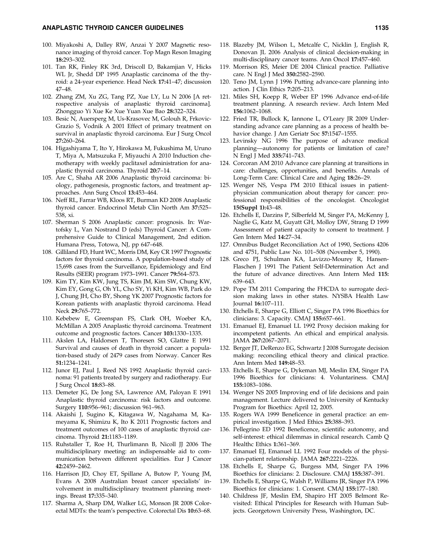- 100. Miyakoshi A, Dalley RW, Anzai Y 2007 Magnetic resonance imaging of thyroid cancer. Top Magn Reson Imaging 18:293–302.
- 101. Tan RK, Finley RK 3rd, Driscoll D, Bakamjian V, Hicks WL Jr, Shedd DP 1995 Anaplastic carcinoma of the thyroid: a 24-year experience. Head Neck 17:41–47; discussion 47–48.
- 102. Zhang ZM, Xu ZG, Tang PZ, Xue LY, Lu N 2006 [A retrospective analysis of anaplastic thyroid carcinoma]. Zhongguo Yi Xue Ke Xue Yuan Xue Bao 28:322–324.
- 103. Besic N, Auersperg M, Us-Krasovec M, Golouh R, Frkovic-Grazio S, Vodnik A 2001 Effect of primary treatment on survival in anaplastic thyroid carcinoma. Eur J Surg Oncol 27:260–264.
- 104. Higashiyama T, Ito Y, Hirokawa M, Fukushima M, Uruno T, Miya A, Matsuzuka F, Miyauchi A 2010 Induction chemotherapy with weekly paclitaxel administration for anaplastic thyroid carcinoma. Thyroid 20:7–14.
- 105. Are C, Shaha AR 2006 Anaplastic thyroid carcinoma: biology, pathogenesis, prognostic factors, and treatment approaches. Ann Surg Oncol 13:453–464.
- 106. Neff RL, Farrar WB, Kloos RT, Burman KD 2008 Anaplastic thyroid cancer. Endocrinol Metab Clin North Am 37:525– 538, xi.
- 107. Sherman S 2006 Anaplastic cancer: prognosis. In: Wartofsky L, Van Nostrand D (eds) Thyroid Cancer: A Comprehensive Guide to Clinical Management, 2nd edition. Humana Press, Totowa, NJ, pp 647–648.
- 108. Gilliland FD, Hunt WC, Morris DM, Key CR 1997 Prognostic factors for thyroid carcinoma. A population-based study of 15,698 cases from the Surveillance, Epidemiology and End Results (SEER) program 1973–1991. Cancer 79:564–573.
- 109. Kim TY, Kim KW, Jung TS, Kim JM, Kim SW, Chung KW, Kim EY, Gong G, Oh YL, Cho SY, Yi KH, Kim WB, Park do J, Chung JH, Cho BY, Shong YK 2007 Prognostic factors for Korean patients with anaplastic thyroid carcinoma. Head Neck 29:765–772.
- 110. Kebebew E, Greenspan FS, Clark OH, Woeber KA, McMillan A 2005 Anaplastic thyroid carcinoma. Treatment outcome and prognostic factors. Cancer 103:1330–1335.
- 111. Akslen LA, Haldorsen T, Thoresen SO, Glattre E 1991 Survival and causes of death in thyroid cancer: a population-based study of 2479 cases from Norway. Cancer Res 51:1234–1241.
- 112. Junor EJ, Paul J, Reed NS 1992 Anaplastic thyroid carcinoma: 91 patients treated by surgery and radiotherapy. Eur J Surg Oncol 18:83–88.
- 113. Demeter JG, De Jong SA, Lawrence AM, Paloyan E 1991 Anaplastic thyroid carcinoma: risk factors and outcome. Surgery 110:956–961; discussion 961–963.
- 114. Akaishi J, Sugino K, Kitagawa W, Nagahama M, Kameyama K, Shimizu K, Ito K 2011 Prognostic factors and treatment outcomes of 100 cases of anaplastic thyroid carcinoma. Thyroid 21:1183–1189.
- 115. Ruhstaller T, Roe H, Thurlimann B, Nicoll JJ 2006 The multidisciplinary meeting: an indispensable aid to communication between different specialities. Eur J Cancer 42:2459–2462.
- 116. Harrison JD, Choy ET, Spillane A, Butow P, Young JM, Evans A 2008 Australian breast cancer specialists' involvement in multidisciplinary treatment planning meetings. Breast 17:335–340.
- 117. Sharma A, Sharp DM, Walker LG, Monson JR 2008 Colorectal MDTs: the team's perspective. Colorectal Dis 10:63–68.
- 118. Blazeby JM, Wilson L, Metcalfe C, Nicklin J, English R, Donovan JL 2006 Analysis of clinical decision-making in multi-disciplinary cancer teams. Ann Oncol 17:457–460.
- 119. Morrison RS, Meier DE 2004 Clinical practice. Palliative care. N Engl J Med 350:2582–2590.
- 120. Teno JM, Lynn J 1996 Putting advance-care planning into action. J Clin Ethics 7:205–213.
- 121. Miles SH, Koepp R, Weber EP 1996 Advance end-of-life treatment planning. A research review. Arch Intern Med 156:1062–1068.
- 122. Fried TR, Bullock K, Iannone L, O'Leary JR 2009 Understanding advance care planning as a process of health behavior change. J Am Geriatr Soc 57:1547–1555.
- 123. Levinsky NG 1996 The purpose of advance medical planning—autonomy for patients or limitation of care? N Engl J Med 335:741–743.
- 124. Corcoran AM 2010 Advance care planning at transitions in care: challenges, opportunities, and benefits. Annals of Long-Term Care: Clinical Care and Aging 18:26–29.
- 125. Wenger NS, Vespa PM 2010 Ethical issues in patientphysician communication about therapy for cancer: professional responsibilities of the oncologist. Oncologist 15(Suppl 1):43–48.
- 126. Etchells E, Darzins P, Silberfeld M, Singer PA, McKenny J, Naglie G, Katz M, Guyatt GH, Molloy DW, Strang D 1999 Assessment of patient capacity to consent to treatment. J Gen Intern Med 14:27–34.
- 127. Omnibus Budget Reconciliation Act of 1990, Sections 4206 and 4751, Public Law No. 101–508 (November 5, 1990).
- 128. Greco PJ, Schulman KA, Lavizzo-Mourey R, Hansen-Flaschen J 1991 The Patient Self-Determination Act and the future of advance directives. Ann Intern Med 115: 639–643.
- 129. Pope TM 2011 Comparing the FHCDA to surrogate decision making laws in other states. NYSBA Health Law Journal 16:107–111.
- 130. Etchells E, Sharpe G, Elliott C, Singer PA 1996 Bioethics for clinicians: 3. Capacity. CMAJ 155:657–661.
- 131. Emanuel EJ, Emanuel LL 1992 Proxy decision making for incompetent patients. An ethical and empirical analysis. JAMA 267:2067–2071.
- 132. Berger JT, DeRenzo EG, Schwartz J 2008 Surrogate decision making: reconciling ethical theory and clinical practice. Ann Intern Med 149:48–53.
- 133. Etchells E, Sharpe G, Dykeman MJ, Meslin EM, Singer PA 1996 Bioethics for clinicians: 4. Voluntariness. CMAJ 155:1083–1086.
- 134. Wenger NS 2005 Improving end of life decisions and pain management. Lecture delivered to University of Kentucky Program for Bioethics: April 12, 2005.
- 135. Rogers WA 1999 Beneficence in general practice: an empirical investigation. J Med Ethics 25:388–393.
- 136. Pellegrino ED 1992 Beneficence, scientific autonomy, and self-interest: ethical dilemmas in clinical research. Camb Q Healthc Ethics 1:361–369.
- 137. Emanuel EJ, Emanuel LL 1992 Four models of the physician-patient relationship. JAMA 267:2221–2226.
- 138. Etchells E, Sharpe G, Burgess MM, Singer PA 1996 Bioethics for clinicians: 2. Disclosure. CMAJ 155:387–391.
- 139. Etchells E, Sharpe G, Walsh P, Williams JR, Singer PA 1996 Bioethics for clinicians: 1. Consent. CMAJ 155:177–180.
- 140. Childress JF, Meslin EM, Shapiro HT 2005 Belmont Revisited: Ethical Principles for Research with Human Subjects. Georgetown University Press, Washington, DC.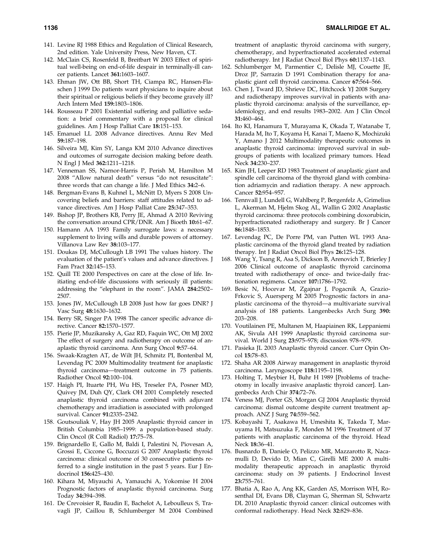- 141. Levine RJ 1988 Ethics and Regulation of Clinical Research, 2nd edition. Yale University Press, New Haven, CT.
- 142. McClain CS, Rosenfeld B, Breitbart W 2003 Effect of spiritual well-being on end-of-life despair in terminally-ill cancer patients. Lancet 361:1603–1607.
- 143. Ehman JW, Ott BB, Short TH, Ciampa RC, Hansen-Flaschen J 1999 Do patients want physicians to inquire about their spiritual or religious beliefs if they become gravely ill? Arch Intern Med 159:1803–1806.
- 144. Rousseau P 2001 Existential suffering and palliative sedation: a brief commentary with a proposal for clinical guidelines. Am J Hosp Palliat Care 18:151–153.
- 145. Emanuel LL 2008 Advance directives. Annu Rev Med 59:187–198.
- 146. Silveira MJ, Kim SY, Langa KM 2010 Advance directives and outcomes of surrogate decision making before death. N Engl J Med 362:1211–1218.
- 147. Venneman SS, Narnor-Harris P, Perish M, Hamilton M 2008 ''Allow natural death'' versus ''do not resuscitate'': three words that can change a life. J Med Ethics 34:2–6.
- 148. Bergman-Evans B, Kuhnel L, McNitt D, Myers S 2008 Uncovering beliefs and barriers: staff attitudes related to advance directives. Am J Hosp Palliat Care 25:347–353.
- 149. Bishop JP, Brothers KB, Perry JE, Ahmad A 2010 Reviving the conversation around CPR/DNR. Am J Bioeth 10:61–67.
- 150. Hamann AA 1993 Family surrogate laws: a necessary supplement to living wills and durable powers of attorney. Villanova Law Rev 38:103–177.
- 151. Doukas DJ, McCullough LB 1991 The values history. The evaluation of the patient's values and advance directives. J Fam Pract 32:145–153.
- 152. Quill TE 2000 Perspectives on care at the close of life. Initiating end-of-life discussions with seriously ill patients: addressing the ''elephant in the room''. JAMA 284:2502– 2507.
- 153. Jones JW, McCullough LB 2008 Just how far goes DNR? J Vasc Surg 48:1630–1632.
- 154. Berry SR, Singer PA 1998 The cancer specific advance directive. Cancer 82:1570–1577.
- 155. Pierie JP, Muzikansky A, Gaz RD, Faquin WC, Ott MJ 2002 The effect of surgery and radiotherapy on outcome of anaplastic thyroid carcinoma. Ann Surg Oncol 9:57–64.
- 156. Swaak-Kragten AT, de Wilt JH, Schmitz PI, Bontenbal M, Levendag PC 2009 Multimodality treatment for anaplastic thyroid carcinoma—treatment outcome in 75 patients. Radiother Oncol 92:100–104.
- 157. Haigh PI, Ituarte PH, Wu HS, Treseler PA, Posner MD, Quivey JM, Duh QY, Clark OH 2001 Completely resected anaplastic thyroid carcinoma combined with adjuvant chemotherapy and irradiation is associated with prolonged survival. Cancer 91:2335–2342.
- 158. Goutsouliak V, Hay JH 2005 Anaplastic thyroid cancer in British Columbia 1985–1999: a population-based study. Clin Oncol (R Coll Radiol) 17:75–78.
- 159. Brignardello E, Gallo M, Baldi I, Palestini N, Piovesan A, Grossi E, Ciccone G, Boccuzzi G 2007 Anaplastic thyroid carcinoma: clinical outcome of 30 consecutive patients referred to a single institution in the past 5 years. Eur J Endocrinol 156:425–430.
- 160. Kihara M, Miyauchi A, Yamauchi A, Yokomise H 2004 Prognostic factors of anaplastic thyroid carcinoma. Surg Today 34:394–398.
- 161. De Crevoisier R, Baudin E, Bachelot A, Leboulleux S, Travagli JP, Caillou B, Schlumberger M 2004 Combined

treatment of anaplastic thyroid carcinoma with surgery, chemotherapy, and hyperfractionated accelerated external radiotherapy. Int J Radiat Oncol Biol Phys 60:1137–1143.

- 162. Schlumberger M, Parmentier C, Delisle MJ, Couette JE, Droz JP, Sarrazin D 1991 Combination therapy for anaplastic giant cell thyroid carcinoma. Cancer 67:564–566.
- 163. Chen J, Tward JD, Shrieve DC, Hitchcock YJ 2008 Surgery and radiotherapy improves survival in patients with anaplastic thyroid carcinoma: analysis of the surveillance, epidemiology, and end results 1983–2002. Am J Clin Oncol 31:460–464.
- 164. Ito KI, Hanamura T, Murayama K, Okada T, Watanabe T, Harada M, Ito T, Koyama H, Kanai T, Maeno K, Mochizuki Y, Amano J 2012 Multimodality therapeutic outcomes in anaplastic thyroid carcinoma: improved survival in subgroups of patients with localized primary tumors. Head Neck 34:230–237.
- 165. Kim JH, Leeper RD 1983 Treatment of anaplastic giant and spindle cell carcinoma of the thyroid gland with combination adriamycin and radiation therapy. A new approach. Cancer 52:954–957.
- 166. Tennvall J, Lundell G, Wahlberg P, Bergenfelz A, Grimelius L, Akerman M, Hjelm Skog AL, Wallin G 2002 Anaplastic thyroid carcinoma: three protocols combining doxorubicin, hyperfractionated radiotherapy and surgery. Br J Cancer 86:1848–1853.
- 167. Levendag PC, De Porre PM, van Putten WL 1993 Anaplastic carcinoma of the thyroid gland treated by radiation therapy. Int J Radiat Oncol Biol Phys 26:125–128.
- 168. Wang Y, Tsang R, Asa S, Dickson B, Arenovich T, Brierley J 2006 Clinical outcome of anaplastic thyroid carcinoma treated with radiotherapy of once- and twice-daily fractionation regimens. Cancer 107:1786–1792.
- 169. Besic N, Hocevar M, Zgajnar J, Pogacnik A, Grazio-Frkovic S, Auersperg M 2005 Prognostic factors in anaplastic carcinoma of the thyroid—a multivariate survival analysis of 188 patients. Langenbecks Arch Surg 390: 203–208.
- 170. Voutilainen PE, Multanen M, Haapiainen RK, Leppaniemi AK, Sivula AH 1999 Anaplastic thyroid carcinoma survival. World J Surg 23:975–978; discussion 978–979.
- 171. Pasieka JL 2003 Anaplastic thyroid cancer. Curr Opin Oncol 15:78–83.
- 172. Shaha AR 2008 Airway management in anaplastic thyroid carcinoma. Laryngoscope 118:1195–1198.
- 173. Holting T, Meybier H, Buhr H 1989 [Problems of tracheotomy in locally invasive anaplastic thyroid cancer]. Langenbecks Arch Chir 374:72–76.
- 174. Veness MJ, Porter GS, Morgan GJ 2004 Anaplastic thyroid carcinoma: dismal outcome despite current treatment approach. ANZ J Surg 74:559–562.
- 175. Kobayashi T, Asakawa H, Umeshita K, Takeda T, Maruyama H, Matsuzuka F, Monden M 1996 Treatment of 37 patients with anaplastic carcinoma of the thyroid. Head Neck 18:36–41.
- 176. Busnardo B, Daniele O, Pelizzo MR, Mazzarotto R, Nacamulli D, Devido D, Mian C, Girelli ME 2000 A multimodality therapeutic approach in anaplastic thyroid carcinoma: study on 39 patients. J Endocrinol Invest 23:755–761.
- 177. Bhatia A, Rao A, Ang KK, Garden AS, Morrison WH, Rosenthal DI, Evans DB, Clayman G, Sherman SI, Schwartz DL 2010 Anaplastic thyroid cancer: clinical outcomes with conformal radiotherapy. Head Neck 32:829–836.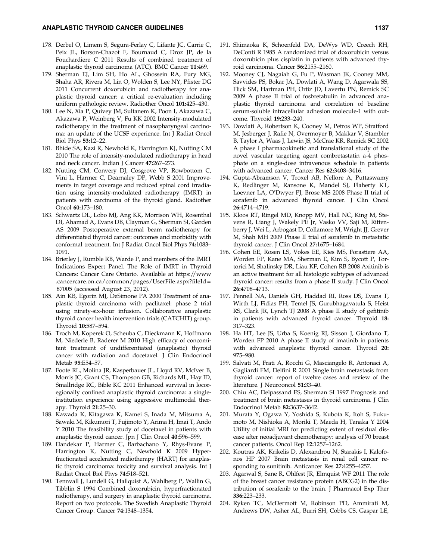- 178. Derbel O, Limem S, Segura-Ferlay C, Lifante JC, Carrie C, Peix JL, Borson-Chazot F, Bournaud C, Droz JP, de la Fouchardiere C 2011 Results of combined treatment of anaplastic thyroid carcinoma (ATC). BMC Cancer 11:469.
- 179. Sherman EJ, Lim SH, Ho AL, Ghossein RA, Fury MG, Shaha AR, Rivera M, Lin O, Wolden S, Lee NY, Pfister DG 2011 Concurrent doxorubicin and radiotherapy for anaplastic thyroid cancer: a critical re-evaluation including uniform pathologic review. Radiother Oncol 101:425–430.
- 180. Lee N, Xia P, Quivey JM, Sultanem K, Poon I, Akazawa C, Akazawa P, Weinberg V, Fu KK 2002 Intensity-modulated radiotherapy in the treatment of nasopharyngeal carcinoma: an update of the UCSF experience. Int J Radiat Oncol Biol Phys 53:12–22.
- 181. Bhide SA, Kazi R, Newbold K, Harrington KJ, Nutting CM 2010 The role of intensity-modulated radiotherapy in head and neck cancer. Indian J Cancer 47:267–273.
- 182. Nutting CM, Convery DJ, Cosgrove VP, Rowbottom C, Vini L, Harmer C, Dearnaley DP, Webb S 2001 Improvements in target coverage and reduced spinal cord irradiation using intensity-modulated radiotherapy (IMRT) in patients with carcinoma of the thyroid gland. Radiother Oncol 60:173–180.
- 183. Schwartz DL, Lobo MJ, Ang KK, Morrison WH, Rosenthal DI, Ahamad A, Evans DB, Clayman G, Sherman SI, Garden AS 2009 Postoperative external beam radiotherapy for differentiated thyroid cancer: outcomes and morbidity with conformal treatment. Int J Radiat Oncol Biol Phys 74:1083– 1091.
- 184. Brierley J, Rumble RB, Warde P, and members of the IMRT Indications Expert Panel. The Role of IMRT in Thyroid Cancers: Cancer Care Ontario. Available at https://www .cancercare.on.ca/common/pages/UserFile.aspx?fileId = 87005 (accessed August 23, 2012).
- 185. Ain KB, Egorin MJ, DeSimone PA 2000 Treatment of anaplastic thyroid carcinoma with paclitaxel: phase 2 trial using ninety-six-hour infusion. Collaborative anaplastic thyroid cancer health intervention trials (CATCHIT) group. Thyroid 10:587–594.
- 186. Troch M, Koperek O, Scheuba C, Dieckmann K, Hoffmann M, Niederle B, Raderer M 2010 High efficacy of concomitant treatment of undifferentiated (anaplastic) thyroid cancer with radiation and docetaxel. J Clin Endocrinol Metab 95:E54–57.
- 187. Foote RL, Molina JR, Kasperbauer JL, Lloyd RV, McIver B, Morris JC, Grant CS, Thompson GB, Richards ML, Hay ID, Smallridge RC, Bible KC 2011 Enhanced survival in locoregionally confined anaplastic thyroid carcinoma: a singleinstitution experience using aggressive multimodal therapy. Thyroid 21:25–30.
- 188. Kawada K, Kitagawa K, Kamei S, Inada M, Mitsuma A, Sawaki M, Kikumori T, Fujimoto Y, Arima H, Imai T, Ando Y 2010 The feasibility study of docetaxel in patients with anaplastic thyroid cancer. Jpn J Clin Oncol 40:596–599.
- 189. Dandekar P, Harmer C, Barbachano Y, Rhys-Evans P, Harrington K, Nutting C, Newbold K 2009 Hyperfractionated accelerated radiotherapy (HART) for anaplastic thyroid carcinoma: toxicity and survival analysis. Int J Radiat Oncol Biol Phys 74:518–521.
- 190. Tennvall J, Lundell G, Hallquist A, Wahlberg P, Wallin G, Tibblin S 1994 Combined doxorubicin, hyperfractionated radiotherapy, and surgery in anaplastic thyroid carcinoma. Report on two protocols. The Swedish Anaplastic Thyroid Cancer Group. Cancer 74:1348–1354.
- 191. Shimaoka K, Schoenfeld DA, DeWys WD, Creech RH, DeConti R 1985 A randomized trial of doxorubicin versus doxorubicin plus cisplatin in patients with advanced thyroid carcinoma. Cancer 56:2155–2160.
- 192. Mooney CJ, Nagaiah G, Fu P, Wasman JK, Cooney MM, Savvides PS, Bokar JA, Dowlati A, Wang D, Agarwala SS, Flick SM, Hartman PH, Ortiz JD, Lavertu PN, Remick SC 2009 A phase II trial of fosbretabulin in advanced anaplastic thyroid carcinoma and correlation of baseline serum-soluble intracellular adhesion molecule-1 with outcome. Thyroid 19:233–240.
- 193. Dowlati A, Robertson K, Cooney M, Petros WP, Stratford M, Jesberger J, Rafie N, Overmoyer B, Makkar V, Stambler B, Taylor A, Waas J, Lewin JS, McCrae KR, Remick SC 2002 A phase I pharmacokinetic and translational study of the novel vascular targeting agent combretastatin a-4 phosphate on a single-dose intravenous schedule in patients with advanced cancer. Cancer Res 62:3408–3416.
- 194. Gupta-Abramson V, Troxel AB, Nellore A, Puttaswamy K, Redlinger M, Ransone K, Mandel SJ, Flaherty KT, Loevner LA, O'Dwyer PJ, Brose MS 2008 Phase II trial of sorafenib in advanced thyroid cancer. J Clin Oncol 26:4714–4719.
- 195. Kloos RT, Ringel MD, Knopp MV, Hall NC, King M, Stevens R, Liang J, Wakely PE Jr, Vasko VV, Saji M, Rittenberry J, Wei L, Arbogast D, Collamore M, Wright JJ, Grever M, Shah MH 2009 Phase II trial of sorafenib in metastatic thyroid cancer. J Clin Oncol 27:1675–1684.
- 196. Cohen EE, Rosen LS, Vokes EE, Kies MS, Forastiere AA, Worden FP, Kane MA, Sherman E, Kim S, Bycott P, Tortorici M, Shalinsky DR, Liau KF, Cohen RB 2008 Axitinib is an active treatment for all histologic subtypes of advanced thyroid cancer: results from a phase II study. J Clin Oncol 26:4708–4713.
- 197. Pennell NA, Daniels GH, Haddad RI, Ross DS, Evans T, Wirth LJ, Fidias PH, Temel JS, Gurubhagavatula S, Heist RS, Clark JR, Lynch TJ 2008 A phase II study of gefitinib in patients with advanced thyroid cancer. Thyroid 18: 317–323.
- 198. Ha HT, Lee JS, Urba S, Koenig RJ, Sisson J, Giordano T, Worden FP 2010 A phase II study of imatinib in patients with advanced anaplastic thyroid cancer. Thyroid 20: 975–980.
- 199. Salvati M, Frati A, Rocchi G, Masciangelo R, Antonaci A, Gagliardi FM, Delfini R 2001 Single brain metastasis from thyroid cancer: report of twelve cases and review of the literature. J Neurooncol 51:33–40.
- 200. Chiu AC, Delpassand ES, Sherman SI 1997 Prognosis and treatment of brain metastases in thyroid carcinoma. J Clin Endocrinol Metab 82:3637–3642.
- 201. Murata Y, Ogawa Y, Yoshida S, Kubota K, Itoh S, Fukumoto M, Nishioka A, Moriki T, Maeda H, Tanaka Y 2004 Utility of initial MRI for predicting extent of residual disease after neoadjuvant chemotherapy: analysis of 70 breast cancer patients. Oncol Rep 12:1257–1262.
- 202. Koutras AK, Krikelis D, Alexandrou N, Starakis I, Kalofonos HP 2007 Brain metastasis in renal cell cancer responding to sunitinib. Anticancer Res 27:4255–4257.
- 203. Agarwal S, Sane R, Ohlfest JR, Elmquist WF 2011 The role of the breast cancer resistance protein (ABCG2) in the distribution of sorafenib to the brain. J Pharmacol Exp Ther 336:223–233.
- 204. Ryken TC, McDermott M, Robinson PD, Ammirati M, Andrews DW, Asher AL, Burri SH, Cobbs CS, Gaspar LE,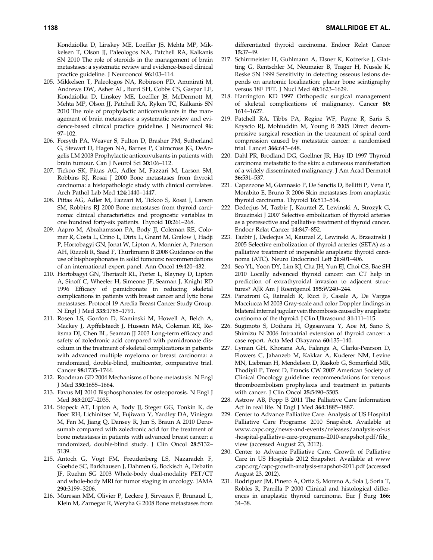Kondziolka D, Linskey ME, Loeffler JS, Mehta MP, Mikkelsen T, Olson JJ, Paleologos NA, Patchell RA, Kalkanis SN 2010 The role of steroids in the management of brain metastases: a systematic review and evidence-based clinical practice guideline. J Neurooncol 96:103–114.

- 205. Mikkelsen T, Paleologos NA, Robinson PD, Ammirati M, Andrews DW, Asher AL, Burri SH, Cobbs CS, Gaspar LE, Kondziolka D, Linskey ME, Loeffler JS, McDermott M, Mehta MP, Olson JJ, Patchell RA, Ryken TC, Kalkanis SN 2010 The role of prophylactic anticonvulsants in the management of brain metastases: a systematic review and evidence-based clinical practice guideline. J Neurooncol 96: 97–102.
- 206. Forsyth PA, Weaver S, Fulton D, Brasher PM, Sutherland G, Stewart D, Hagen NA, Barnes P, Cairncross JG, DeAngelis LM 2003 Prophylactic anticonvulsants in patients with brain tumour. Can J Neurol Sci 30:106–112.
- 207. Tickoo SK, Pittas AG, Adler M, Fazzari M, Larson SM, Robbins RJ, Rosai J 2000 Bone metastases from thyroid carcinoma: a histopathologic study with clinical correlates. Arch Pathol Lab Med 124:1440–1447.
- 208. Pittas AG, Adler M, Fazzari M, Tickoo S, Rosai J, Larson SM, Robbins RJ 2000 Bone metastases from thyroid carcinoma: clinical characteristics and prognostic variables in one hundred forty-six patients. Thyroid 10:261–268.
- 209. Aapro M, Abrahamsson PA, Body JJ, Coleman RE, Colomer R, Costa L, Crino L, Dirix L, Gnant M, Gralow J, Hadji P, Hortobagyi GN, Jonat W, Lipton A, Monnier A, Paterson AH, Rizzoli R, Saad F, Thurlimann B 2008 Guidance on the use of bisphosphonates in solid tumours: recommendations of an international expert panel. Ann Oncol 19:420–432.
- 210. Hortobagyi GN, Theriault RL, Porter L, Blayney D, Lipton A, Sinoff C, Wheeler H, Simeone JF, Seaman J, Knight RD 1996 Efficacy of pamidronate in reducing skeletal complications in patients with breast cancer and lytic bone metastases. Protocol 19 Aredia Breast Cancer Study Group. N Engl J Med 335:1785–1791.
- 211. Rosen LS, Gordon D, Kaminski M, Howell A, Belch A, Mackey J, Apffelstaedt J, Hussein MA, Coleman RE, Reitsma DJ, Chen BL, Seaman JJ 2003 Long-term efficacy and safety of zoledronic acid compared with pamidronate disodium in the treatment of skeletal complications in patients with advanced multiple myeloma or breast carcinoma: a randomized, double-blind, multicenter, comparative trial. Cancer 98:1735–1744.
- 212. Roodman GD 2004 Mechanisms of bone metastasis. N Engl J Med 350:1655–1664.
- 213. Favus MJ 2010 Bisphosphonates for osteoporosis. N Engl J Med 363:2027–2035.
- 214. Stopeck AT, Lipton A, Body JJ, Steger GG, Tonkin K, de Boer RH, Lichinitser M, Fujiwara Y, Yardley DA, Viniegra M, Fan M, Jiang Q, Dansey R, Jun S, Braun A 2010 Denosumab compared with zoledronic acid for the treatment of bone metastases in patients with advanced breast cancer: a randomized, double-blind study. J Clin Oncol 28:5132– 5139.
- 215. Antoch G, Vogt FM, Freudenberg LS, Nazaradeh F, Goehde SC, Barkhausen J, Dahmen G, Bockisch A, Debatin JF, Ruehm SG 2003 Whole-body dual-modality PET/CT and whole-body MRI for tumor staging in oncology. JAMA 290:3199–3206.
- 216. Muresan MM, Olivier P, Leclere J, Sirveaux F, Brunaud L, Klein M, Zarnegar R, Weryha G 2008 Bone metastases from

differentiated thyroid carcinoma. Endocr Relat Cancer 15:37–49.

- 217. Schirrmeister H, Guhlmann A, Elsner K, Kotzerke J, Glatting G, Rentschler M, Neumaier B, Trager H, Nussle K, Reske SN 1999 Sensitivity in detecting osseous lesions depends on anatomic localization: planar bone scintigraphy versus 18F PET. J Nucl Med 40:1623–1629.
- 218. Harrington KD 1997 Orthopedic surgical management of skeletal complications of malignancy. Cancer 80: 1614–1627.
- 219. Patchell RA, Tibbs PA, Regine WF, Payne R, Saris S, Kryscio RJ, Mohiuddin M, Young B 2005 Direct decompressive surgical resection in the treatment of spinal cord compression caused by metastatic cancer: a randomised trial. Lancet 366:643–648.
- 220. Dahl PR, Brodland DG, Goellner JR, Hay ID 1997 Thyroid carcinoma metastatic to the skin: a cutaneous manifestation of a widely disseminated malignancy. J Am Acad Dermatol 36:531–537.
- 221. Capezzone M, Giannasio P, De Sanctis D, Bellitti P, Vena P, Morabito E, Bruno R 2006 Skin metastases from anaplastic thyroid carcinoma. Thyroid 16:513–514.
- 222. Dedecjus M, Tazbir J, Kaurzel Z, Lewinski A, Strozyk G, Brzezinski J 2007 Selective embolization of thyroid arteries as a preresective and palliative treatment of thyroid cancer. Endocr Relat Cancer 14:847–852.
- 223. Tazbir J, Dedecjus M, Kaurzel Z, Lewinski A, Brzezinski J 2005 Selective embolization of thyroid arteries (SETA) as a palliative treatment of inoperable anaplastic thyroid carcinoma (ATC). Neuro Endocrinol Lett 26:401–406.
- 224. Seo YL, Yoon DY, Lim KJ, Cha JH, Yun EJ, Choi CS, Bae SH 2010 Locally advanced thyroid cancer: can CT help in prediction of extrathyroidal invasion to adjacent structures? AJR Am J Roentgenol 195:W240–244.
- 225. Panzironi G, Rainaldi R, Ricci F, Casale A, De Vargas Macciucca M 2003 Gray-scale and color Doppler findings in bilateral internal jugular vein thrombosis caused by anaplastic carcinoma of the thyroid. J Clin Ultrasound 31:111–115.
- 226. Sugimoto S, Doihara H, Ogasawara Y, Aoe M, Sano S, Shimizu N 2006 Intraatrial extension of thyroid cancer: a case report. Acta Med Okayama 60:135–140.
- 227. Lyman GH, Khorana AA, Falanga A, Clarke-Pearson D, Flowers C, Jahanzeb M, Kakkar A, Kuderer NM, Levine MN, Liebman H, Mendelson D, Raskob G, Somerfield MR, Thodiyil P, Trent D, Francis CW 2007 American Society of Clinical Oncology guideline: recommendations for venous thromboembolism prophylaxis and treatment in patients with cancer. J Clin Oncol 25:5490–5505.
- 228. Astrow AB, Popp B 2011 The Palliative Care Information Act in real life. N Engl J Med 364:1885–1887.
- 229. Center to Advance Palliative Care. Analysis of US Hospital Palliative Care Programs: 2010 Snapshot. Available at www.capc.org/news-and-events/releases/analysis-of-us -hospital-palliative-care-programs-2010-snapshot.pdf/file\_ view (accessed August 23, 2012).
- 230. Center to Advance Palliative Care. Growth of Palliative Care in US Hospitals 2012 Snapshot. Available at www .capc.org/capc-growth-analysis-snapshot-2011.pdf (accessed August 23, 2012).
- 231. Rodriguez JM, Pinero A, Ortiz S, Moreno A, Sola J, Soria T, Robles R, Parrilla P 2000 Clinical and histological differences in anaplastic thyroid carcinoma. Eur J Surg 166: 34–38.